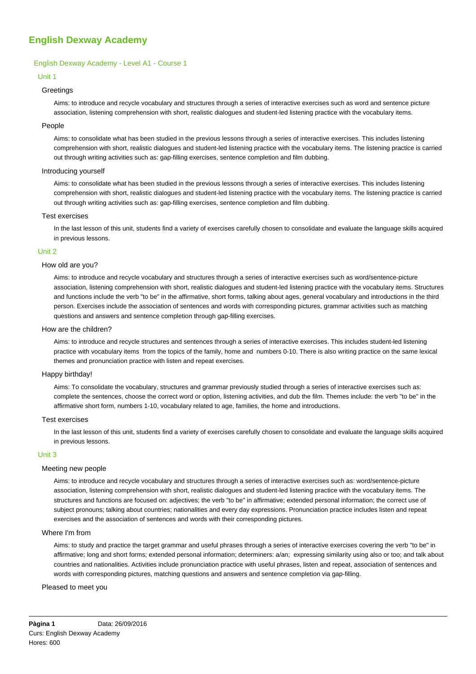# **English Dexway Academy**

## English Dexway Academy - Level A1 - Course 1

## Unit 1

## **Greetings**

Aims: to introduce and recycle vocabulary and structures through a series of interactive exercises such as word and sentence picture association, listening comprehension with short, realistic dialogues and student-led listening practice with the vocabulary items.

#### People

Aims: to consolidate what has been studied in the previous lessons through a series of interactive exercises. This includes listening comprehension with short, realistic dialogues and student-led listening practice with the vocabulary items. The listening practice is carried out through writing activities such as: gap-filling exercises, sentence completion and film dubbing.

## Introducing yourself

Aims: to consolidate what has been studied in the previous lessons through a series of interactive exercises. This includes listening comprehension with short, realistic dialogues and student-led listening practice with the vocabulary items. The listening practice is carried out through writing activities such as: gap-filling exercises, sentence completion and film dubbing.

## Test exercises

In the last lesson of this unit, students find a variety of exercises carefully chosen to consolidate and evaluate the language skills acquired in previous lessons.

#### Unit 2

## How old are you?

Aims: to introduce and recycle vocabulary and structures through a series of interactive exercises such as word/sentence-picture association, listening comprehension with short, realistic dialogues and student-led listening practice with the vocabulary items. Structures and functions include the verb "to be" in the affirmative, short forms, talking about ages, general vocabulary and introductions in the third person. Exercises include the association of sentences and words with corresponding pictures, grammar activities such as matching questions and answers and sentence completion through gap-filling exercises.

#### How are the children?

Aims: to introduce and recycle structures and sentences through a series of interactive exercises. This includes student-led listening practice with vocabulary items from the topics of the family, home and numbers 0-10. There is also writing practice on the same lexical themes and pronunciation practice with listen and repeat exercises.

#### Happy birthday!

Aims: To consolidate the vocabulary, structures and grammar previously studied through a series of interactive exercises such as: complete the sentences, choose the correct word or option, listening activities, and dub the film. Themes include: the verb "to be" in the affirmative short form, numbers 1-10, vocabulary related to age, families, the home and introductions.

#### Test exercises

In the last lesson of this unit, students find a variety of exercises carefully chosen to consolidate and evaluate the language skills acquired in previous lessons.

#### Unit 3

#### Meeting new people

Aims: to introduce and recycle vocabulary and structures through a series of interactive exercises such as: word/sentence-picture association, listening comprehension with short, realistic dialogues and student-led listening practice with the vocabulary items. The structures and functions are focused on: adjectives; the verb "to be" in affirmative; extended personal information; the correct use of subject pronouns; talking about countries; nationalities and every day expressions. Pronunciation practice includes listen and repeat exercises and the association of sentences and words with their corresponding pictures.

#### Where I'm from

Aims: to study and practice the target grammar and useful phrases through a series of interactive exercises covering the verb "to be" in affirmative; long and short forms; extended personal information; determiners: a/an; expressing similarity using also or too; and talk about countries and nationalities. Activities include pronunciation practice with useful phrases, listen and repeat, association of sentences and words with corresponding pictures, matching questions and answers and sentence completion via gap-filling.

#### Pleased to meet you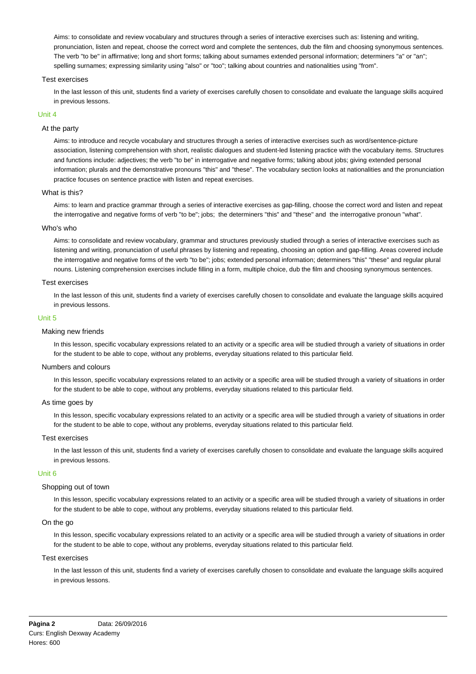Aims: to consolidate and review vocabulary and structures through a series of interactive exercises such as: listening and writing, pronunciation, listen and repeat, choose the correct word and complete the sentences, dub the film and choosing synonymous sentences. The verb "to be" in affirmative; long and short forms; talking about surnames extended personal information; determiners "a" or "an"; spelling surnames; expressing similarity using "also" or "too"; talking about countries and nationalities using "from".

## Test exercises

In the last lesson of this unit, students find a variety of exercises carefully chosen to consolidate and evaluate the language skills acquired in previous lessons.

## Unit 4

## At the party

Aims: to introduce and recycle vocabulary and structures through a series of interactive exercises such as word/sentence-picture association, listening comprehension with short, realistic dialogues and student-led listening practice with the vocabulary items. Structures and functions include: adiectives: the verb "to be" in interrogative and negative forms; talking about iobs; giving extended personal information; plurals and the demonstrative pronouns "this" and "these". The vocabulary section looks at nationalities and the pronunciation practice focuses on sentence practice with listen and repeat exercises.

## What is this?

Aims: to learn and practice grammar through a series of interactive exercises as gap-filling, choose the correct word and listen and repeat the interrogative and negative forms of verb "to be"; jobs; the determiners "this" and "these" and the interrogative pronoun "what".

#### Who's who

Aims: to consolidate and review vocabulary, grammar and structures previously studied through a series of interactive exercises such as listening and writing, pronunciation of useful phrases by listening and repeating, choosing an option and gap-filling. Areas covered include the interrogative and negative forms of the verb "to be"; jobs; extended personal information; determiners "this" "these" and regular plural nouns. Listening comprehension exercises include filling in a form, multiple choice, dub the film and choosing synonymous sentences.

## Test exercises

In the last lesson of this unit, students find a variety of exercises carefully chosen to consolidate and evaluate the language skills acquired in previous lessons.

## Unit 5

#### Making new friends

In this lesson, specific vocabulary expressions related to an activity or a specific area will be studied through a variety of situations in order for the student to be able to cope, without any problems, everyday situations related to this particular field.

### Numbers and colours

In this lesson, specific vocabulary expressions related to an activity or a specific area will be studied through a variety of situations in order for the student to be able to cope, without any problems, everyday situations related to this particular field.

#### As time goes by

In this lesson, specific vocabulary expressions related to an activity or a specific area will be studied through a variety of situations in order for the student to be able to cope, without any problems, everyday situations related to this particular field.

#### Test exercises

In the last lesson of this unit, students find a variety of exercises carefully chosen to consolidate and evaluate the language skills acquired in previous lessons.

#### Unit 6

## Shopping out of town

In this lesson, specific vocabulary expressions related to an activity or a specific area will be studied through a variety of situations in order for the student to be able to cope, without any problems, everyday situations related to this particular field.

## On the go

In this lesson, specific vocabulary expressions related to an activity or a specific area will be studied through a variety of situations in order for the student to be able to cope, without any problems, everyday situations related to this particular field.

## Test exercises

In the last lesson of this unit, students find a variety of exercises carefully chosen to consolidate and evaluate the language skills acquired in previous lessons.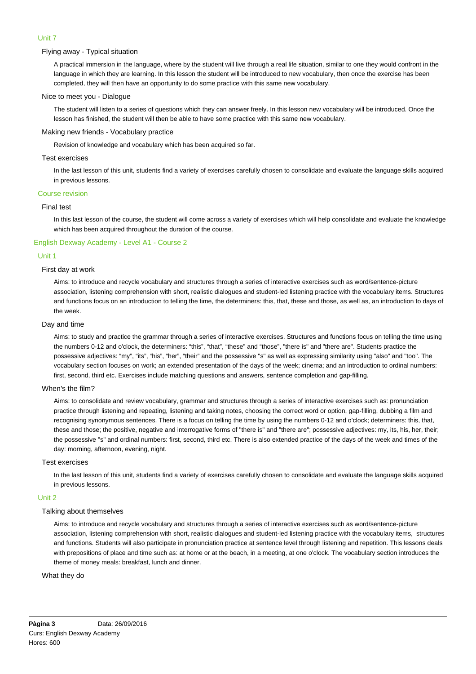# Unit 7

## Flying away - Typical situation

A practical immersion in the language, where by the student will live through a real life situation, similar to one they would confront in the language in which they are learning. In this lesson the student will be introduced to new vocabulary, then once the exercise has been completed, they will then have an opportunity to do some practice with this same new vocabulary.

## Nice to meet you - Dialogue

The student will listen to a series of questions which they can answer freely. In this lesson new vocabulary will be introduced. Once the lesson has finished, the student will then be able to have some practice with this same new vocabulary.

## Making new friends - Vocabulary practice

Revision of knowledge and vocabulary which has been acquired so far.

## Test exercises

In the last lesson of this unit, students find a variety of exercises carefully chosen to consolidate and evaluate the language skills acquired in previous lessons.

## Course revision

# Final test

In this last lesson of the course, the student will come across a variety of exercises which will help consolidate and evaluate the knowledge which has been acquired throughout the duration of the course.

## English Dexway Academy - Level A1 - Course 2

## Unit 1

## First day at work

Aims: to introduce and recycle vocabulary and structures through a series of interactive exercises such as word/sentence-picture association, listening comprehension with short, realistic dialogues and student-led listening practice with the vocabulary items. Structures and functions focus on an introduction to telling the time, the determiners: this, that, these and those, as well as, an introduction to days of the week.

#### Day and time

Aims: to study and practice the grammar through a series of interactive exercises. Structures and functions focus on telling the time using the numbers 0-12 and o'clock, the determiners: "this", "that", "these" and "those", "there is" and "there are". Students practice the possessive adjectives: "my", "its", "his", "her", "their" and the possessive "s" as well as expressing similarity using "also" and "too". The vocabulary section focuses on work; an extended presentation of the days of the week; cinema; and an introduction to ordinal numbers: first, second, third etc. Exercises include matching questions and answers, sentence completion and gap-filling.

#### When's the film?

Aims: to consolidate and review vocabulary, grammar and structures through a series of interactive exercises such as: pronunciation practice through listening and repeating, listening and taking notes, choosing the correct word or option, gap-filling, dubbing a film and recognising synonymous sentences. There is a focus on telling the time by using the numbers 0-12 and o'clock; determiners: this, that, these and those; the positive, negative and interrogative forms of "there is" and "there are"; possessive adjectives: my, its, his, her, their; the possessive "s" and ordinal numbers: first, second, third etc. There is also extended practice of the days of the week and times of the day: morning, afternoon, evening, night.

#### Test exercises

In the last lesson of this unit, students find a variety of exercises carefully chosen to consolidate and evaluate the language skills acquired in previous lessons.

## Unit 2

## Talking about themselves

Aims: to introduce and recycle vocabulary and structures through a series of interactive exercises such as word/sentence-picture association, listening comprehension with short, realistic dialogues and student-led listening practice with the vocabulary items, structures and functions. Students will also participate in pronunciation practice at sentence level through listening and repetition. This lessons deals with prepositions of place and time such as: at home or at the beach, in a meeting, at one o'clock. The vocabulary section introduces the theme of money meals: breakfast, lunch and dinner.

### What they do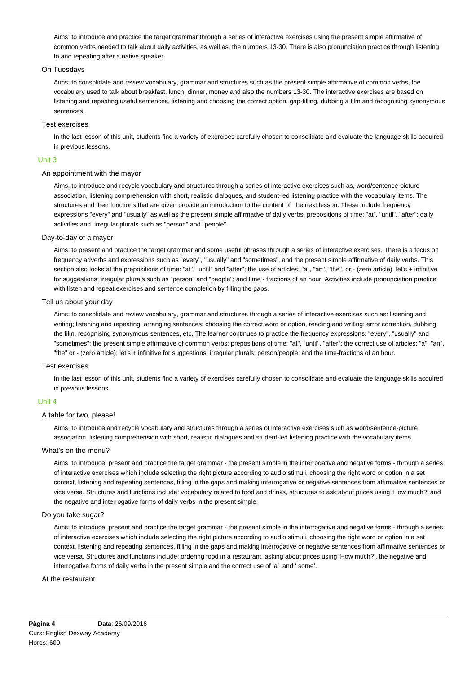Aims: to introduce and practice the target grammar through a series of interactive exercises using the present simple affirmative of common verbs needed to talk about daily activities, as well as, the numbers 13-30. There is also pronunciation practice through listening to and repeating after a native speaker.

## On Tuesdays

Aims: to consolidate and review vocabulary, grammar and structures such as the present simple affirmative of common verbs, the vocabulary used to talk about breakfast, lunch, dinner, money and also the numbers 13-30. The interactive exercises are based on listening and repeating useful sentences, listening and choosing the correct option, gap-filling, dubbing a film and recognising synonymous sentences.

### Test exercises

In the last lesson of this unit, students find a variety of exercises carefully chosen to consolidate and evaluate the language skills acquired in previous lessons.

## Unit 3

## An appointment with the mayor

Aims: to introduce and recycle vocabulary and structures through a series of interactive exercises such as, word/sentence-picture association, listening comprehension with short, realistic dialogues, and student-led listening practice with the vocabulary items. The structures and their functions that are given provide an introduction to the content of the next lesson. These include frequency expressions "every" and "usually" as well as the present simple affirmative of daily verbs, prepositions of time: "at", "until", "after"; daily activities and irregular plurals such as "person" and "people".

## Day-to-day of a mayor

Aims: to present and practice the target grammar and some useful phrases through a series of interactive exercises. There is a focus on frequency adverbs and expressions such as "every", "usually" and "sometimes", and the present simple affirmative of daily verbs. This section also looks at the prepositions of time: "at", "until" and "after"; the use of articles: "a", "an", "the", or - (zero article), let's + infinitive for suggestions; irregular plurals such as "person" and "people"; and time - fractions of an hour. Activities include pronunciation practice with listen and repeat exercises and sentence completion by filling the gaps.

## Tell us about your day

Aims: to consolidate and review vocabulary, grammar and structures through a series of interactive exercises such as: listening and writing; listening and repeating; arranging sentences; choosing the correct word or option, reading and writing: error correction, dubbing the film, recognising synonymous sentences, etc. The learner continues to practice the frequency expressions: "every", "usually" and "sometimes"; the present simple affirmative of common verbs; prepositions of time: "at", "until", "after"; the correct use of articles: "a", "an", "the" or - (zero article); let's + infinitive for suggestions; irregular plurals: person/people; and the time-fractions of an hour.

## Test exercises

In the last lesson of this unit, students find a variety of exercises carefully chosen to consolidate and evaluate the language skills acquired in previous lessons.

## Unit 4

### A table for two, please!

Aims: to introduce and recycle vocabulary and structures through a series of interactive exercises such as word/sentence-picture association, listening comprehension with short, realistic dialogues and student-led listening practice with the vocabulary items.

#### What's on the menu?

Aims: to introduce, present and practice the target grammar - the present simple in the interrogative and negative forms - through a series of interactive exercises which include selecting the right picture according to audio stimuli, choosing the right word or option in a set context, listening and repeating sentences, filling in the gaps and making interrogative or negative sentences from affirmative sentences or vice versa. Structures and functions include: vocabulary related to food and drinks, structures to ask about prices using 'How much?' and the negative and interrogative forms of daily verbs in the present simple.

#### Do you take sugar?

Aims: to introduce, present and practice the target grammar - the present simple in the interrogative and negative forms - through a series of interactive exercises which include selecting the right picture according to audio stimuli, choosing the right word or option in a set context, listening and repeating sentences, filling in the gaps and making interrogative or negative sentences from affirmative sentences or vice versa. Structures and functions include: ordering food in a restaurant, asking about prices using 'How much?', the negative and interrogative forms of daily verbs in the present simple and the correct use of 'a' and ' some'.

#### At the restaurant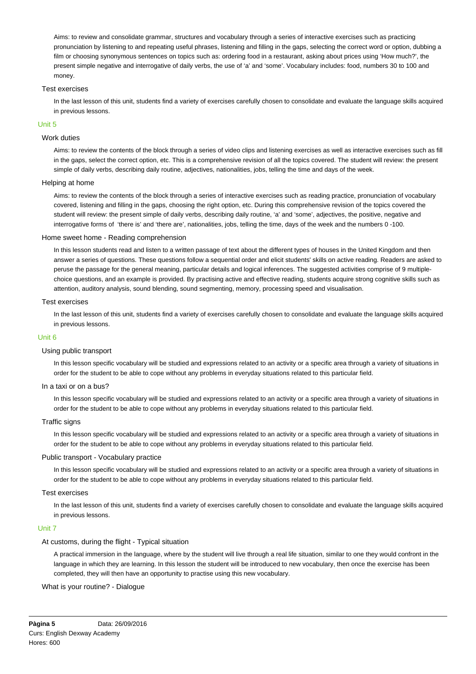Aims: to review and consolidate grammar, structures and vocabulary through a series of interactive exercises such as practicing pronunciation by listening to and repeating useful phrases, listening and filling in the gaps, selecting the correct word or option, dubbing a film or choosing synonymous sentences on topics such as: ordering food in a restaurant, asking about prices using 'How much?', the present simple negative and interrogative of daily verbs, the use of 'a' and 'some'. Vocabulary includes: food, numbers 30 to 100 and money.

## Test exercises

In the last lesson of this unit, students find a variety of exercises carefully chosen to consolidate and evaluate the language skills acquired in previous lessons.

#### Unit 5

## Work duties

Aims: to review the contents of the block through a series of video clips and listening exercises as well as interactive exercises such as fill in the gaps, select the correct option, etc. This is a comprehensive revision of all the topics covered. The student will review: the present simple of daily verbs, describing daily routine, adjectives, nationalities, jobs, telling the time and days of the week.

## Helping at home

Aims: to review the contents of the block through a series of interactive exercises such as reading practice, pronunciation of vocabulary covered, listening and filling in the gaps, choosing the right option, etc. During this comprehensive revision of the topics covered the student will review: the present simple of daily verbs, describing daily routine, 'a' and 'some', adjectives, the positive, negative and interrogative forms of 'there is' and 'there are', nationalities, jobs, telling the time, days of the week and the numbers 0 -100.

## Home sweet home - Reading comprehension

In this lesson students read and listen to a written passage of text about the different types of houses in the United Kingdom and then answer a series of questions. These questions follow a sequential order and elicit students' skills on active reading. Readers are asked to peruse the passage for the general meaning, particular details and logical inferences. The suggested activities comprise of 9 multiplechoice questions, and an example is provided. By practising active and effective reading, students acquire strong cognitive skills such as attention, auditory analysis, sound blending, sound segmenting, memory, processing speed and visualisation.

## Test exercises

In the last lesson of this unit, students find a variety of exercises carefully chosen to consolidate and evaluate the language skills acquired in previous lessons.

## Unit 6

## Using public transport

In this lesson specific vocabulary will be studied and expressions related to an activity or a specific area through a variety of situations in order for the student to be able to cope without any problems in everyday situations related to this particular field.

#### In a taxi or on a bus?

In this lesson specific vocabulary will be studied and expressions related to an activity or a specific area through a variety of situations in order for the student to be able to cope without any problems in everyday situations related to this particular field.

#### Traffic signs

In this lesson specific vocabulary will be studied and expressions related to an activity or a specific area through a variety of situations in order for the student to be able to cope without any problems in everyday situations related to this particular field.

#### Public transport - Vocabulary practice

In this lesson specific vocabulary will be studied and expressions related to an activity or a specific area through a variety of situations in order for the student to be able to cope without any problems in everyday situations related to this particular field.

#### Test exercises

In the last lesson of this unit, students find a variety of exercises carefully chosen to consolidate and evaluate the language skills acquired in previous lessons.

#### Unit 7

## At customs, during the flight - Typical situation

A practical immersion in the language, where by the student will live through a real life situation, similar to one they would confront in the language in which they are learning. In this lesson the student will be introduced to new vocabulary, then once the exercise has been completed, they will then have an opportunity to practise using this new vocabulary.

## What is your routine? - Dialogue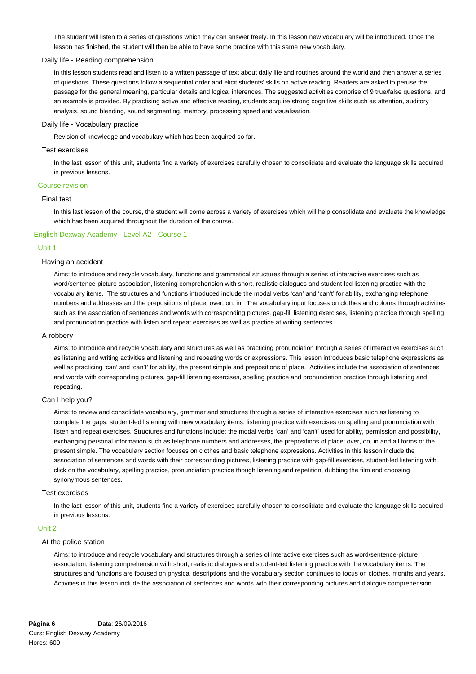The student will listen to a series of questions which they can answer freely. In this lesson new vocabulary will be introduced. Once the lesson has finished, the student will then be able to have some practice with this same new vocabulary.

## Daily life - Reading comprehension

In this lesson students read and listen to a written passage of text about daily life and routines around the world and then answer a series of questions. These questions follow a sequential order and elicit students' skills on active reading. Readers are asked to peruse the passage for the general meaning, particular details and logical inferences. The suggested activities comprise of 9 true/false questions, and an example is provided. By practising active and effective reading, students acquire strong cognitive skills such as attention, auditory analysis, sound blending, sound segmenting, memory, processing speed and visualisation.

### Daily life - Vocabulary practice

Revision of knowledge and vocabulary which has been acquired so far.

## Test exercises

In the last lesson of this unit, students find a variety of exercises carefully chosen to consolidate and evaluate the language skills acquired in previous lessons.

#### Course revision

## Final test

In this last lesson of the course, the student will come across a variety of exercises which will help consolidate and evaluate the knowledge which has been acquired throughout the duration of the course.

## English Dexway Academy - Level A2 - Course 1

## Unit 1

## Having an accident

Aims: to introduce and recycle vocabulary, functions and grammatical structures through a series of interactive exercises such as word/sentence-picture association, listening comprehension with short, realistic dialogues and student-led listening practice with the vocabulary items. The structures and functions introduced include the modal verbs 'can' and 'can't' for ability, exchanging telephone numbers and addresses and the prepositions of place: over, on, in. The vocabulary input focuses on clothes and colours through activities such as the association of sentences and words with corresponding pictures, gap-fill listening exercises, listening practice through spelling and pronunciation practice with listen and repeat exercises as well as practice at writing sentences.

#### A robbery

Aims: to introduce and recycle vocabulary and structures as well as practicing pronunciation through a series of interactive exercises such as listening and writing activities and listening and repeating words or expressions. This lesson introduces basic telephone expressions as well as practicing 'can' and 'can't' for ability, the present simple and prepositions of place. Activities include the association of sentences and words with corresponding pictures, gap-fill listening exercises, spelling practice and pronunciation practice through listening and repeating.

#### Can I help you?

Aims: to review and consolidate vocabulary, grammar and structures through a series of interactive exercises such as listening to complete the gaps, student-led listening with new vocabulary items, listening practice with exercises on spelling and pronunciation with listen and repeat exercises. Structures and functions include: the modal verbs 'can' and 'can't' used for ability, permission and possibility, exchanging personal information such as telephone numbers and addresses, the prepositions of place: over, on, in and all forms of the present simple. The vocabulary section focuses on clothes and basic telephone expressions. Activities in this lesson include the association of sentences and words with their corresponding pictures, listening practice with gap-fill exercises, student-led listening with click on the vocabulary, spelling practice, pronunciation practice though listening and repetition, dubbing the film and choosing synonymous sentences.

## Test exercises

In the last lesson of this unit, students find a variety of exercises carefully chosen to consolidate and evaluate the language skills acquired in previous lessons.

#### Unit 2

## At the police station

Aims: to introduce and recycle vocabulary and structures through a series of interactive exercises such as word/sentence-picture association, listening comprehension with short, realistic dialogues and student-led listening practice with the vocabulary items. The structures and functions are focused on physical descriptions and the vocabulary section continues to focus on clothes, months and years. Activities in this lesson include the association of sentences and words with their corresponding pictures and dialogue comprehension.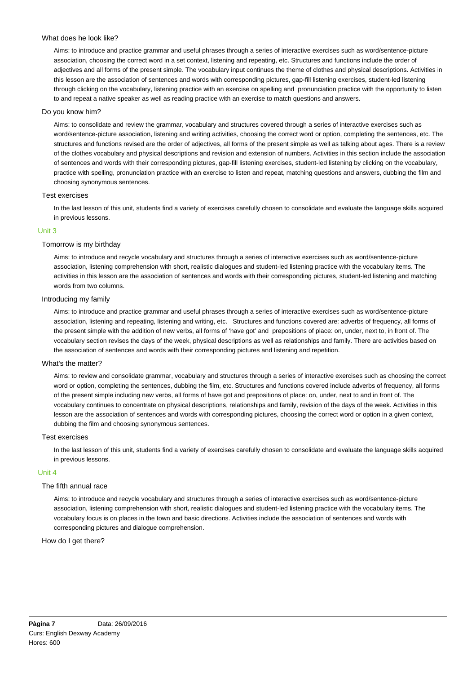## What does he look like?

Aims: to introduce and practice grammar and useful phrases through a series of interactive exercises such as word/sentence-picture association, choosing the correct word in a set context, listening and repeating, etc. Structures and functions include the order of adjectives and all forms of the present simple. The vocabulary input continues the theme of clothes and physical descriptions. Activities in this lesson are the association of sentences and words with corresponding pictures, gap-fill listening exercises, student-led listening through clicking on the vocabulary, listening practice with an exercise on spelling and pronunciation practice with the opportunity to listen to and repeat a native speaker as well as reading practice with an exercise to match questions and answers.

### Do you know him?

Aims: to consolidate and review the grammar, vocabulary and structures covered through a series of interactive exercises such as word/sentence-picture association, listening and writing activities, choosing the correct word or option, completing the sentences, etc. The structures and functions revised are the order of adjectives, all forms of the present simple as well as talking about ages. There is a review of the clothes vocabulary and physical descriptions and revision and extension of numbers. Activities in this section include the association of sentences and words with their corresponding pictures, gap-fill listening exercises, student-led listening by clicking on the vocabulary, practice with spelling, pronunciation practice with an exercise to listen and repeat, matching questions and answers, dubbing the film and choosing synonymous sentences.

## Test exercises

In the last lesson of this unit, students find a variety of exercises carefully chosen to consolidate and evaluate the language skills acquired in previous lessons.

#### Unit 3

### Tomorrow is my birthday

Aims: to introduce and recycle vocabulary and structures through a series of interactive exercises such as word/sentence-picture association, listening comprehension with short, realistic dialogues and student-led listening practice with the vocabulary items. The activities in this lesson are the association of sentences and words with their corresponding pictures, student-led listening and matching words from two columns.

## Introducing my family

Aims: to introduce and practice grammar and useful phrases through a series of interactive exercises such as word/sentence-picture association, listening and repeating, listening and writing, etc. Structures and functions covered are: adverbs of frequency, all forms of the present simple with the addition of new verbs, all forms of 'have got' and prepositions of place: on, under, next to, in front of. The vocabulary section revises the days of the week, physical descriptions as well as relationships and family. There are activities based on the association of sentences and words with their corresponding pictures and listening and repetition.

#### What's the matter?

Aims: to review and consolidate grammar, vocabulary and structures through a series of interactive exercises such as choosing the correct word or option, completing the sentences, dubbing the film, etc. Structures and functions covered include adverbs of frequency, all forms of the present simple including new verbs, all forms of have got and prepositions of place: on, under, next to and in front of. The vocabulary continues to concentrate on physical descriptions, relationships and family, revision of the days of the week. Activities in this lesson are the association of sentences and words with corresponding pictures, choosing the correct word or option in a given context, dubbing the film and choosing synonymous sentences.

#### Test exercises

In the last lesson of this unit, students find a variety of exercises carefully chosen to consolidate and evaluate the language skills acquired in previous lessons.

### Unit 4

### The fifth annual race

Aims: to introduce and recycle vocabulary and structures through a series of interactive exercises such as word/sentence-picture association, listening comprehension with short, realistic dialogues and student-led listening practice with the vocabulary items. The vocabulary focus is on places in the town and basic directions. Activities include the association of sentences and words with corresponding pictures and dialogue comprehension.

How do I get there?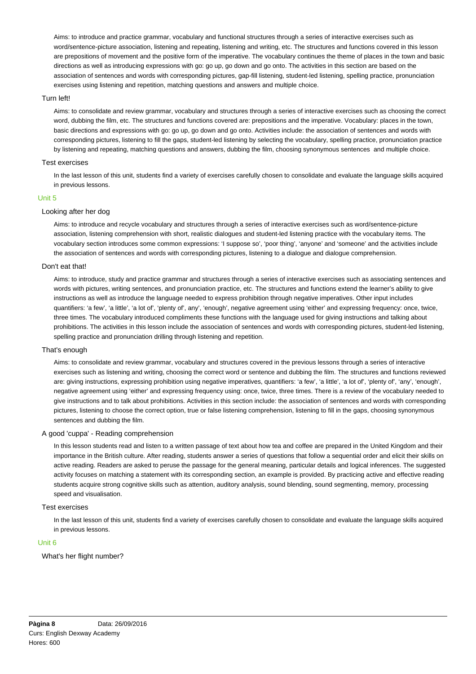Aims: to introduce and practice grammar, vocabulary and functional structures through a series of interactive exercises such as word/sentence-picture association, listening and repeating, listening and writing, etc. The structures and functions covered in this lesson are prepositions of movement and the positive form of the imperative. The vocabulary continues the theme of places in the town and basic directions as well as introducing expressions with go: go up, go down and go onto. The activities in this section are based on the association of sentences and words with corresponding pictures, gap-fill listening, student-led listening, spelling practice, pronunciation exercises using listening and repetition, matching questions and answers and multiple choice.

## Turn left!

Aims: to consolidate and review grammar, vocabulary and structures through a series of interactive exercises such as choosing the correct word, dubbing the film, etc. The structures and functions covered are: prepositions and the imperative. Vocabulary: places in the town, basic directions and expressions with go: go up, go down and go onto. Activities include: the association of sentences and words with corresponding pictures, listening to fill the gaps, student-led listening by selecting the vocabulary, spelling practice, pronunciation practice by listening and repeating, matching questions and answers, dubbing the film, choosing synonymous sentences and multiple choice.

#### Test exercises

In the last lesson of this unit, students find a variety of exercises carefully chosen to consolidate and evaluate the language skills acquired in previous lessons.

## Unit 5

# Looking after her dog

Aims: to introduce and recycle vocabulary and structures through a series of interactive exercises such as word/sentence-picture association, listening comprehension with short, realistic dialogues and student-led listening practice with the vocabulary items. The vocabulary section introduces some common expressions: 'I suppose so', 'poor thing', 'anyone' and 'someone' and the activities include the association of sentences and words with corresponding pictures, listening to a dialogue and dialogue comprehension.

#### Don't eat that!

Aims: to introduce, study and practice grammar and structures through a series of interactive exercises such as associating sentences and words with pictures, writing sentences, and pronunciation practice, etc. The structures and functions extend the learner's ability to give instructions as well as introduce the language needed to express prohibition through negative imperatives. Other input includes quantifiers: 'a few', 'a little', 'a lot of', 'plenty of', any', 'enough', negative agreement using 'either' and expressing frequency: once, twice, three times. The vocabulary introduced compliments these functions with the language used for giving instructions and talking about prohibitions. The activities in this lesson include the association of sentences and words with corresponding pictures, student-led listening, spelling practice and pronunciation drilling through listening and repetition.

#### That's enough

Aims: to consolidate and review grammar, vocabulary and structures covered in the previous lessons through a series of interactive exercises such as listening and writing, choosing the correct word or sentence and dubbing the film. The structures and functions reviewed are: giving instructions, expressing prohibition using negative imperatives, quantifiers: 'a few', 'a little', 'a lot of', 'plenty of', 'any', 'enough', negative agreement using 'either' and expressing frequency using: once, twice, three times. There is a review of the vocabulary needed to give instructions and to talk about prohibitions. Activities in this section include: the association of sentences and words with corresponding pictures, listening to choose the correct option, true or false listening comprehension, listening to fill in the gaps, choosing synonymous sentences and dubbing the film.

## A good 'cuppa' - Reading comprehension

In this lesson students read and listen to a written passage of text about how tea and coffee are prepared in the United Kingdom and their importance in the British culture. After reading, students answer a series of questions that follow a sequential order and elicit their skills on active reading. Readers are asked to peruse the passage for the general meaning, particular details and logical inferences. The suggested activity focuses on matching a statement with its corresponding section, an example is provided. By practicing active and effective reading students acquire strong cognitive skills such as attention, auditory analysis, sound blending, sound segmenting, memory, processing speed and visualisation.

#### Test exercises

In the last lesson of this unit, students find a variety of exercises carefully chosen to consolidate and evaluate the language skills acquired in previous lessons.

## Unit 6

What's her flight number?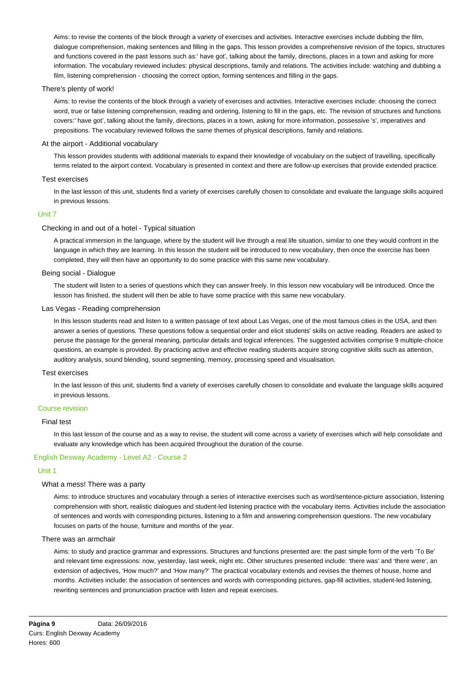Aims: to revise the contents of the block through a variety of exercises and activities. Interactive exercises include dubbing the film, dialogue comprehension, making sentences and filling in the gaps. This lesson provides a comprehensive revision of the topics, structures and functions covered in the past lessons such as:' have got', talking about the family, directions, places in a town and asking for more information. The vocabulary reviewed includes: physical descriptions, family and relations. The activities include: watching and dubbing a film, listening comprehension - choosing the correct option, forming sentences and filling in the gaps.

## There's plenty of work!

Aims: to revise the contents of the block through a variety of exercises and activities. Interactive exercises include: choosing the correct word, true or false listening comprehension, reading and ordering, listening to fill in the gaps, etc. The revision of structures and functions covers:' have got', talking about the family, directions, places in a town, asking for more information, possessive 's', imperatives and prepositions. The vocabulary reviewed follows the same themes of physical descriptions, family and relations.

## At the airport - Additional vocabulary

This lesson provides students with additional materials to expand their knowledge of vocabulary on the subject of travelling, specifically terms related to the airport context. Vocabulary is presented in context and there are follow-up exercises that provide extended practice.

## Test exercises

In the last lesson of this unit, students find a variety of exercises carefully chosen to consolidate and evaluate the language skills acquired in previous lessons.

#### Unit 7

## Checking in and out of a hotel - Typical situation

A practical immersion in the language, where by the student will live through a real life situation, similar to one they would confront in the language in which they are learning. In this lesson the student will be introduced to new vocabulary, then once the exercise has been completed, they will then have an opportunity to do some practice with this same new vocabulary.

## Being social - Dialogue

The student will listen to a series of questions which they can answer freely. In this lesson new vocabulary will be introduced. Once the lesson has finished, the student will then be able to have some practice with this same new vocabulary.

#### Las Vegas - Reading comprehension

In this lesson students read and listen to a written passage of text about Las Vegas, one of the most famous cities in the USA, and then answer a series of questions. These questions follow a sequential order and elicit students' skills on active reading. Readers are asked to peruse the passage for the general meaning, particular details and logical inferences. The suggested activities comprise 9 multiple-choice questions, an example is provided. By practicing active and effective reading students acquire strong cognitive skills such as attention, auditory analysis, sound blending, sound segmenting, memory, processing speed and visualisation.

#### Test exercises

In the last lesson of this unit, students find a variety of exercises carefully chosen to consolidate and evaluate the language skills acquired in previous lessons.

## Course revision

#### Final test

In this last lesson of the course and as a way to revise, the student will come across a variety of exercises which will help consolidate and evaluate any knowledge which has been acquired throughout the duration of the course.

## English Dexway Academy - Level A2 - Course 2

## Unit 1

#### What a mess! There was a party

Aims: to introduce structures and vocabulary through a series of interactive exercises such as word/sentence-picture association, listening comprehension with short, realistic dialogues and student-led listening practice with the vocabulary items. Activities include the association of sentences and words with corresponding pictures, listening to a film and answering comprehension questions. The new vocabulary focuses on parts of the house, furniture and months of the year.

## There was an armchair

Aims: to study and practice grammar and expressions. Structures and functions presented are: the past simple form of the verb 'To Be' and relevant time expressions: now, yesterday, last week, night etc. Other structures presented include: 'there was' and 'there were', an extension of adjectives, 'How much?' and 'How many?' The practical vocabulary extends and revises the themes of house, home and months. Activities include: the association of sentences and words with corresponding pictures, gap-fill activities, student-led listening, rewriting sentences and pronunciation practice with listen and repeat exercises.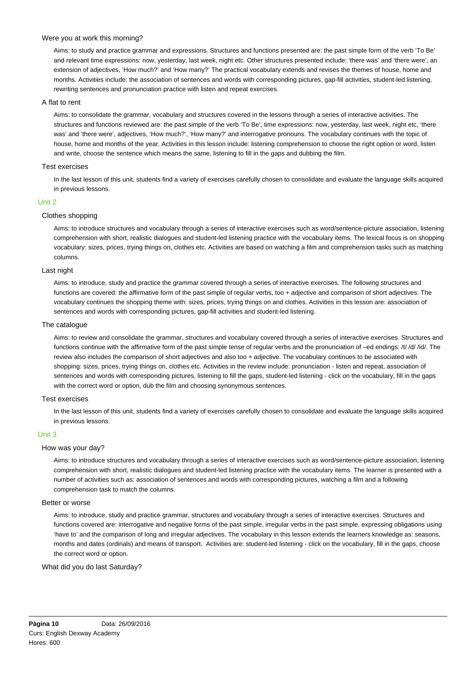## Were you at work this morning?

Aims: to study and practice grammar and expressions. Structures and functions presented are: the past simple form of the verb 'To Be' and relevant time expressions: now, yesterday, last week, night etc. Other structures presented include: 'there was' and 'there were', an extension of adjectives, 'How much?' and 'How many?' The practical vocabulary extends and revises the themes of house, home and months. Activities include: the association of sentences and words with corresponding pictures, gap-fill activities, student-led listening, rewriting sentences and pronunciation practice with listen and repeat exercises.

## A flat to rent

Aims: to consolidate the grammar, vocabulary and structures covered in the lessons through a series of interactive activities. The structures and functions reviewed are: the past simple of the verb 'To Be', time expressions: now, yesterday, last week, night etc, 'there was' and 'there were', adjectives, 'How much?', 'How many?' and interrogative pronouns. The vocabulary continues with the topic of house, home and months of the year. Activities in this lesson include: listening comprehension to choose the right option or word, listen and write, choose the sentence which means the same, listening to fill in the gaps and dubbing the film.

## Test exercises

In the last lesson of this unit, students find a variety of exercises carefully chosen to consolidate and evaluate the language skills acquired in previous lessons.

#### Unit 2

## Clothes shopping

Aims: to introduce structures and vocabulary through a series of interactive exercises such as word/sentence-picture association, listening comprehension with short, realistic dialogues and student-led listening practice with the vocabulary items. The lexical focus is on shopping vocabulary: sizes, prices, trying things on, clothes etc. Activities are based on watching a film and comprehension tasks such as matching columns.

#### Last night

Aims: to introduce, study and practice the grammar covered through a series of interactive exercises. The following structures and functions are covered: the affirmative form of the past simple of regular verbs, too + adjective and comparison of short adjectives. The vocabulary continues the shopping theme with: sizes, prices, trying things on and clothes. Activities in this lesson are: association of sentences and words with corresponding pictures, gap-fill activities and student-led listening.

#### The catalogue

Aims: to review and consolidate the grammar, structures and vocabulary covered through a series of interactive exercises. Structures and functions continue with the affirmative form of the past simple tense of regular verbs and the pronunciation of –ed endings: /t/ /d/ /id/. The review also includes the comparison of short adjectives and also too + adjective. The vocabulary continues to be associated with shopping: sizes, prices, trying things on, clothes etc. Activities in the review include: pronunciation - listen and repeat, association of sentences and words with corresponding pictures, listening to fill the gaps, student-led listening - click on the vocabulary, fill in the gaps with the correct word or option, dub the film and choosing synonymous sentences.

#### Test exercises

In the last lesson of this unit, students find a variety of exercises carefully chosen to consolidate and evaluate the language skills acquired in previous lessons.

# Unit 3

#### How was your day?

Aims: to introduce structures and vocabulary through a series of interactive exercises such as word/sentence-picture association, listening comprehension with short, realistic dialogues and student-led listening practice with the vocabulary items. The learner is presented with a number of activities such as: association of sentences and words with corresponding pictures, watching a film and a following comprehension task to match the columns.

#### Better or worse

Aims: to introduce, study and practice grammar, structures and vocabulary through a series of interactive exercises. Structures and functions covered are: interrogative and negative forms of the past simple, irregular verbs in the past simple, expressing obligations using 'have to' and the comparison of long and irregular adjectives. The vocabulary in this lesson extends the learners knowledge as: seasons, months and dates (ordinals) and means of transport. Activities are: student-led listening - click on the vocabulary, fill in the gaps, choose the correct word or option.

#### What did you do last Saturday?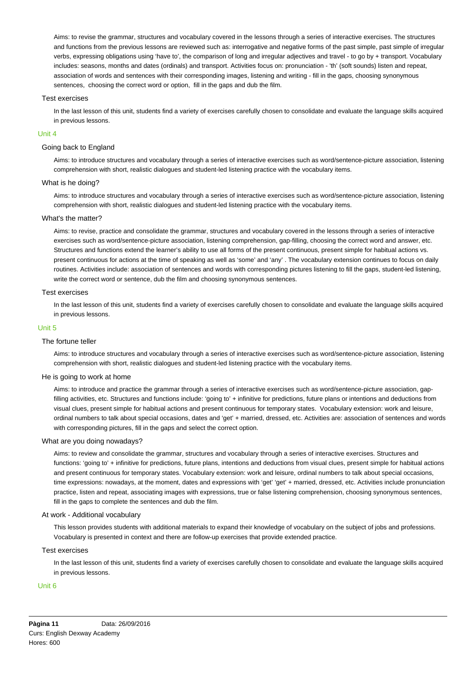Aims: to revise the grammar, structures and vocabulary covered in the lessons through a series of interactive exercises. The structures and functions from the previous lessons are reviewed such as: interrogative and negative forms of the past simple, past simple of irregular verbs, expressing obligations using 'have to', the comparison of long and irregular adjectives and travel - to go by + transport. Vocabulary includes: seasons, months and dates (ordinals) and transport. Activities focus on: pronunciation - 'th' (soft sounds) listen and repeat, association of words and sentences with their corresponding images, listening and writing - fill in the gaps, choosing synonymous sentences, choosing the correct word or option, fill in the gaps and dub the film.

#### Test exercises

In the last lesson of this unit, students find a variety of exercises carefully chosen to consolidate and evaluate the language skills acquired in previous lessons.

#### Unit 4

# Going back to England

Aims: to introduce structures and vocabulary through a series of interactive exercises such as word/sentence-picture association, listening comprehension with short, realistic dialogues and student-led listening practice with the vocabulary items.

#### What is he doing?

Aims: to introduce structures and vocabulary through a series of interactive exercises such as word/sentence-picture association, listening comprehension with short, realistic dialogues and student-led listening practice with the vocabulary items.

#### What's the matter?

Aims: to revise, practice and consolidate the grammar, structures and vocabulary covered in the lessons through a series of interactive exercises such as word/sentence-picture association, listening comprehension, gap-filling, choosing the correct word and answer, etc. Structures and functions extend the learner's ability to use all forms of the present continuous, present simple for habitual actions vs. present continuous for actions at the time of speaking as well as 'some' and 'any' . The vocabulary extension continues to focus on daily routines. Activities include: association of sentences and words with corresponding pictures listening to fill the gaps, student-led listening, write the correct word or sentence, dub the film and choosing synonymous sentences.

### Test exercises

In the last lesson of this unit, students find a variety of exercises carefully chosen to consolidate and evaluate the language skills acquired in previous lessons.

#### Unit 5

#### The fortune teller

Aims: to introduce structures and vocabulary through a series of interactive exercises such as word/sentence-picture association, listening comprehension with short, realistic dialogues and student-led listening practice with the vocabulary items.

#### He is going to work at home

Aims: to introduce and practice the grammar through a series of interactive exercises such as word/sentence-picture association, gapfilling activities, etc. Structures and functions include: 'going to' + infinitive for predictions, future plans or intentions and deductions from visual clues, present simple for habitual actions and present continuous for temporary states. Vocabulary extension: work and leisure, ordinal numbers to talk about special occasions, dates and 'get' + married, dressed, etc. Activities are: association of sentences and words with corresponding pictures, fill in the gaps and select the correct option.

#### What are you doing nowadays?

Aims: to review and consolidate the grammar, structures and vocabulary through a series of interactive exercises. Structures and functions: 'going to' + infinitive for predictions, future plans, intentions and deductions from visual clues, present simple for habitual actions and present continuous for temporary states. Vocabulary extension: work and leisure, ordinal numbers to talk about special occasions, time expressions: nowadays, at the moment, dates and expressions with 'get' 'get' + married, dressed, etc. Activities include pronunciation practice, listen and repeat, associating images with expressions, true or false listening comprehension, choosing synonymous sentences, fill in the gaps to complete the sentences and dub the film.

## At work - Additional vocabulary

This lesson provides students with additional materials to expand their knowledge of vocabulary on the subject of jobs and professions. Vocabulary is presented in context and there are follow-up exercises that provide extended practice.

#### Test exercises

In the last lesson of this unit, students find a variety of exercises carefully chosen to consolidate and evaluate the language skills acquired in previous lessons.

#### Unit 6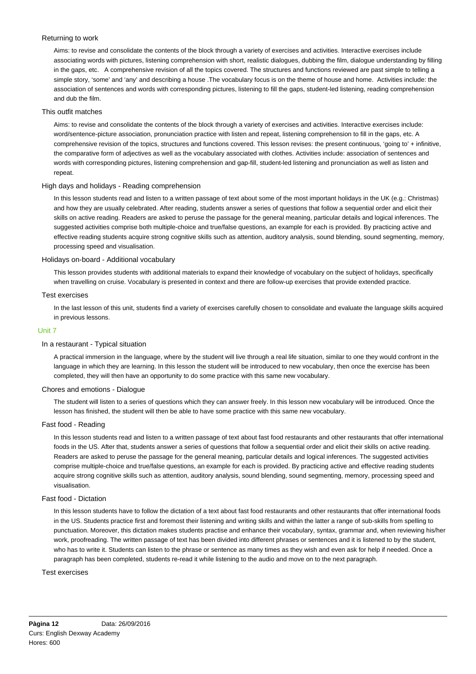## Returning to work

Aims: to revise and consolidate the contents of the block through a variety of exercises and activities. Interactive exercises include associating words with pictures, listening comprehension with short, realistic dialogues, dubbing the film, dialogue understanding by filling in the gaps, etc. A comprehensive revision of all the topics covered. The structures and functions reviewed are past simple to telling a simple story, 'some' and 'any' and describing a house .The vocabulary focus is on the theme of house and home. Activities include: the association of sentences and words with corresponding pictures, listening to fill the gaps, student-led listening, reading comprehension and dub the film.

## This outfit matches

Aims: to revise and consolidate the contents of the block through a variety of exercises and activities. Interactive exercises include: word/sentence-picture association, pronunciation practice with listen and repeat, listening comprehension to fill in the gaps, etc. A comprehensive revision of the topics, structures and functions covered. This lesson revises: the present continuous, 'going to' + infinitive, the comparative form of adjectives as well as the vocabulary associated with clothes. Activities include: association of sentences and words with corresponding pictures, listening comprehension and gap-fill, student-led listening and pronunciation as well as listen and repeat.

# High days and holidays - Reading comprehension

In this lesson students read and listen to a written passage of text about some of the most important holidays in the UK (e.g.: Christmas) and how they are usually celebrated. After reading, students answer a series of questions that follow a sequential order and elicit their skills on active reading. Readers are asked to peruse the passage for the general meaning, particular details and logical inferences. The suggested activities comprise both multiple-choice and true/false questions, an example for each is provided. By practicing active and effective reading students acquire strong cognitive skills such as attention, auditory analysis, sound blending, sound segmenting, memory, processing speed and visualisation.

## Holidays on-board - Additional vocabulary

This lesson provides students with additional materials to expand their knowledge of vocabulary on the subject of holidays, specifically when travelling on cruise. Vocabulary is presented in context and there are follow-up exercises that provide extended practice.

## Test exercises

In the last lesson of this unit, students find a variety of exercises carefully chosen to consolidate and evaluate the language skills acquired in previous lessons.

## Unit 7

## In a restaurant - Typical situation

A practical immersion in the language, where by the student will live through a real life situation, similar to one they would confront in the language in which they are learning. In this lesson the student will be introduced to new vocabulary, then once the exercise has been completed, they will then have an opportunity to do some practice with this same new vocabulary.

## Chores and emotions - Dialogue

The student will listen to a series of questions which they can answer freely. In this lesson new vocabulary will be introduced. Once the lesson has finished, the student will then be able to have some practice with this same new vocabulary.

## Fast food - Reading

In this lesson students read and listen to a written passage of text about fast food restaurants and other restaurants that offer international foods in the US. After that, students answer a series of questions that follow a sequential order and elicit their skills on active reading. Readers are asked to peruse the passage for the general meaning, particular details and logical inferences. The suggested activities comprise multiple-choice and true/false questions, an example for each is provided. By practicing active and effective reading students acquire strong cognitive skills such as attention, auditory analysis, sound blending, sound segmenting, memory, processing speed and visualisation.

## Fast food - Dictation

In this lesson students have to follow the dictation of a text about fast food restaurants and other restaurants that offer international foods in the US. Students practice first and foremost their listening and writing skills and within the latter a range of sub-skills from spelling to punctuation. Moreover, this dictation makes students practise and enhance their vocabulary, syntax, grammar and, when reviewing his/her work, proofreading. The written passage of text has been divided into different phrases or sentences and it is listened to by the student, who has to write it. Students can listen to the phrase or sentence as many times as they wish and even ask for help if needed. Once a paragraph has been completed, students re-read it while listening to the audio and move on to the next paragraph.

#### Test exercises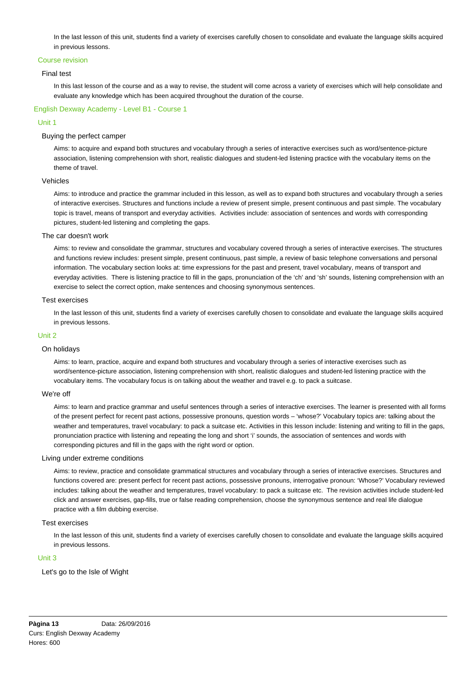In the last lesson of this unit, students find a variety of exercises carefully chosen to consolidate and evaluate the language skills acquired in previous lessons.

## Course revision

## Final test

In this last lesson of the course and as a way to revise, the student will come across a variety of exercises which will help consolidate and evaluate any knowledge which has been acquired throughout the duration of the course.

# English Dexway Academy - Level B1 - Course 1

## Unit 1

## Buying the perfect camper

Aims: to acquire and expand both structures and vocabulary through a series of interactive exercises such as word/sentence-picture association, listening comprehension with short, realistic dialogues and student-led listening practice with the vocabulary items on the theme of travel.

#### Vehicles

Aims: to introduce and practice the grammar included in this lesson, as well as to expand both structures and vocabulary through a series of interactive exercises. Structures and functions include a review of present simple, present continuous and past simple. The vocabulary topic is travel, means of transport and everyday activities. Activities include: association of sentences and words with corresponding pictures, student-led listening and completing the gaps.

#### The car doesn't work

Aims: to review and consolidate the grammar, structures and vocabulary covered through a series of interactive exercises. The structures and functions review includes: present simple, present continuous, past simple, a review of basic telephone conversations and personal information. The vocabulary section looks at: time expressions for the past and present, travel vocabulary, means of transport and everyday activities. There is listening practice to fill in the gaps, pronunciation of the 'ch' and 'sh' sounds, listening comprehension with an exercise to select the correct option, make sentences and choosing synonymous sentences.

## Test exercises

In the last lesson of this unit, students find a variety of exercises carefully chosen to consolidate and evaluate the language skills acquired in previous lessons.

#### Unit 2

#### On holidays

Aims: to learn, practice, acquire and expand both structures and vocabulary through a series of interactive exercises such as word/sentence-picture association, listening comprehension with short, realistic dialogues and student-led listening practice with the vocabulary items. The vocabulary focus is on talking about the weather and travel e.g. to pack a suitcase.

### We're off

Aims: to learn and practice grammar and useful sentences through a series of interactive exercises. The learner is presented with all forms of the present perfect for recent past actions, possessive pronouns, question words – 'whose?' Vocabulary topics are: talking about the weather and temperatures, travel vocabulary: to pack a suitcase etc. Activities in this lesson include: listening and writing to fill in the gaps, pronunciation practice with listening and repeating the long and short 'i' sounds, the association of sentences and words with corresponding pictures and fill in the gaps with the right word or option.

#### Living under extreme conditions

Aims: to review, practice and consolidate grammatical structures and vocabulary through a series of interactive exercises. Structures and functions covered are: present perfect for recent past actions, possessive pronouns, interrogative pronoun: 'Whose?' Vocabulary reviewed includes: talking about the weather and temperatures, travel vocabulary: to pack a suitcase etc. The revision activities include student-led click and answer exercises, gap-fills, true or false reading comprehension, choose the synonymous sentence and real life dialogue practice with a film dubbing exercise.

#### Test exercises

In the last lesson of this unit, students find a variety of exercises carefully chosen to consolidate and evaluate the language skills acquired in previous lessons.

# Unit 3

Let's go to the Isle of Wight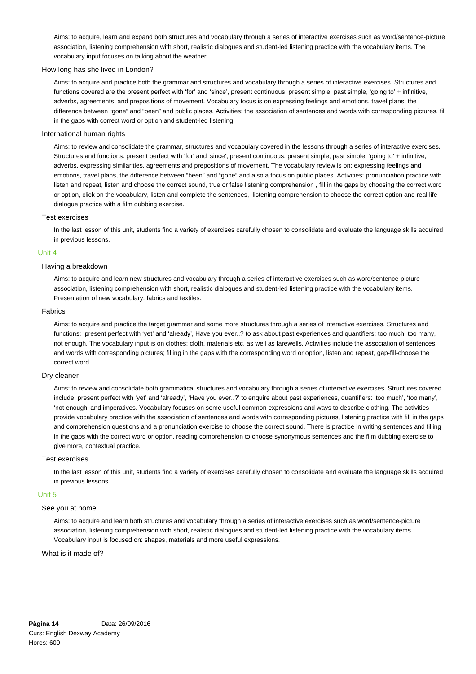Aims: to acquire, learn and expand both structures and vocabulary through a series of interactive exercises such as word/sentence-picture association, listening comprehension with short, realistic dialogues and student-led listening practice with the vocabulary items. The vocabulary input focuses on talking about the weather.

#### How long has she lived in London?

Aims: to acquire and practice both the grammar and structures and vocabulary through a series of interactive exercises. Structures and functions covered are the present perfect with 'for' and 'since', present continuous, present simple, past simple, 'going to' + infinitive, adverbs, agreements and prepositions of movement. Vocabulary focus is on expressing feelings and emotions, travel plans, the difference between "gone" and "been" and public places. Activities: the association of sentences and words with corresponding pictures, fill in the gaps with correct word or option and student-led listening.

#### International human rights

Aims: to review and consolidate the grammar, structures and vocabulary covered in the lessons through a series of interactive exercises. Structures and functions: present perfect with 'for' and 'since', present continuous, present simple, past simple, 'going to' + infinitive, adverbs, expressing similarities, agreements and prepositions of movement. The vocabulary review is on: expressing feelings and emotions, travel plans, the difference between "been" and "gone" and also a focus on public places. Activities: pronunciation practice with listen and repeat, listen and choose the correct sound, true or false listening comprehension , fill in the gaps by choosing the correct word or option, click on the vocabulary, listen and complete the sentences, listening comprehension to choose the correct option and real life dialogue practice with a film dubbing exercise.

#### Test exercises

In the last lesson of this unit, students find a variety of exercises carefully chosen to consolidate and evaluate the language skills acquired in previous lessons.

#### Unit 4

## Having a breakdown

Aims: to acquire and learn new structures and vocabulary through a series of interactive exercises such as word/sentence-picture association, listening comprehension with short, realistic dialogues and student-led listening practice with the vocabulary items. Presentation of new vocabulary: fabrics and textiles.

## Fabrics

Aims: to acquire and practice the target grammar and some more structures through a series of interactive exercises. Structures and functions: present perfect with 'yet' and 'already', Have you ever..? to ask about past experiences and quantifiers: too much, too many, not enough. The vocabulary input is on clothes: cloth, materials etc, as well as farewells. Activities include the association of sentences and words with corresponding pictures; filling in the gaps with the corresponding word or option, listen and repeat, gap-fill-choose the correct word.

#### Dry cleaner

Aims: to review and consolidate both grammatical structures and vocabulary through a series of interactive exercises. Structures covered include: present perfect with 'yet' and 'already', 'Have you ever..?' to enquire about past experiences, quantifiers: 'too much', 'too many', 'not enough' and imperatives. Vocabulary focuses on some useful common expressions and ways to describe clothing. The activities provide vocabulary practice with the association of sentences and words with corresponding pictures, listening practice with fill in the gaps and comprehension questions and a pronunciation exercise to choose the correct sound. There is practice in writing sentences and filling in the gaps with the correct word or option, reading comprehension to choose synonymous sentences and the film dubbing exercise to give more, contextual practice.

## Test exercises

In the last lesson of this unit, students find a variety of exercises carefully chosen to consolidate and evaluate the language skills acquired in previous lessons.

## Unit 5

## See you at home

Aims: to acquire and learn both structures and vocabulary through a series of interactive exercises such as word/sentence-picture association, listening comprehension with short, realistic dialogues and student-led listening practice with the vocabulary items. Vocabulary input is focused on: shapes, materials and more useful expressions.

#### What is it made of?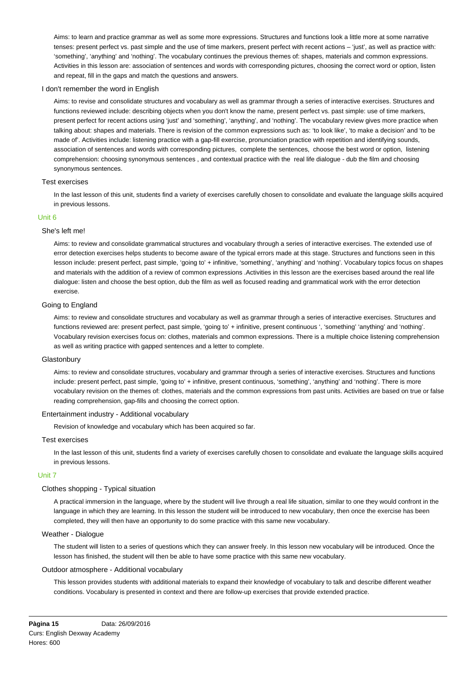Aims: to learn and practice grammar as well as some more expressions. Structures and functions look a little more at some narrative tenses: present perfect vs. past simple and the use of time markers, present perfect with recent actions – 'just', as well as practice with: 'something', 'anything' and 'nothing'. The vocabulary continues the previous themes of: shapes, materials and common expressions. Activities in this lesson are: association of sentences and words with corresponding pictures, choosing the correct word or option, listen and repeat, fill in the gaps and match the questions and answers.

## I don't remember the word in English

Aims: to revise and consolidate structures and vocabulary as well as grammar through a series of interactive exercises. Structures and functions reviewed include: describing objects when you don't know the name, present perfect vs. past simple: use of time markers, present perfect for recent actions using 'just' and 'something', 'anything', and 'nothing'. The vocabulary review gives more practice when talking about: shapes and materials. There is revision of the common expressions such as: 'to look like', 'to make a decision' and 'to be made of'. Activities include: listening practice with a gap-fill exercise, pronunciation practice with repetition and identifying sounds, association of sentences and words with corresponding pictures, complete the sentences, choose the best word or option, listening comprehension: choosing synonymous sentences , and contextual practice with the real life dialogue - dub the film and choosing synonymous sentences.

## Test exercises

In the last lesson of this unit, students find a variety of exercises carefully chosen to consolidate and evaluate the language skills acquired in previous lessons.

## Unit 6

## She's left me!

Aims: to review and consolidate grammatical structures and vocabulary through a series of interactive exercises. The extended use of error detection exercises helps students to become aware of the typical errors made at this stage. Structures and functions seen in this lesson include: present perfect, past simple, 'going to' + infinitive, 'something', 'anything' and 'nothing'. Vocabulary topics focus on shapes and materials with the addition of a review of common expressions .Activities in this lesson are the exercises based around the real life dialogue: listen and choose the best option, dub the film as well as focused reading and grammatical work with the error detection exercise.

## Going to England

Aims: to review and consolidate structures and vocabulary as well as grammar through a series of interactive exercises. Structures and functions reviewed are: present perfect, past simple, 'going to' + infinitive, present continuous ', 'something' 'anything' and 'nothing'. Vocabulary revision exercises focus on: clothes, materials and common expressions. There is a multiple choice listening comprehension as well as writing practice with gapped sentences and a letter to complete.

#### **Glastonbury**

Aims: to review and consolidate structures, vocabulary and grammar through a series of interactive exercises. Structures and functions include: present perfect, past simple, 'going to' + infinitive, present continuous, 'something', 'anything' and 'nothing'. There is more vocabulary revision on the themes of: clothes, materials and the common expressions from past units. Activities are based on true or false reading comprehension, gap-fills and choosing the correct option.

## Entertainment industry - Additional vocabulary

Revision of knowledge and vocabulary which has been acquired so far.

#### Test exercises

In the last lesson of this unit, students find a variety of exercises carefully chosen to consolidate and evaluate the language skills acquired in previous lessons.

#### Unit 7

## Clothes shopping - Typical situation

A practical immersion in the language, where by the student will live through a real life situation, similar to one they would confront in the language in which they are learning. In this lesson the student will be introduced to new vocabulary, then once the exercise has been completed, they will then have an opportunity to do some practice with this same new vocabulary.

#### Weather - Dialogue

The student will listen to a series of questions which they can answer freely. In this lesson new vocabulary will be introduced. Once the lesson has finished, the student will then be able to have some practice with this same new vocabulary.

## Outdoor atmosphere - Additional vocabulary

This lesson provides students with additional materials to expand their knowledge of vocabulary to talk and describe different weather conditions. Vocabulary is presented in context and there are follow-up exercises that provide extended practice.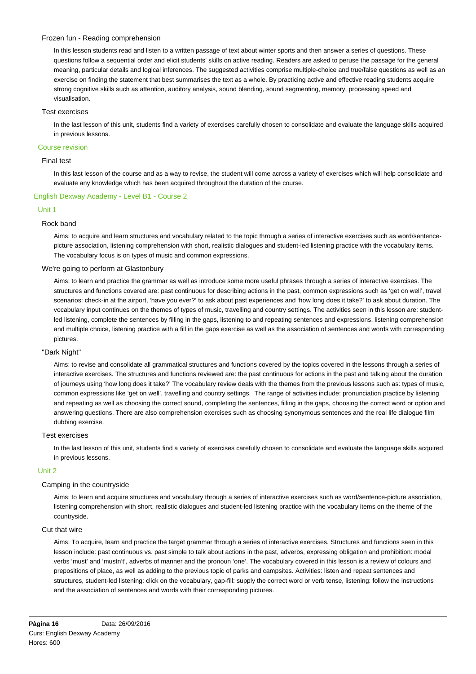## Frozen fun - Reading comprehension

In this lesson students read and listen to a written passage of text about winter sports and then answer a series of questions. These questions follow a sequential order and elicit students' skills on active reading. Readers are asked to peruse the passage for the general meaning, particular details and logical inferences. The suggested activities comprise multiple-choice and true/false questions as well as an exercise on finding the statement that best summarises the text as a whole. By practicing active and effective reading students acquire strong cognitive skills such as attention, auditory analysis, sound blending, sound segmenting, memory, processing speed and visualisation.

#### Test exercises

In the last lesson of this unit, students find a variety of exercises carefully chosen to consolidate and evaluate the language skills acquired in previous lessons.

## Course revision

### Final test

In this last lesson of the course and as a way to revise, the student will come across a variety of exercises which will help consolidate and evaluate any knowledge which has been acquired throughout the duration of the course.

## English Dexway Academy - Level B1 - Course 2

## Unit 1

## Rock band

Aims: to acquire and learn structures and vocabulary related to the topic through a series of interactive exercises such as word/sentencepicture association, listening comprehension with short, realistic dialogues and student-led listening practice with the vocabulary items. The vocabulary focus is on types of music and common expressions.

## We're going to perform at Glastonbury

Aims: to learn and practice the grammar as well as introduce some more useful phrases through a series of interactive exercises. The structures and functions covered are: past continuous for describing actions in the past, common expressions such as 'get on well', travel scenarios: check-in at the airport, 'have you ever?' to ask about past experiences and 'how long does it take?' to ask about duration. The vocabulary input continues on the themes of types of music, travelling and country settings. The activities seen in this lesson are: studentled listening, complete the sentences by filling in the gaps, listening to and repeating sentences and expressions, listening comprehension and multiple choice, listening practice with a fill in the gaps exercise as well as the association of sentences and words with corresponding pictures.

#### "Dark Night"

Aims: to revise and consolidate all grammatical structures and functions covered by the topics covered in the lessons through a series of interactive exercises. The structures and functions reviewed are: the past continuous for actions in the past and talking about the duration of journeys using 'how long does it take?' The vocabulary review deals with the themes from the previous lessons such as: types of music, common expressions like 'get on well', travelling and country settings. The range of activities include: pronunciation practice by listening and repeating as well as choosing the correct sound, completing the sentences, filling in the gaps, choosing the correct word or option and answering questions. There are also comprehension exercises such as choosing synonymous sentences and the real life dialogue film dubbing exercise.

#### Test exercises

In the last lesson of this unit, students find a variety of exercises carefully chosen to consolidate and evaluate the language skills acquired in previous lessons.

#### Unit 2

## Camping in the countryside

Aims: to learn and acquire structures and vocabulary through a series of interactive exercises such as word/sentence-picture association, listening comprehension with short, realistic dialogues and student-led listening practice with the vocabulary items on the theme of the countryside.

#### Cut that wire

Aims: To acquire, learn and practice the target grammar through a series of interactive exercises. Structures and functions seen in this lesson include: past continuous vs. past simple to talk about actions in the past, adverbs, expressing obligation and prohibition: modal verbs 'must' and 'mustn't', adverbs of manner and the pronoun 'one'. The vocabulary covered in this lesson is a review of colours and prepositions of place, as well as adding to the previous topic of parks and campsites. Activities: listen and repeat sentences and structures, student-led listening: click on the vocabulary, gap-fill: supply the correct word or verb tense, listening: follow the instructions and the association of sentences and words with their corresponding pictures.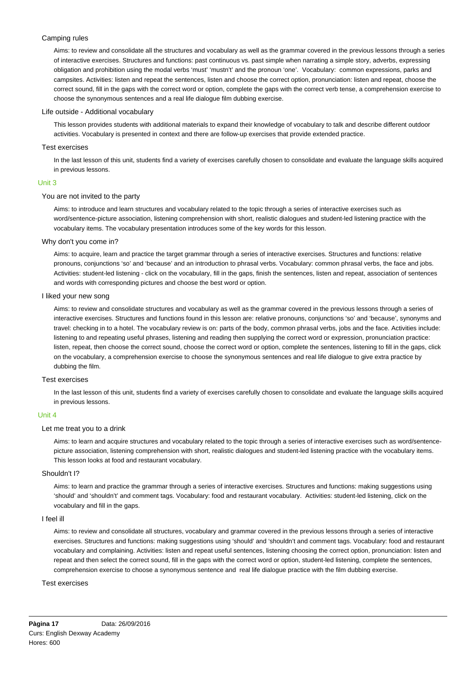## Camping rules

Aims: to review and consolidate all the structures and vocabulary as well as the grammar covered in the previous lessons through a series of interactive exercises. Structures and functions: past continuous vs. past simple when narrating a simple story, adverbs, expressing obligation and prohibition using the modal verbs 'must' 'mustn't' and the pronoun 'one'. Vocabulary: common expressions, parks and campsites. Activities: listen and repeat the sentences, listen and choose the correct option, pronunciation: listen and repeat, choose the correct sound, fill in the gaps with the correct word or option, complete the gaps with the correct verb tense, a comprehension exercise to choose the synonymous sentences and a real life dialogue film dubbing exercise.

## Life outside - Additional vocabulary

This lesson provides students with additional materials to expand their knowledge of vocabulary to talk and describe different outdoor activities. Vocabulary is presented in context and there are follow-up exercises that provide extended practice.

## Test exercises

In the last lesson of this unit, students find a variety of exercises carefully chosen to consolidate and evaluate the language skills acquired in previous lessons.

## Unit 3

## You are not invited to the party

Aims: to introduce and learn structures and vocabulary related to the topic through a series of interactive exercises such as word/sentence-picture association, listening comprehension with short, realistic dialogues and student-led listening practice with the vocabulary items. The vocabulary presentation introduces some of the key words for this lesson.

## Why don't you come in?

Aims: to acquire, learn and practice the target grammar through a series of interactive exercises. Structures and functions: relative pronouns, conjunctions 'so' and 'because' and an introduction to phrasal verbs. Vocabulary: common phrasal verbs, the face and jobs. Activities: student-led listening - click on the vocabulary, fill in the gaps, finish the sentences, listen and repeat, association of sentences and words with corresponding pictures and choose the best word or option.

## I liked your new song

Aims: to review and consolidate structures and vocabulary as well as the grammar covered in the previous lessons through a series of interactive exercises. Structures and functions found in this lesson are: relative pronouns, conjunctions 'so' and 'because', synonyms and travel: checking in to a hotel. The vocabulary review is on: parts of the body, common phrasal verbs, jobs and the face. Activities include: listening to and repeating useful phrases, listening and reading then supplying the correct word or expression, pronunciation practice: listen, repeat, then choose the correct sound, choose the correct word or option, complete the sentences, listening to fill in the gaps, click on the vocabulary, a comprehension exercise to choose the synonymous sentences and real life dialogue to give extra practice by dubbing the film.

#### Test exercises

In the last lesson of this unit, students find a variety of exercises carefully chosen to consolidate and evaluate the language skills acquired in previous lessons.

## Unit 4

## Let me treat you to a drink

Aims: to learn and acquire structures and vocabulary related to the topic through a series of interactive exercises such as word/sentencepicture association, listening comprehension with short, realistic dialogues and student-led listening practice with the vocabulary items. This lesson looks at food and restaurant vocabulary.

#### Shouldn't I?

Aims: to learn and practice the grammar through a series of interactive exercises. Structures and functions: making suggestions using 'should' and 'shouldn't' and comment tags. Vocabulary: food and restaurant vocabulary. Activities: student-led listening, click on the vocabulary and fill in the gaps.

#### I feel ill

Aims: to review and consolidate all structures, vocabulary and grammar covered in the previous lessons through a series of interactive exercises. Structures and functions: making suggestions using 'should' and 'shouldn't and comment tags. Vocabulary: food and restaurant vocabulary and complaining. Activities: listen and repeat useful sentences, listening choosing the correct option, pronunciation: listen and repeat and then select the correct sound, fill in the gaps with the correct word or option, student-led listening, complete the sentences, comprehension exercise to choose a synonymous sentence and real life dialogue practice with the film dubbing exercise.

#### Test exercises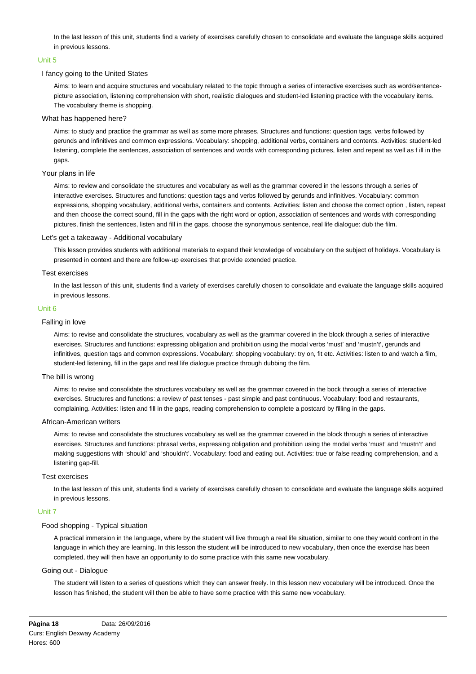In the last lesson of this unit, students find a variety of exercises carefully chosen to consolidate and evaluate the language skills acquired in previous lessons.

## Unit 5

## I fancy going to the United States

Aims: to learn and acquire structures and vocabulary related to the topic through a series of interactive exercises such as word/sentencepicture association, listening comprehension with short, realistic dialogues and student-led listening practice with the vocabulary items. The vocabulary theme is shopping.

### What has happened here?

Aims: to study and practice the grammar as well as some more phrases. Structures and functions: question tags, verbs followed by gerunds and infinitives and common expressions. Vocabulary: shopping, additional verbs, containers and contents. Activities: student-led listening, complete the sentences, association of sentences and words with corresponding pictures, listen and repeat as well as f ill in the gaps.

## Your plans in life

Aims: to review and consolidate the structures and vocabulary as well as the grammar covered in the lessons through a series of interactive exercises. Structures and functions: question tags and verbs followed by gerunds and infinitives. Vocabulary: common expressions, shopping vocabulary, additional verbs, containers and contents. Activities: listen and choose the correct option , listen, repeat and then choose the correct sound, fill in the gaps with the right word or option, association of sentences and words with corresponding pictures, finish the sentences, listen and fill in the gaps, choose the synonymous sentence, real life dialogue: dub the film.

#### Let's get a takeaway - Additional vocabulary

This lesson provides students with additional materials to expand their knowledge of vocabulary on the subject of holidays. Vocabulary is presented in context and there are follow-up exercises that provide extended practice.

#### Test exercises

In the last lesson of this unit, students find a variety of exercises carefully chosen to consolidate and evaluate the language skills acquired in previous lessons.

## Unit 6

#### Falling in love

Aims: to revise and consolidate the structures, vocabulary as well as the grammar covered in the block through a series of interactive exercises. Structures and functions: expressing obligation and prohibition using the modal verbs 'must' and 'mustn't', gerunds and infinitives, question tags and common expressions. Vocabulary: shopping vocabulary: try on, fit etc. Activities: listen to and watch a film, student-led listening, fill in the gaps and real life dialogue practice through dubbing the film.

#### The bill is wrong

Aims: to revise and consolidate the structures vocabulary as well as the grammar covered in the bock through a series of interactive exercises. Structures and functions: a review of past tenses - past simple and past continuous. Vocabulary: food and restaurants, complaining. Activities: listen and fill in the gaps, reading comprehension to complete a postcard by filling in the gaps.

#### African-American writers

Aims: to revise and consolidate the structures vocabulary as well as the grammar covered in the block through a series of interactive exercises. Structures and functions: phrasal verbs, expressing obligation and prohibition using the modal verbs 'must' and 'mustn't' and making suggestions with 'should' and 'shouldn't'. Vocabulary: food and eating out. Activities: true or false reading comprehension, and a listening gap-fill.

# Test exercises

In the last lesson of this unit, students find a variety of exercises carefully chosen to consolidate and evaluate the language skills acquired in previous lessons.

## Unit 7

## Food shopping - Typical situation

A practical immersion in the language, where by the student will live through a real life situation, similar to one they would confront in the language in which they are learning. In this lesson the student will be introduced to new vocabulary, then once the exercise has been completed, they will then have an opportunity to do some practice with this same new vocabulary.

#### Going out - Dialogue

The student will listen to a series of questions which they can answer freely. In this lesson new vocabulary will be introduced. Once the lesson has finished, the student will then be able to have some practice with this same new vocabulary.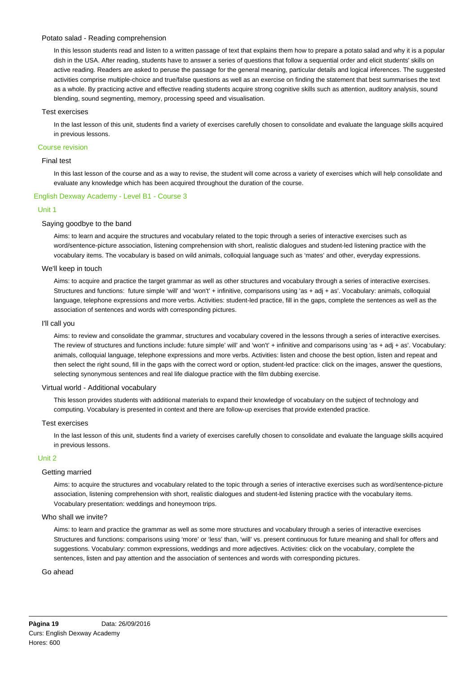## Potato salad - Reading comprehension

In this lesson students read and listen to a written passage of text that explains them how to prepare a potato salad and why it is a popular dish in the USA. After reading, students have to answer a series of questions that follow a sequential order and elicit students' skills on active reading. Readers are asked to peruse the passage for the general meaning, particular details and logical inferences. The suggested activities comprise multiple-choice and true/false questions as well as an exercise on finding the statement that best summarises the text as a whole. By practicing active and effective reading students acquire strong cognitive skills such as attention, auditory analysis, sound blending, sound segmenting, memory, processing speed and visualisation.

## Test exercises

In the last lesson of this unit, students find a variety of exercises carefully chosen to consolidate and evaluate the language skills acquired in previous lessons.

## Course revision

## Final test

In this last lesson of the course and as a way to revise, the student will come across a variety of exercises which will help consolidate and evaluate any knowledge which has been acquired throughout the duration of the course.

## English Dexway Academy - Level B1 - Course 3

#### Unit 1

## Saying goodbye to the band

Aims: to learn and acquire the structures and vocabulary related to the topic through a series of interactive exercises such as word/sentence-picture association, listening comprehension with short, realistic dialogues and student-led listening practice with the vocabulary items. The vocabulary is based on wild animals, colloquial language such as 'mates' and other, everyday expressions.

## We'll keep in touch

Aims: to acquire and practice the target grammar as well as other structures and vocabulary through a series of interactive exercises. Structures and functions: future simple 'will' and 'won't' + infinitive, comparisons using 'as + adj + as'. Vocabulary: animals, colloquial language, telephone expressions and more verbs. Activities: student-led practice, fill in the gaps, complete the sentences as well as the association of sentences and words with corresponding pictures.

#### I'll call you

Aims: to review and consolidate the grammar, structures and vocabulary covered in the lessons through a series of interactive exercises. The review of structures and functions include: future simple' will' and 'won't' + infinitive and comparisons using 'as + adj + as'. Vocabulary: animals, colloquial language, telephone expressions and more verbs. Activities: listen and choose the best option, listen and repeat and then select the right sound, fill in the gaps with the correct word or option, student-led practice: click on the images, answer the questions, selecting synonymous sentences and real life dialogue practice with the film dubbing exercise.

#### Virtual world - Additional vocabulary

This lesson provides students with additional materials to expand their knowledge of vocabulary on the subject of technology and computing. Vocabulary is presented in context and there are follow-up exercises that provide extended practice.

#### Test exercises

In the last lesson of this unit, students find a variety of exercises carefully chosen to consolidate and evaluate the language skills acquired in previous lessons.

#### Unit 2

#### Getting married

Aims: to acquire the structures and vocabulary related to the topic through a series of interactive exercises such as word/sentence-picture association, listening comprehension with short, realistic dialogues and student-led listening practice with the vocabulary items. Vocabulary presentation: weddings and honeymoon trips.

#### Who shall we invite?

Aims: to learn and practice the grammar as well as some more structures and vocabulary through a series of interactive exercises Structures and functions: comparisons using 'more' or 'less' than, 'will' vs. present continuous for future meaning and shall for offers and suggestions. Vocabulary: common expressions, weddings and more adjectives. Activities: click on the vocabulary, complete the sentences, listen and pay attention and the association of sentences and words with corresponding pictures.

### Go ahead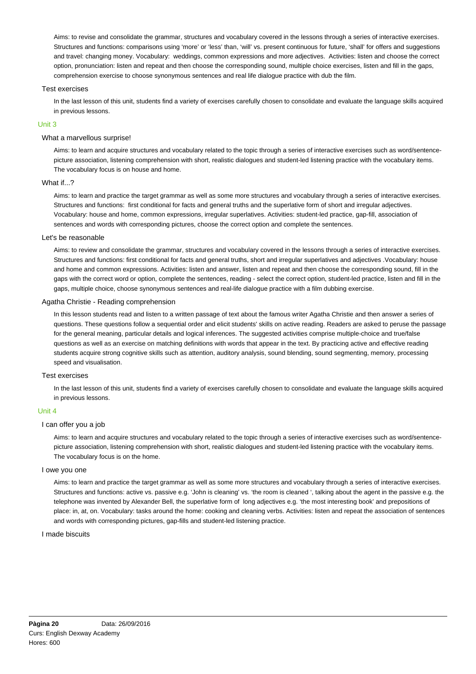Aims: to revise and consolidate the grammar, structures and vocabulary covered in the lessons through a series of interactive exercises. Structures and functions: comparisons using 'more' or 'less' than, 'will' vs. present continuous for future, 'shall' for offers and suggestions and travel: changing money. Vocabulary: weddings, common expressions and more adjectives. Activities: listen and choose the correct option, pronunciation: listen and repeat and then choose the corresponding sound, multiple choice exercises, listen and fill in the gaps, comprehension exercise to choose synonymous sentences and real life dialogue practice with dub the film.

## Test exercises

In the last lesson of this unit, students find a variety of exercises carefully chosen to consolidate and evaluate the language skills acquired in previous lessons.

## Unit 3

#### What a marvellous surprise!

Aims: to learn and acquire structures and vocabulary related to the topic through a series of interactive exercises such as word/sentencepicture association, listening comprehension with short, realistic dialogues and student-led listening practice with the vocabulary items. The vocabulary focus is on house and home.

## What if...?

Aims: to learn and practice the target grammar as well as some more structures and vocabulary through a series of interactive exercises. Structures and functions: first conditional for facts and general truths and the superlative form of short and irregular adjectives. Vocabulary: house and home, common expressions, irregular superlatives. Activities: student-led practice, gap-fill, association of sentences and words with corresponding pictures, choose the correct option and complete the sentences.

## Let's be reasonable

Aims: to review and consolidate the grammar, structures and vocabulary covered in the lessons through a series of interactive exercises. Structures and functions: first conditional for facts and general truths, short and irregular superlatives and adjectives .Vocabulary: house and home and common expressions. Activities: listen and answer, listen and repeat and then choose the corresponding sound, fill in the gaps with the correct word or option, complete the sentences, reading - select the correct option, student-led practice, listen and fill in the gaps, multiple choice, choose synonymous sentences and real-life dialogue practice with a film dubbing exercise.

## Agatha Christie - Reading comprehension

In this lesson students read and listen to a written passage of text about the famous writer Agatha Christie and then answer a series of questions. These questions follow a sequential order and elicit students' skills on active reading. Readers are asked to peruse the passage for the general meaning, particular details and logical inferences. The suggested activities comprise multiple-choice and true/false questions as well as an exercise on matching definitions with words that appear in the text. By practicing active and effective reading students acquire strong cognitive skills such as attention, auditory analysis, sound blending, sound segmenting, memory, processing speed and visualisation.

## Test exercises

In the last lesson of this unit, students find a variety of exercises carefully chosen to consolidate and evaluate the language skills acquired in previous lessons.

#### Unit 4

## I can offer you a job

Aims: to learn and acquire structures and vocabulary related to the topic through a series of interactive exercises such as word/sentencepicture association, listening comprehension with short, realistic dialogues and student-led listening practice with the vocabulary items. The vocabulary focus is on the home.

### I owe you one

Aims: to learn and practice the target grammar as well as some more structures and vocabulary through a series of interactive exercises. Structures and functions: active vs. passive e.g. 'John is cleaning' vs. 'the room is cleaned ', talking about the agent in the passive e.g. the telephone was invented by Alexander Bell, the superlative form of long adjectives e.g. 'the most interesting book' and prepositions of place: in, at, on. Vocabulary: tasks around the home: cooking and cleaning verbs. Activities: listen and repeat the association of sentences and words with corresponding pictures, gap-fills and student-led listening practice.

#### I made biscuits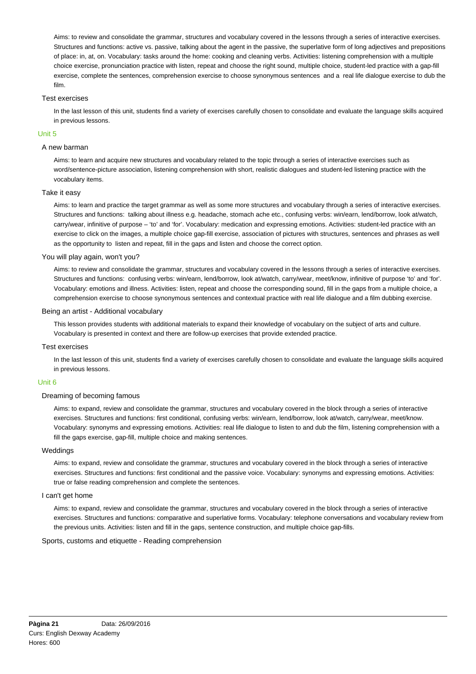Aims: to review and consolidate the grammar, structures and vocabulary covered in the lessons through a series of interactive exercises. Structures and functions: active vs. passive, talking about the agent in the passive, the superlative form of long adjectives and prepositions of place: in, at, on. Vocabulary: tasks around the home: cooking and cleaning verbs. Activities: listening comprehension with a multiple choice exercise, pronunciation practice with listen, repeat and choose the right sound, multiple choice, student-led practice with a gap-fill exercise, complete the sentences, comprehension exercise to choose synonymous sentences and a real life dialogue exercise to dub the film.

## Test exercises

In the last lesson of this unit, students find a variety of exercises carefully chosen to consolidate and evaluate the language skills acquired in previous lessons.

## Unit 5

## A new barman

Aims: to learn and acquire new structures and vocabulary related to the topic through a series of interactive exercises such as word/sentence-picture association, listening comprehension with short, realistic dialogues and student-led listening practice with the vocabulary items.

## Take it easy

Aims: to learn and practice the target grammar as well as some more structures and vocabulary through a series of interactive exercises. Structures and functions: talking about illness e.g. headache, stomach ache etc., confusing verbs: win/earn, lend/borrow, look at/watch, carry/wear, infinitive of purpose – 'to' and 'for'. Vocabulary: medication and expressing emotions. Activities: student-led practice with an exercise to click on the images, a multiple choice gap-fill exercise, association of pictures with structures, sentences and phrases as well as the opportunity to listen and repeat, fill in the gaps and listen and choose the correct option.

## You will play again, won't you?

Aims: to review and consolidate the grammar, structures and vocabulary covered in the lessons through a series of interactive exercises. Structures and functions: confusing verbs: win/earn, lend/borrow, look at/watch, carry/wear, meet/know, infinitive of purpose 'to' and 'for'. Vocabulary: emotions and illness. Activities: listen, repeat and choose the corresponding sound, fill in the gaps from a multiple choice, a comprehension exercise to choose synonymous sentences and contextual practice with real life dialogue and a film dubbing exercise.

## Being an artist - Additional vocabulary

This lesson provides students with additional materials to expand their knowledge of vocabulary on the subject of arts and culture. Vocabulary is presented in context and there are follow-up exercises that provide extended practice.

### Test exercises

In the last lesson of this unit, students find a variety of exercises carefully chosen to consolidate and evaluate the language skills acquired in previous lessons.

#### Unit 6

## Dreaming of becoming famous

Aims: to expand, review and consolidate the grammar, structures and vocabulary covered in the block through a series of interactive exercises. Structures and functions: first conditional, confusing verbs: win/earn, lend/borrow, look at/watch, carry/wear, meet/know. Vocabulary: synonyms and expressing emotions. Activities: real life dialogue to listen to and dub the film, listening comprehension with a fill the gaps exercise, gap-fill, multiple choice and making sentences.

### Weddings

Aims: to expand, review and consolidate the grammar, structures and vocabulary covered in the block through a series of interactive exercises. Structures and functions: first conditional and the passive voice. Vocabulary: synonyms and expressing emotions. Activities: true or false reading comprehension and complete the sentences.

#### I can't get home

Aims: to expand, review and consolidate the grammar, structures and vocabulary covered in the block through a series of interactive exercises. Structures and functions: comparative and superlative forms. Vocabulary: telephone conversations and vocabulary review from the previous units. Activities: listen and fill in the gaps, sentence construction, and multiple choice gap-fills.

### Sports, customs and etiquette - Reading comprehension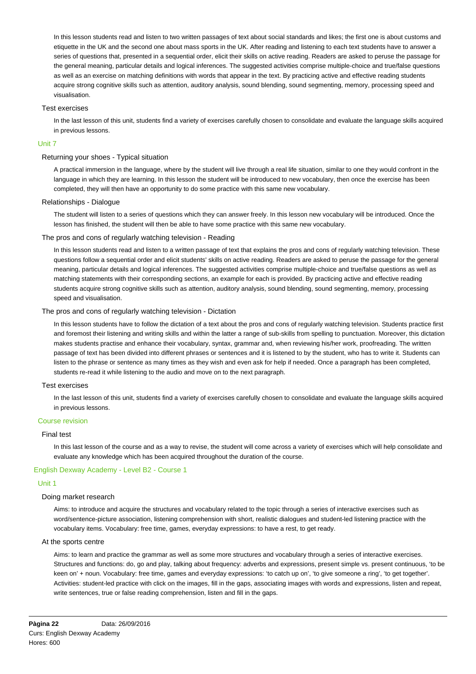In this lesson students read and listen to two written passages of text about social standards and likes; the first one is about customs and etiquette in the UK and the second one about mass sports in the UK. After reading and listening to each text students have to answer a series of questions that, presented in a sequential order, elicit their skills on active reading. Readers are asked to peruse the passage for the general meaning, particular details and logical inferences. The suggested activities comprise multiple-choice and true/false questions as well as an exercise on matching definitions with words that appear in the text. By practicing active and effective reading students acquire strong cognitive skills such as attention, auditory analysis, sound blending, sound segmenting, memory, processing speed and visualisation.

## Test exercises

In the last lesson of this unit, students find a variety of exercises carefully chosen to consolidate and evaluate the language skills acquired in previous lessons.

#### Unit 7

## Returning your shoes - Typical situation

A practical immersion in the language, where by the student will live through a real life situation, similar to one they would confront in the language in which they are learning. In this lesson the student will be introduced to new vocabulary, then once the exercise has been completed, they will then have an opportunity to do some practice with this same new vocabulary.

## Relationships - Dialogue

The student will listen to a series of questions which they can answer freely. In this lesson new vocabulary will be introduced. Once the lesson has finished, the student will then be able to have some practice with this same new vocabulary.

## The pros and cons of regularly watching television - Reading

In this lesson students read and listen to a written passage of text that explains the pros and cons of regularly watching television. These questions follow a sequential order and elicit students' skills on active reading. Readers are asked to peruse the passage for the general meaning, particular details and logical inferences. The suggested activities comprise multiple-choice and true/false questions as well as matching statements with their corresponding sections, an example for each is provided. By practicing active and effective reading students acquire strong cognitive skills such as attention, auditory analysis, sound blending, sound segmenting, memory, processing speed and visualisation.

## The pros and cons of regularly watching television - Dictation

In this lesson students have to follow the dictation of a text about the pros and cons of regularly watching television. Students practice first and foremost their listening and writing skills and within the latter a range of sub-skills from spelling to punctuation. Moreover, this dictation makes students practise and enhance their vocabulary, syntax, grammar and, when reviewing his/her work, proofreading. The written passage of text has been divided into different phrases or sentences and it is listened to by the student, who has to write it. Students can listen to the phrase or sentence as many times as they wish and even ask for help if needed. Once a paragraph has been completed, students re-read it while listening to the audio and move on to the next paragraph.

#### Test exercises

In the last lesson of this unit, students find a variety of exercises carefully chosen to consolidate and evaluate the language skills acquired in previous lessons.

#### Course revision

#### Final test

In this last lesson of the course and as a way to revise, the student will come across a variety of exercises which will help consolidate and evaluate any knowledge which has been acquired throughout the duration of the course.

## English Dexway Academy - Level B2 - Course 1

#### Unit 1

# Doing market research

Aims: to introduce and acquire the structures and vocabulary related to the topic through a series of interactive exercises such as word/sentence-picture association, listening comprehension with short, realistic dialogues and student-led listening practice with the vocabulary items. Vocabulary: free time, games, everyday expressions: to have a rest, to get ready.

## At the sports centre

Aims: to learn and practice the grammar as well as some more structures and vocabulary through a series of interactive exercises. Structures and functions: do, go and play, talking about frequency: adverbs and expressions, present simple vs. present continuous, 'to be keen on' + noun. Vocabulary: free time, games and everyday expressions: 'to catch up on', 'to give someone a ring', 'to get together'. Activities: student-led practice with click on the images, fill in the gaps, associating images with words and expressions, listen and repeat, write sentences, true or false reading comprehension, listen and fill in the gaps.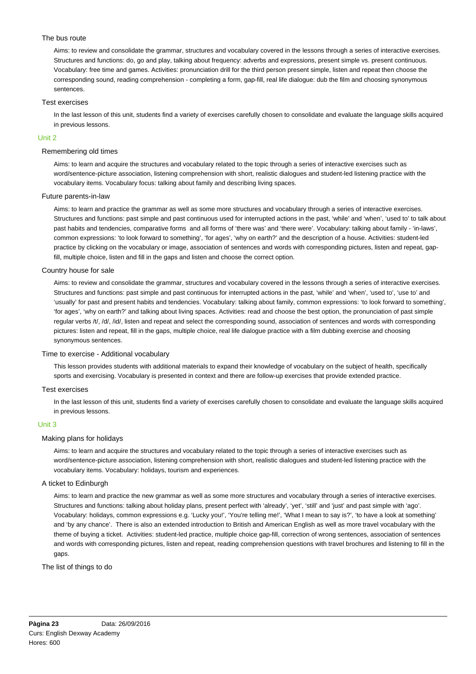## The bus route

Aims: to review and consolidate the grammar, structures and vocabulary covered in the lessons through a series of interactive exercises. Structures and functions: do, go and play, talking about frequency: adverbs and expressions, present simple vs. present continuous. Vocabulary: free time and games. Activities: pronunciation drill for the third person present simple, listen and repeat then choose the corresponding sound, reading comprehension - completing a form, gap-fill, real life dialogue: dub the film and choosing synonymous sentences.

## Test exercises

In the last lesson of this unit, students find a variety of exercises carefully chosen to consolidate and evaluate the language skills acquired in previous lessons.

## Unit 2

## Remembering old times

Aims: to learn and acquire the structures and vocabulary related to the topic through a series of interactive exercises such as word/sentence-picture association, listening comprehension with short, realistic dialogues and student-led listening practice with the vocabulary items. Vocabulary focus: talking about family and describing living spaces.

## Future parents-in-law

Aims: to learn and practice the grammar as well as some more structures and vocabulary through a series of interactive exercises. Structures and functions: past simple and past continuous used for interrupted actions in the past, 'while' and 'when', 'used to' to talk about past habits and tendencies, comparative forms and all forms of 'there was' and 'there were'. Vocabulary: talking about family - 'in-laws', common expressions: 'to look forward to something', 'for ages', 'why on earth?' and the description of a house. Activities: student-led practice by clicking on the vocabulary or image, association of sentences and words with corresponding pictures, listen and repeat, gapfill, multiple choice, listen and fill in the gaps and listen and choose the correct option.

## Country house for sale

Aims: to review and consolidate the grammar, structures and vocabulary covered in the lessons through a series of interactive exercises. Structures and functions: past simple and past continuous for interrupted actions in the past, 'while' and 'when', 'used to', 'use to' and 'usually' for past and present habits and tendencies. Vocabulary: talking about family, common expressions: 'to look forward to something', 'for ages', 'why on earth?' and talking about living spaces. Activities: read and choose the best option, the pronunciation of past simple regular verbs /t/, /d/, /id/, listen and repeat and select the corresponding sound, association of sentences and words with corresponding pictures: listen and repeat, fill in the gaps, multiple choice, real life dialogue practice with a film dubbing exercise and choosing synonymous sentences.

### Time to exercise - Additional vocabulary

This lesson provides students with additional materials to expand their knowledge of vocabulary on the subject of health, specifically sports and exercising. Vocabulary is presented in context and there are follow-up exercises that provide extended practice.

#### Test exercises

In the last lesson of this unit, students find a variety of exercises carefully chosen to consolidate and evaluate the language skills acquired in previous lessons.

## Unit 3

#### Making plans for holidays

Aims: to learn and acquire the structures and vocabulary related to the topic through a series of interactive exercises such as word/sentence-picture association, listening comprehension with short, realistic dialogues and student-led listening practice with the vocabulary items. Vocabulary: holidays, tourism and experiences.

#### A ticket to Edinburgh

Aims: to learn and practice the new grammar as well as some more structures and vocabulary through a series of interactive exercises. Structures and functions: talking about holiday plans, present perfect with 'already', 'yet', 'still' and 'just' and past simple with 'ago'. Vocabulary: holidays, common expressions e.g. 'Lucky you!', 'You're telling me!', 'What I mean to say is?', 'to have a look at something' and 'by any chance'. There is also an extended introduction to British and American English as well as more travel vocabulary with the theme of buying a ticket. Activities: student-led practice, multiple choice gap-fill, correction of wrong sentences, association of sentences and words with corresponding pictures, listen and repeat, reading comprehension questions with travel brochures and listening to fill in the gaps.

## The list of things to do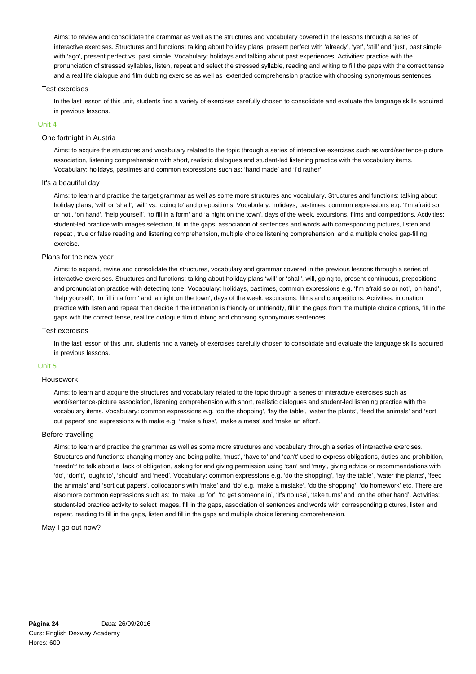Aims: to review and consolidate the grammar as well as the structures and vocabulary covered in the lessons through a series of interactive exercises. Structures and functions: talking about holiday plans, present perfect with 'already', 'yet', 'still' and 'just', past simple with 'ago', present perfect vs. past simple. Vocabulary: holidays and talking about past experiences. Activities: practice with the pronunciation of stressed syllables, listen, repeat and select the stressed syllable, reading and writing to fill the gaps with the correct tense and a real life dialogue and film dubbing exercise as well as extended comprehension practice with choosing synonymous sentences.

## Test exercises

In the last lesson of this unit, students find a variety of exercises carefully chosen to consolidate and evaluate the language skills acquired in previous lessons.

## Unit 4

## One fortnight in Austria

Aims: to acquire the structures and vocabulary related to the topic through a series of interactive exercises such as word/sentence-picture association, listening comprehension with short, realistic dialogues and student-led listening practice with the vocabulary items. Vocabulary: holidays, pastimes and common expressions such as: 'hand made' and 'I'd rather'.

## It's a beautiful day

Aims: to learn and practice the target grammar as well as some more structures and vocabulary. Structures and functions: talking about holiday plans, 'will' or 'shall', 'will' vs. 'going to' and prepositions. Vocabulary: holidays, pastimes, common expressions e.g. 'I'm afraid so or not', 'on hand', 'help yourself', 'to fill in a form' and 'a night on the town', days of the week, excursions, films and competitions. Activities: student-led practice with images selection, fill in the gaps, association of sentences and words with corresponding pictures, listen and repeat , true or false reading and listening comprehension, multiple choice listening comprehension, and a multiple choice gap-filling exercise.

## Plans for the new year

Aims: to expand, revise and consolidate the structures, vocabulary and grammar covered in the previous lessons through a series of interactive exercises. Structures and functions: talking about holiday plans 'will' or 'shall', will, going to, present continuous, prepositions and pronunciation practice with detecting tone. Vocabulary: holidays, pastimes, common expressions e.g. 'I'm afraid so or not', 'on hand', 'help yourself', 'to fill in a form' and 'a night on the town', days of the week, excursions, films and competitions. Activities: intonation practice with listen and repeat then decide if the intonation is friendly or unfriendly, fill in the gaps from the multiple choice options, fill in the gaps with the correct tense, real life dialogue film dubbing and choosing synonymous sentences.

#### Test exercises

In the last lesson of this unit, students find a variety of exercises carefully chosen to consolidate and evaluate the language skills acquired in previous lessons.

#### Unit 5

#### Housework

Aims: to learn and acquire the structures and vocabulary related to the topic through a series of interactive exercises such as word/sentence-picture association, listening comprehension with short, realistic dialogues and student-led listening practice with the vocabulary items. Vocabulary: common expressions e.g. 'do the shopping', 'lay the table', 'water the plants', 'feed the animals' and 'sort out papers' and expressions with make e.g. 'make a fuss', 'make a mess' and 'make an effort'.

#### Before travelling

Aims: to learn and practice the grammar as well as some more structures and vocabulary through a series of interactive exercises. Structures and functions: changing money and being polite, 'must', 'have to' and 'can't' used to express obligations, duties and prohibition, 'needn't' to talk about a lack of obligation, asking for and giving permission using 'can' and 'may', giving advice or recommendations with 'do', 'don't', 'ought to', 'should' and 'need'. Vocabulary: common expressions e.g. 'do the shopping', 'lay the table', 'water the plants', 'feed the animals' and 'sort out papers', collocations with 'make' and 'do' e.g. 'make a mistake', 'do the shopping', 'do homework' etc. There are also more common expressions such as: 'to make up for', 'to get someone in', 'it's no use', 'take turns' and 'on the other hand'. Activities: student-led practice activity to select images, fill in the gaps, association of sentences and words with corresponding pictures, listen and repeat, reading to fill in the gaps, listen and fill in the gaps and multiple choice listening comprehension.

#### May I go out now?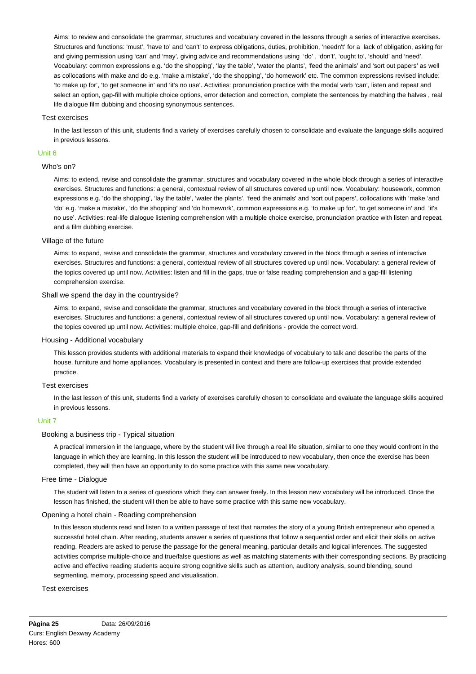Aims: to review and consolidate the grammar, structures and vocabulary covered in the lessons through a series of interactive exercises. Structures and functions: 'must', 'have to' and 'can't' to express obligations, duties, prohibition, 'needn't' for a lack of obligation, asking for and giving permission using 'can' and 'may', giving advice and recommendations using 'do' , 'don't', 'ought to', 'should' and 'need'. Vocabulary: common expressions e.g. 'do the shopping', 'lay the table', 'water the plants', 'feed the animals' and 'sort out papers' as well as collocations with make and do e.g. 'make a mistake', 'do the shopping', 'do homework' etc. The common expressions revised include: 'to make up for', 'to get someone in' and 'it's no use'. Activities: pronunciation practice with the modal verb 'can', listen and repeat and select an option, gap-fill with multiple choice options, error detection and correction, complete the sentences by matching the halves , real life dialogue film dubbing and choosing synonymous sentences.

## Test exercises

In the last lesson of this unit, students find a variety of exercises carefully chosen to consolidate and evaluate the language skills acquired in previous lessons.

## Unit 6

#### Who's on?

Aims: to extend, revise and consolidate the grammar, structures and vocabulary covered in the whole block through a series of interactive exercises. Structures and functions: a general, contextual review of all structures covered up until now. Vocabulary: housework, common expressions e.g. 'do the shopping', 'lay the table', 'water the plants', 'feed the animals' and 'sort out papers', collocations with 'make 'and 'do' e.g. 'make a mistake', 'do the shopping' and 'do homework', common expressions e.g. 'to make up for', 'to get someone in' and 'it's no use'. Activities: real-life dialogue listening comprehension with a multiple choice exercise, pronunciation practice with listen and repeat, and a film dubbing exercise.

## Village of the future

Aims: to expand, revise and consolidate the grammar, structures and vocabulary covered in the block through a series of interactive exercises. Structures and functions: a general, contextual review of all structures covered up until now. Vocabulary: a general review of the topics covered up until now. Activities: listen and fill in the gaps, true or false reading comprehension and a gap-fill listening comprehension exercise.

#### Shall we spend the day in the countryside?

Aims: to expand, revise and consolidate the grammar, structures and vocabulary covered in the block through a series of interactive exercises. Structures and functions: a general, contextual review of all structures covered up until now. Vocabulary: a general review of the topics covered up until now. Activities: multiple choice, gap-fill and definitions - provide the correct word.

## Housing - Additional vocabulary

This lesson provides students with additional materials to expand their knowledge of vocabulary to talk and describe the parts of the house, furniture and home appliances. Vocabulary is presented in context and there are follow-up exercises that provide extended practice.

## Test exercises

In the last lesson of this unit, students find a variety of exercises carefully chosen to consolidate and evaluate the language skills acquired in previous lessons.

#### Unit 7

## Booking a business trip - Typical situation

A practical immersion in the language, where by the student will live through a real life situation, similar to one they would confront in the language in which they are learning. In this lesson the student will be introduced to new vocabulary, then once the exercise has been completed, they will then have an opportunity to do some practice with this same new vocabulary.

#### Free time - Dialogue

The student will listen to a series of questions which they can answer freely. In this lesson new vocabulary will be introduced. Once the lesson has finished, the student will then be able to have some practice with this same new vocabulary.

## Opening a hotel chain - Reading comprehension

In this lesson students read and listen to a written passage of text that narrates the story of a young British entrepreneur who opened a successful hotel chain. After reading, students answer a series of questions that follow a sequential order and elicit their skills on active reading. Readers are asked to peruse the passage for the general meaning, particular details and logical inferences. The suggested activities comprise multiple-choice and true/false questions as well as matching statements with their corresponding sections. By practicing active and effective reading students acquire strong cognitive skills such as attention, auditory analysis, sound blending, sound segmenting, memory, processing speed and visualisation.

#### Test exercises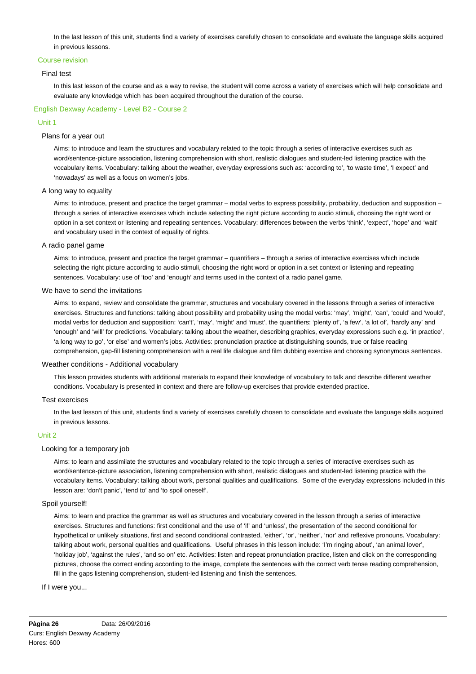In the last lesson of this unit, students find a variety of exercises carefully chosen to consolidate and evaluate the language skills acquired in previous lessons.

#### Course revision

## Final test

In this last lesson of the course and as a way to revise, the student will come across a variety of exercises which will help consolidate and evaluate any knowledge which has been acquired throughout the duration of the course.

# English Dexway Academy - Level B2 - Course 2

## Unit 1

## Plans for a year out

Aims: to introduce and learn the structures and vocabulary related to the topic through a series of interactive exercises such as word/sentence-picture association, listening comprehension with short, realistic dialogues and student-led listening practice with the vocabulary items. Vocabulary: talking about the weather, everyday expressions such as: 'according to', 'to waste time', 'I expect' and 'nowadays' as well as a focus on women's jobs.

## A long way to equality

Aims: to introduce, present and practice the target grammar – modal verbs to express possibility, probability, deduction and supposition – through a series of interactive exercises which include selecting the right picture according to audio stimuli, choosing the right word or option in a set context or listening and repeating sentences. Vocabulary: differences between the verbs 'think', 'expect', 'hope' and 'wait' and vocabulary used in the context of equality of rights.

# A radio panel game

Aims: to introduce, present and practice the target grammar – quantifiers – through a series of interactive exercises which include selecting the right picture according to audio stimuli, choosing the right word or option in a set context or listening and repeating sentences. Vocabulary: use of 'too' and 'enough' and terms used in the context of a radio panel game.

## We have to send the invitations

Aims: to expand, review and consolidate the grammar, structures and vocabulary covered in the lessons through a series of interactive exercises. Structures and functions: talking about possibility and probability using the modal verbs: 'may', 'might', 'can', 'could' and 'would', modal verbs for deduction and supposition: 'can't', 'may', 'might' and 'must', the quantifiers: 'plenty of', 'a few', 'a lot of', 'hardly any' and 'enough' and 'will' for predictions. Vocabulary: talking about the weather, describing graphics, everyday expressions such e.g. 'in practice', 'a long way to go', 'or else' and women's jobs. Activities: pronunciation practice at distinguishing sounds, true or false reading comprehension, gap-fill listening comprehension with a real life dialogue and film dubbing exercise and choosing synonymous sentences.

## Weather conditions - Additional vocabulary

This lesson provides students with additional materials to expand their knowledge of vocabulary to talk and describe different weather conditions. Vocabulary is presented in context and there are follow-up exercises that provide extended practice.

#### Test exercises

In the last lesson of this unit, students find a variety of exercises carefully chosen to consolidate and evaluate the language skills acquired in previous lessons.

### Unit 2

#### Looking for a temporary job

Aims: to learn and assimilate the structures and vocabulary related to the topic through a series of interactive exercises such as word/sentence-picture association, listening comprehension with short, realistic dialogues and student-led listening practice with the vocabulary items. Vocabulary: talking about work, personal qualities and qualifications. Some of the everyday expressions included in this lesson are: 'don't panic', 'tend to' and 'to spoil oneself'.

## Spoil yourself!

Aims: to learn and practice the grammar as well as structures and vocabulary covered in the lesson through a series of interactive exercises. Structures and functions: first conditional and the use of 'if' and 'unless', the presentation of the second conditional for hypothetical or unlikely situations, first and second conditional contrasted, 'either', 'or', 'neither', 'nor' and reflexive pronouns. Vocabulary: talking about work, personal qualities and qualifications. Useful phrases in this lesson include: 'I'm ringing about', 'an animal lover', 'holiday job', 'against the rules', 'and so on' etc. Activities: listen and repeat pronunciation practice, listen and click on the corresponding pictures, choose the correct ending according to the image, complete the sentences with the correct verb tense reading comprehension, fill in the gaps listening comprehension, student-led listening and finish the sentences.

#### If I were you...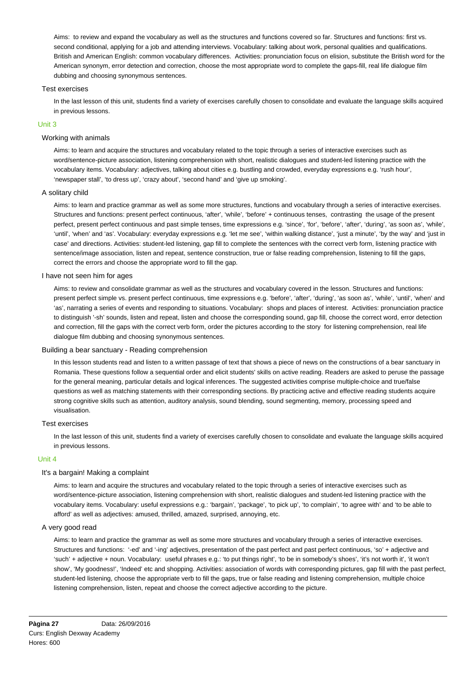Aims: to review and expand the vocabulary as well as the structures and functions covered so far. Structures and functions: first vs. second conditional, applying for a job and attending interviews. Vocabulary: talking about work, personal qualities and qualifications. British and American English: common vocabulary differences. Activities: pronunciation focus on elision, substitute the British word for the American synonym, error detection and correction, choose the most appropriate word to complete the gaps-fill, real life dialogue film dubbing and choosing synonymous sentences.

## Test exercises

In the last lesson of this unit, students find a variety of exercises carefully chosen to consolidate and evaluate the language skills acquired in previous lessons.

## Unit 3

#### Working with animals

Aims: to learn and acquire the structures and vocabulary related to the topic through a series of interactive exercises such as word/sentence-picture association, listening comprehension with short, realistic dialogues and student-led listening practice with the vocabulary items. Vocabulary: adjectives, talking about cities e.g. bustling and crowded, everyday expressions e.g. 'rush hour', 'newspaper stall', 'to dress up', 'crazy about', 'second hand' and 'give up smoking'.

## A solitary child

Aims: to learn and practice grammar as well as some more structures, functions and vocabulary through a series of interactive exercises. Structures and functions: present perfect continuous, 'after', 'while', 'before' + continuous tenses, contrasting the usage of the present perfect, present perfect continuous and past simple tenses, time expressions e.g. 'since', 'for', 'before', 'after', 'during', 'as soon as', 'while', 'until', 'when' and 'as'. Vocabulary: everyday expressions e.g. 'let me see', 'within walking distance', 'just a minute', 'by the way' and 'just in case' and directions. Activities: student-led listening, gap fill to complete the sentences with the correct verb form, listening practice with sentence/image association, listen and repeat, sentence construction, true or false reading comprehension, listening to fill the gaps, correct the errors and choose the appropriate word to fill the gap.

## I have not seen him for ages

Aims: to review and consolidate grammar as well as the structures and vocabulary covered in the lesson. Structures and functions: present perfect simple vs. present perfect continuous, time expressions e.g. 'before', 'after', 'during', 'as soon as', 'while', 'until', 'when' and 'as', narrating a series of events and responding to situations. Vocabulary: shops and places of interest. Activities: pronunciation practice to distinguish '-sh' sounds, listen and repeat, listen and choose the corresponding sound, gap fill, choose the correct word, error detection and correction, fill the gaps with the correct verb form, order the pictures according to the story for listening comprehension, real life dialogue film dubbing and choosing synonymous sentences.

#### Building a bear sanctuary - Reading comprehension

In this lesson students read and listen to a written passage of text that shows a piece of news on the constructions of a bear sanctuary in Romania. These questions follow a sequential order and elicit students' skills on active reading. Readers are asked to peruse the passage for the general meaning, particular details and logical inferences. The suggested activities comprise multiple-choice and true/false questions as well as matching statements with their corresponding sections. By practicing active and effective reading students acquire strong cognitive skills such as attention, auditory analysis, sound blending, sound segmenting, memory, processing speed and visualisation.

#### Test exercises

In the last lesson of this unit, students find a variety of exercises carefully chosen to consolidate and evaluate the language skills acquired in previous lessons.

## Unit 4

# It's a bargain! Making a complaint

Aims: to learn and acquire the structures and vocabulary related to the topic through a series of interactive exercises such as word/sentence-picture association, listening comprehension with short, realistic dialogues and student-led listening practice with the vocabulary items. Vocabulary: useful expressions e.g.: 'bargain', 'package', 'to pick up', 'to complain', 'to agree with' and 'to be able to afford' as well as adjectives: amused, thrilled, amazed, surprised, annoying, etc.

# A very good read

Aims: to learn and practice the grammar as well as some more structures and vocabulary through a series of interactive exercises. Structures and functions: '-ed' and '-ing' adjectives, presentation of the past perfect and past perfect continuous, 'so' + adjective and 'such' + adjective + noun. Vocabulary: useful phrases e.g.: 'to put things right', 'to be in somebody's shoes', 'it's not worth it', 'it won't show', 'My goodness!', 'Indeed' etc and shopping. Activities: association of words with corresponding pictures, gap fill with the past perfect, student-led listening, choose the appropriate verb to fill the gaps, true or false reading and listening comprehension, multiple choice listening comprehension, listen, repeat and choose the correct adjective according to the picture.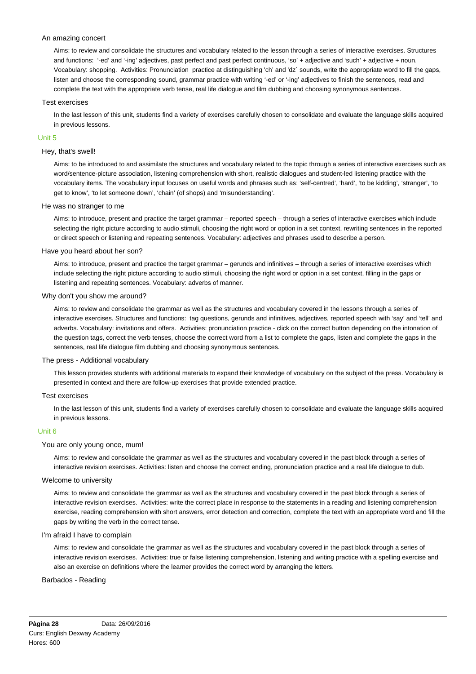## An amazing concert

Aims: to review and consolidate the structures and vocabulary related to the lesson through a series of interactive exercises. Structures and functions: '-ed' and '-ing' adjectives, past perfect and past perfect continuous, 'so' + adjective and 'such' + adjective + noun. Vocabulary: shopping. Activities: Pronunciation practice at distinguishing 'ch' and 'dz´ sounds, write the appropriate word to fill the gaps, listen and choose the corresponding sound, grammar practice with writing '-ed' or '-ing' adjectives to finish the sentences, read and complete the text with the appropriate verb tense, real life dialogue and film dubbing and choosing synonymous sentences.

#### Test exercises

In the last lesson of this unit, students find a variety of exercises carefully chosen to consolidate and evaluate the language skills acquired in previous lessons.

## Unit 5

### Hey, that's swell!

Aims: to be introduced to and assimilate the structures and vocabulary related to the topic through a series of interactive exercises such as word/sentence-picture association, listening comprehension with short, realistic dialogues and student-led listening practice with the vocabulary items. The vocabulary input focuses on useful words and phrases such as: 'self-centred', 'hard', 'to be kidding', 'stranger', 'to get to know', 'to let someone down', 'chain' (of shops) and 'misunderstanding'.

## He was no stranger to me

Aims: to introduce, present and practice the target grammar – reported speech – through a series of interactive exercises which include selecting the right picture according to audio stimuli, choosing the right word or option in a set context, rewriting sentences in the reported or direct speech or listening and repeating sentences. Vocabulary: adjectives and phrases used to describe a person.

## Have you heard about her son?

Aims: to introduce, present and practice the target grammar – gerunds and infinitives – through a series of interactive exercises which include selecting the right picture according to audio stimuli, choosing the right word or option in a set context, filling in the gaps or listening and repeating sentences. Vocabulary: adverbs of manner.

## Why don't you show me around?

Aims: to review and consolidate the grammar as well as the structures and vocabulary covered in the lessons through a series of interactive exercises. Structures and functions: tag questions, gerunds and infinitives, adjectives, reported speech with 'say' and 'tell' and adverbs. Vocabulary: invitations and offers. Activities: pronunciation practice - click on the correct button depending on the intonation of the question tags, correct the verb tenses, choose the correct word from a list to complete the gaps, listen and complete the gaps in the sentences, real life dialogue film dubbing and choosing synonymous sentences.

#### The press - Additional vocabulary

This lesson provides students with additional materials to expand their knowledge of vocabulary on the subject of the press. Vocabulary is presented in context and there are follow-up exercises that provide extended practice.

#### Test exercises

In the last lesson of this unit, students find a variety of exercises carefully chosen to consolidate and evaluate the language skills acquired in previous lessons.

#### Unit 6

#### You are only young once, mum!

Aims: to review and consolidate the grammar as well as the structures and vocabulary covered in the past block through a series of interactive revision exercises. Activities: listen and choose the correct ending, pronunciation practice and a real life dialogue to dub.

#### Welcome to university

Aims: to review and consolidate the grammar as well as the structures and vocabulary covered in the past block through a series of interactive revision exercises. Activities: write the correct place in response to the statements in a reading and listening comprehension exercise, reading comprehension with short answers, error detection and correction, complete the text with an appropriate word and fill the gaps by writing the verb in the correct tense.

## I'm afraid I have to complain

Aims: to review and consolidate the grammar as well as the structures and vocabulary covered in the past block through a series of interactive revision exercises. Activities: true or false listening comprehension, listening and writing practice with a spelling exercise and also an exercise on definitions where the learner provides the correct word by arranging the letters.

## Barbados - Reading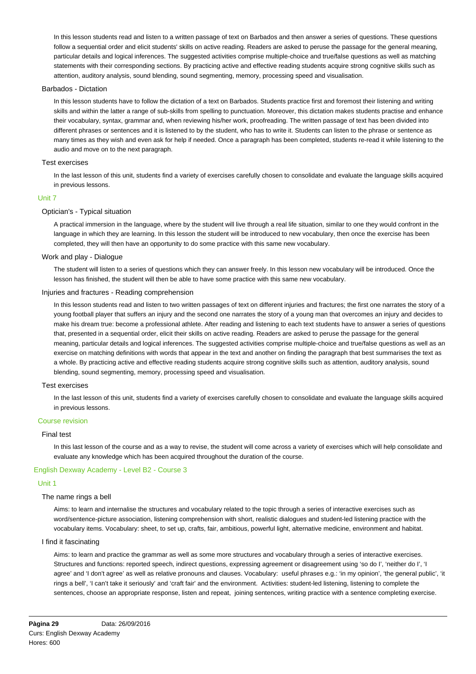In this lesson students read and listen to a written passage of text on Barbados and then answer a series of questions. These questions follow a sequential order and elicit students' skills on active reading. Readers are asked to peruse the passage for the general meaning, particular details and logical inferences. The suggested activities comprise multiple-choice and true/false questions as well as matching statements with their corresponding sections. By practicing active and effective reading students acquire strong cognitive skills such as attention, auditory analysis, sound blending, sound segmenting, memory, processing speed and visualisation.

### Barbados - Dictation

In this lesson students have to follow the dictation of a text on Barbados. Students practice first and foremost their listening and writing skills and within the latter a range of sub-skills from spelling to punctuation. Moreover, this dictation makes students practise and enhance their vocabulary, syntax, grammar and, when reviewing his/her work, proofreading. The written passage of text has been divided into different phrases or sentences and it is listened to by the student, who has to write it. Students can listen to the phrase or sentence as many times as they wish and even ask for help if needed. Once a paragraph has been completed, students re-read it while listening to the audio and move on to the next paragraph.

#### Test exercises

In the last lesson of this unit, students find a variety of exercises carefully chosen to consolidate and evaluate the language skills acquired in previous lessons.

## Unit 7

## Optician's - Typical situation

A practical immersion in the language, where by the student will live through a real life situation, similar to one they would confront in the language in which they are learning. In this lesson the student will be introduced to new vocabulary, then once the exercise has been completed, they will then have an opportunity to do some practice with this same new vocabulary.

#### Work and play - Dialogue

The student will listen to a series of questions which they can answer freely. In this lesson new vocabulary will be introduced. Once the lesson has finished, the student will then be able to have some practice with this same new vocabulary.

### Injuries and fractures - Reading comprehension

In this lesson students read and listen to two written passages of text on different injuries and fractures; the first one narrates the story of a young football player that suffers an injury and the second one narrates the story of a young man that overcomes an injury and decides to make his dream true: become a professional athlete. After reading and listening to each text students have to answer a series of questions that, presented in a sequential order, elicit their skills on active reading. Readers are asked to peruse the passage for the general meaning, particular details and logical inferences. The suggested activities comprise multiple-choice and true/false questions as well as an exercise on matching definitions with words that appear in the text and another on finding the paragraph that best summarises the text as a whole. By practicing active and effective reading students acquire strong cognitive skills such as attention, auditory analysis, sound blending, sound segmenting, memory, processing speed and visualisation.

## Test exercises

In the last lesson of this unit, students find a variety of exercises carefully chosen to consolidate and evaluate the language skills acquired in previous lessons.

#### Course revision

## Final test

In this last lesson of the course and as a way to revise, the student will come across a variety of exercises which will help consolidate and evaluate any knowledge which has been acquired throughout the duration of the course.

## English Dexway Academy - Level B2 - Course 3

## Unit 1

## The name rings a bell

Aims: to learn and internalise the structures and vocabulary related to the topic through a series of interactive exercises such as word/sentence-picture association, listening comprehension with short, realistic dialogues and student-led listening practice with the vocabulary items. Vocabulary: sheet, to set up, crafts, fair, ambitious, powerful light, alternative medicine, environment and habitat.

#### I find it fascinating

Aims: to learn and practice the grammar as well as some more structures and vocabulary through a series of interactive exercises. Structures and functions: reported speech, indirect questions, expressing agreement or disagreement using 'so do I', 'neither do I', 'I agree' and 'I don't agree' as well as relative pronouns and clauses. Vocabulary: useful phrases e.g.: 'in my opinion', 'the general public', 'it rings a bell', 'I can't take it seriously' and 'craft fair' and the environment. Activities: student-led listening, listening to complete the sentences, choose an appropriate response, listen and repeat, joining sentences, writing practice with a sentence completing exercise.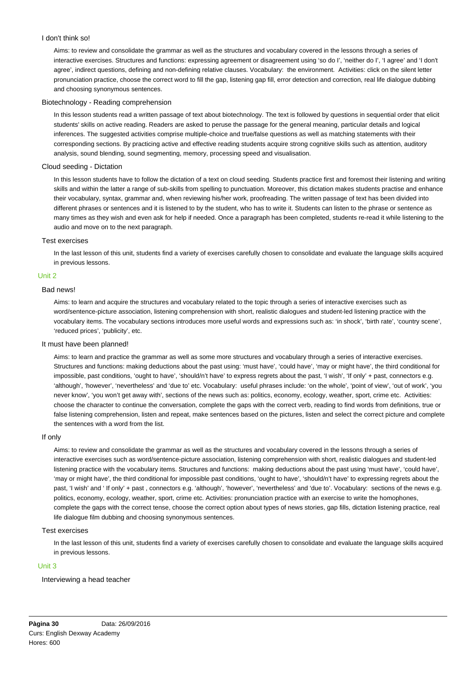## I don't think so!

Aims: to review and consolidate the grammar as well as the structures and vocabulary covered in the lessons through a series of interactive exercises. Structures and functions: expressing agreement or disagreement using 'so do I', 'neither do I', 'I agree' and 'I don't agree', indirect questions, defining and non-defining relative clauses. Vocabulary: the environment. Activities: click on the silent letter pronunciation practice, choose the correct word to fill the gap, listening gap fill, error detection and correction, real life dialogue dubbing and choosing synonymous sentences.

#### Biotechnology - Reading comprehension

In this lesson students read a written passage of text about biotechnology. The text is followed by questions in sequential order that elicit students' skills on active reading. Readers are asked to peruse the passage for the general meaning, particular details and logical inferences. The suggested activities comprise multiple-choice and true/false questions as well as matching statements with their corresponding sections. By practicing active and effective reading students acquire strong cognitive skills such as attention, auditory analysis, sound blending, sound segmenting, memory, processing speed and visualisation.

### Cloud seeding - Dictation

In this lesson students have to follow the dictation of a text on cloud seeding. Students practice first and foremost their listening and writing skills and within the latter a range of sub-skills from spelling to punctuation. Moreover, this dictation makes students practise and enhance their vocabulary, syntax, grammar and, when reviewing his/her work, proofreading. The written passage of text has been divided into different phrases or sentences and it is listened to by the student, who has to write it. Students can listen to the phrase or sentence as many times as they wish and even ask for help if needed. Once a paragraph has been completed, students re-read it while listening to the audio and move on to the next paragraph.

#### Test exercises

In the last lesson of this unit, students find a variety of exercises carefully chosen to consolidate and evaluate the language skills acquired in previous lessons.

## Unit 2

## Bad news!

Aims: to learn and acquire the structures and vocabulary related to the topic through a series of interactive exercises such as word/sentence-picture association, listening comprehension with short, realistic dialogues and student-led listening practice with the vocabulary items. The vocabulary sections introduces more useful words and expressions such as: 'in shock', 'birth rate', 'country scene', 'reduced prices', 'publicity', etc.

## It must have been planned!

Aims: to learn and practice the grammar as well as some more structures and vocabulary through a series of interactive exercises. Structures and functions: making deductions about the past using: 'must have', 'could have', 'may or might have', the third conditional for impossible, past conditions, 'ought to have', 'should/n't have' to express regrets about the past, 'I wish', 'If only' + past, connectors e.g. 'although', 'however', 'nevertheless' and 'due to' etc. Vocabulary: useful phrases include: 'on the whole', 'point of view', 'out of work', 'you never know', 'you won't get away with', sections of the news such as: politics, economy, ecology, weather, sport, crime etc. Activities: choose the character to continue the conversation, complete the gaps with the correct verb, reading to find words from definitions, true or false listening comprehension, listen and repeat, make sentences based on the pictures, listen and select the correct picture and complete the sentences with a word from the list.

#### If only

Aims: to review and consolidate the grammar as well as the structures and vocabulary covered in the lessons through a series of interactive exercises such as word/sentence-picture association, listening comprehension with short, realistic dialogues and student-led listening practice with the vocabulary items. Structures and functions: making deductions about the past using 'must have', 'could have', 'may or might have', the third conditional for impossible past conditions, 'ought to have', 'should/n't have' to expressing regrets about the past, 'I wish' and ' If only' + past , connectors e.g. 'although', 'however', 'nevertheless' and 'due to'. Vocabulary: sections of the news e.g. politics, economy, ecology, weather, sport, crime etc. Activities: pronunciation practice with an exercise to write the homophones, complete the gaps with the correct tense, choose the correct option about types of news stories, gap fills, dictation listening practice, real life dialogue film dubbing and choosing synonymous sentences.

### Test exercises

In the last lesson of this unit, students find a variety of exercises carefully chosen to consolidate and evaluate the language skills acquired in previous lessons.

## Unit 3

#### Interviewing a head teacher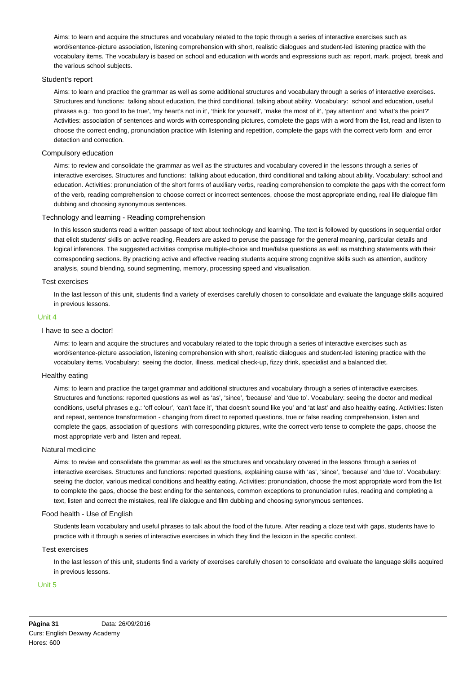Aims: to learn and acquire the structures and vocabulary related to the topic through a series of interactive exercises such as word/sentence-picture association, listening comprehension with short, realistic dialogues and student-led listening practice with the vocabulary items. The vocabulary is based on school and education with words and expressions such as: report, mark, project, break and the various school subjects.

## Student's report

Aims: to learn and practice the grammar as well as some additional structures and vocabulary through a series of interactive exercises. Structures and functions: talking about education, the third conditional, talking about ability. Vocabulary: school and education, useful phrases e.g.: 'too good to be true', 'my heart's not in it', 'think for yourself', 'make the most of it', 'pay attention' and 'what's the point?' Activities: association of sentences and words with corresponding pictures, complete the gaps with a word from the list, read and listen to choose the correct ending, pronunciation practice with listening and repetition, complete the gaps with the correct verb form and error detection and correction.

# Compulsory education

Aims: to review and consolidate the grammar as well as the structures and vocabulary covered in the lessons through a series of interactive exercises. Structures and functions: talking about education, third conditional and talking about ability. Vocabulary: school and education. Activities: pronunciation of the short forms of auxiliary verbs, reading comprehension to complete the gaps with the correct form of the verb, reading comprehension to choose correct or incorrect sentences, choose the most appropriate ending, real life dialogue film dubbing and choosing synonymous sentences.

#### Technology and learning - Reading comprehension

In this lesson students read a written passage of text about technology and learning. The text is followed by questions in sequential order that elicit students' skills on active reading. Readers are asked to peruse the passage for the general meaning, particular details and logical inferences. The suggested activities comprise multiple-choice and true/false questions as well as matching statements with their corresponding sections. By practicing active and effective reading students acquire strong cognitive skills such as attention, auditory analysis, sound blending, sound segmenting, memory, processing speed and visualisation.

#### Test exercises

In the last lesson of this unit, students find a variety of exercises carefully chosen to consolidate and evaluate the language skills acquired in previous lessons.

## Unit 4

## I have to see a doctor!

Aims: to learn and acquire the structures and vocabulary related to the topic through a series of interactive exercises such as word/sentence-picture association, listening comprehension with short, realistic dialogues and student-led listening practice with the vocabulary items. Vocabulary: seeing the doctor, illness, medical check-up, fizzy drink, specialist and a balanced diet.

## Healthy eating

Aims: to learn and practice the target grammar and additional structures and vocabulary through a series of interactive exercises. Structures and functions: reported questions as well as 'as', 'since', 'because' and 'due to'. Vocabulary: seeing the doctor and medical conditions, useful phrases e.g.: 'off colour', 'can't face it', 'that doesn't sound like you' and 'at last' and also healthy eating. Activities: listen and repeat, sentence transformation - changing from direct to reported questions, true or false reading comprehension, listen and complete the gaps, association of questions with corresponding pictures, write the correct verb tense to complete the gaps, choose the most appropriate verb and listen and repeat.

### Natural medicine

Aims: to revise and consolidate the grammar as well as the structures and vocabulary covered in the lessons through a series of interactive exercises. Structures and functions: reported questions, explaining cause with 'as', 'since', 'because' and 'due to'. Vocabulary: seeing the doctor, various medical conditions and healthy eating. Activities: pronunciation, choose the most appropriate word from the list to complete the gaps, choose the best ending for the sentences, common exceptions to pronunciation rules, reading and completing a text, listen and correct the mistakes, real life dialogue and film dubbing and choosing synonymous sentences.

## Food health - Use of English

Students learn vocabulary and useful phrases to talk about the food of the future. After reading a cloze text with gaps, students have to practice with it through a series of interactive exercises in which they find the lexicon in the specific context.

#### Test exercises

In the last lesson of this unit, students find a variety of exercises carefully chosen to consolidate and evaluate the language skills acquired in previous lessons.

## Unit 5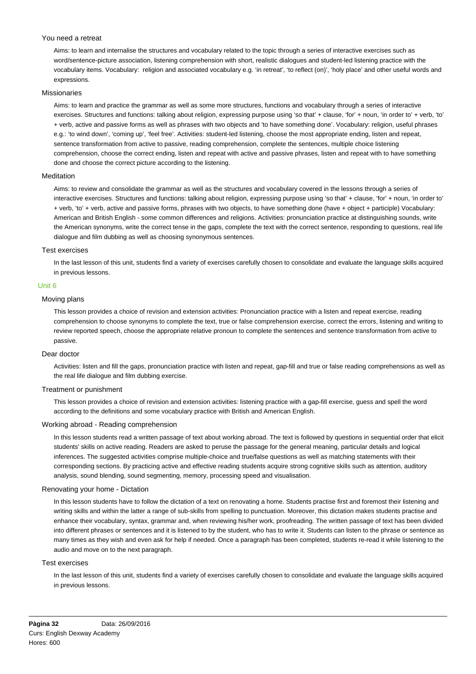## You need a retreat

Aims: to learn and internalise the structures and vocabulary related to the topic through a series of interactive exercises such as word/sentence-picture association, listening comprehension with short, realistic dialogues and student-led listening practice with the vocabulary items. Vocabulary: religion and associated vocabulary e.g. 'in retreat', 'to reflect (on)', 'holy place' and other useful words and expressions.

## Missionaries

Aims: to learn and practice the grammar as well as some more structures, functions and vocabulary through a series of interactive exercises. Structures and functions: talking about religion, expressing purpose using 'so that' + clause, 'for' + noun, 'in order to' + verb, 'to' + verb, active and passive forms as well as phrases with two objects and 'to have something done'. Vocabulary: religion, useful phrases e.g.: 'to wind down', 'coming up', 'feel free'. Activities: student-led listening, choose the most appropriate ending, listen and repeat, sentence transformation from active to passive, reading comprehension, complete the sentences, multiple choice listening comprehension, choose the correct ending, listen and repeat with active and passive phrases, listen and repeat with to have something done and choose the correct picture according to the listening.

## Meditation

Aims: to review and consolidate the grammar as well as the structures and vocabulary covered in the lessons through a series of interactive exercises. Structures and functions: talking about religion, expressing purpose using 'so that' + clause, 'for' + noun, 'in order to' + verb, 'to' + verb, active and passive forms, phrases with two objects, to have something done (have + object + participle) Vocabulary: American and British English - some common differences and religions. Activities: pronunciation practice at distinguishing sounds, write the American synonyms, write the correct tense in the gaps, complete the text with the correct sentence, responding to questions, real life dialogue and film dubbing as well as choosing synonymous sentences.

## Test exercises

In the last lesson of this unit, students find a variety of exercises carefully chosen to consolidate and evaluate the language skills acquired in previous lessons.

## Unit 6

## Moving plans

This lesson provides a choice of revision and extension activities: Pronunciation practice with a listen and repeat exercise, reading comprehension to choose synonyms to complete the text, true or false comprehension exercise, correct the errors, listening and writing to review reported speech, choose the appropriate relative pronoun to complete the sentences and sentence transformation from active to passive.

#### Dear doctor

Activities: listen and fill the gaps, pronunciation practice with listen and repeat, gap-fill and true or false reading comprehensions as well as the real life dialogue and film dubbing exercise.

#### Treatment or punishment

This lesson provides a choice of revision and extension activities: listening practice with a gap-fill exercise, guess and spell the word according to the definitions and some vocabulary practice with British and American English.

### Working abroad - Reading comprehension

In this lesson students read a written passage of text about working abroad. The text is followed by questions in sequential order that elicit students' skills on active reading. Readers are asked to peruse the passage for the general meaning, particular details and logical inferences. The suggested activities comprise multiple-choice and true/false questions as well as matching statements with their corresponding sections. By practicing active and effective reading students acquire strong cognitive skills such as attention, auditory analysis, sound blending, sound segmenting, memory, processing speed and visualisation.

#### Renovating your home - Dictation

In this lesson students have to follow the dictation of a text on renovating a home. Students practise first and foremost their listening and writing skills and within the latter a range of sub-skills from spelling to punctuation. Moreover, this dictation makes students practise and enhance their vocabulary, syntax, grammar and, when reviewing his/her work, proofreading. The written passage of text has been divided into different phrases or sentences and it is listened to by the student, who has to write it. Students can listen to the phrase or sentence as many times as they wish and even ask for help if needed. Once a paragraph has been completed, students re-read it while listening to the audio and move on to the next paragraph.

#### Test exercises

In the last lesson of this unit, students find a variety of exercises carefully chosen to consolidate and evaluate the language skills acquired in previous lessons.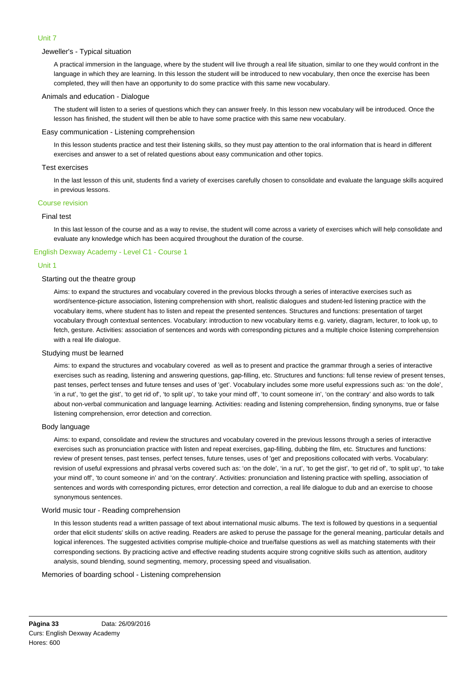## Unit 7

## Jeweller's - Typical situation

A practical immersion in the language, where by the student will live through a real life situation, similar to one they would confront in the language in which they are learning. In this lesson the student will be introduced to new vocabulary, then once the exercise has been completed, they will then have an opportunity to do some practice with this same new vocabulary.

## Animals and education - Dialogue

The student will listen to a series of questions which they can answer freely. In this lesson new vocabulary will be introduced. Once the lesson has finished, the student will then be able to have some practice with this same new vocabulary.

## Easy communication - Listening comprehension

In this lesson students practice and test their listening skills, so they must pay attention to the oral information that is heard in different exercises and answer to a set of related questions about easy communication and other topics.

### Test exercises

In the last lesson of this unit, students find a variety of exercises carefully chosen to consolidate and evaluate the language skills acquired in previous lessons.

## Course revision

## Final test

In this last lesson of the course and as a way to revise, the student will come across a variety of exercises which will help consolidate and evaluate any knowledge which has been acquired throughout the duration of the course.

# English Dexway Academy - Level C1 - Course 1

## Unit 1

## Starting out the theatre group

Aims: to expand the structures and vocabulary covered in the previous blocks through a series of interactive exercises such as word/sentence-picture association, listening comprehension with short, realistic dialogues and student-led listening practice with the vocabulary items, where student has to listen and repeat the presented sentences. Structures and functions: presentation of target vocabulary through contextual sentences. Vocabulary: introduction to new vocabulary items e.g. variety, diagram, lecturer, to look up, to fetch, gesture. Activities: association of sentences and words with corresponding pictures and a multiple choice listening comprehension with a real life dialogue.

#### Studying must be learned

Aims: to expand the structures and vocabulary covered as well as to present and practice the grammar through a series of interactive exercises such as reading, listening and answering questions, gap-filling, etc. Structures and functions: full tense review of present tenses, past tenses, perfect tenses and future tenses and uses of 'get'. Vocabulary includes some more useful expressions such as: 'on the dole', 'in a rut', 'to get the gist', 'to get rid of', 'to split up', 'to take your mind off', 'to count someone in', 'on the contrary' and also words to talk about non-verbal communication and language learning. Activities: reading and listening comprehension, finding synonyms, true or false listening comprehension, error detection and correction.

## Body language

Aims: to expand, consolidate and review the structures and vocabulary covered in the previous lessons through a series of interactive exercises such as pronunciation practice with listen and repeat exercises, gap-filling, dubbing the film, etc. Structures and functions: review of present tenses, past tenses, perfect tenses, future tenses, uses of 'get' and prepositions collocated with verbs. Vocabulary: revision of useful expressions and phrasal verbs covered such as: 'on the dole', 'in a rut', 'to get the gist', 'to get rid of', 'to split up', 'to take your mind off', 'to count someone in' and 'on the contrary'. Activities: pronunciation and listening practice with spelling, association of sentences and words with corresponding pictures, error detection and correction, a real life dialogue to dub and an exercise to choose synonymous sentences.

#### World music tour - Reading comprehension

In this lesson students read a written passage of text about international music albums. The text is followed by questions in a sequential order that elicit students' skills on active reading. Readers are asked to peruse the passage for the general meaning, particular details and logical inferences. The suggested activities comprise multiple-choice and true/false questions as well as matching statements with their corresponding sections. By practicing active and effective reading students acquire strong cognitive skills such as attention, auditory analysis, sound blending, sound segmenting, memory, processing speed and visualisation.

Memories of boarding school - Listening comprehension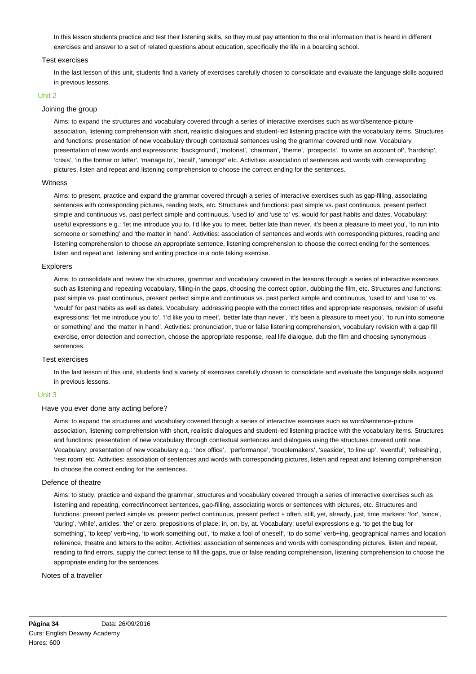In this lesson students practice and test their listening skills, so they must pay attention to the oral information that is heard in different exercises and answer to a set of related questions about education, specifically the life in a boarding school.

#### Test exercises

In the last lesson of this unit, students find a variety of exercises carefully chosen to consolidate and evaluate the language skills acquired in previous lessons.

### Unit 2

# Joining the group

Aims: to expand the structures and vocabulary covered through a series of interactive exercises such as word/sentence-picture association, listening comprehension with short, realistic dialogues and student-led listening practice with the vocabulary items. Structures and functions: presentation of new vocabulary through contextual sentences using the grammar covered until now. Vocabulary presentation of new words and expressions: 'background', 'motorist', 'chairman', 'theme', 'prospects', 'to write an account of', 'hardship', 'crisis', 'in the former or latter', 'manage to', 'recall', 'amongst' etc. Activities: association of sentences and words with corresponding pictures, listen and repeat and listening comprehension to choose the correct ending for the sentences.

#### **Witness**

Aims: to present, practice and expand the grammar covered through a series of interactive exercises such as gap-filling, associating sentences with corresponding pictures, reading texts, etc. Structures and functions: past simple vs. past continuous, present perfect simple and continuous vs. past perfect simple and continuous, 'used to' and 'use to' vs. would for past habits and dates. Vocabulary: useful expressions e.g.: 'let me introduce you to, I'd like you to meet, better late than never, it's been a pleasure to meet you', 'to run into someone or something' and 'the matter in hand'. Activities: association of sentences and words with corresponding pictures, reading and listening comprehension to choose an appropriate sentence, listening comprehension to choose the correct ending for the sentences, listen and repeat and listening and writing practice in a note taking exercise.

## Explorers

Aims: to consolidate and review the structures, grammar and vocabulary covered in the lessons through a series of interactive exercises such as listening and repeating vocabulary, filling-in the gaps, choosing the correct option, dubbing the film, etc. Structures and functions: past simple vs. past continuous, present perfect simple and continuous vs. past perfect simple and continuous, 'used to' and 'use to' vs. 'would' for past habits as well as dates. Vocabulary: addressing people with the correct titles and appropriate responses, revision of useful expressions: 'let me introduce you to', 'I'd like you to meet', 'better late than never', 'it's been a pleasure to meet you', 'to run into someone or something' and 'the matter in hand'. Activities: pronunciation, true or false listening comprehension, vocabulary revision with a gap fill exercise, error detection and correction, choose the appropriate response, real life dialogue, dub the film and choosing synonymous sentences.

#### Test exercises

In the last lesson of this unit, students find a variety of exercises carefully chosen to consolidate and evaluate the language skills acquired in previous lessons.

#### Unit 3

## Have you ever done any acting before?

Aims: to expand the structures and vocabulary covered through a series of interactive exercises such as word/sentence-picture association, listening comprehension with short, realistic dialogues and student-led listening practice with the vocabulary items. Structures and functions: presentation of new vocabulary through contextual sentences and dialogues using the structures covered until now. Vocabulary: presentation of new vocabulary e.g.: 'box office', 'performance', 'troublemakers', 'seaside', 'to line up', 'eventful', 'refreshing', 'rest room' etc. Activities: association of sentences and words with corresponding pictures, listen and repeat and listening comprehension to choose the correct ending for the sentences.

#### Defence of theatre

Aims: to study, practice and expand the grammar, structures and vocabulary covered through a series of interactive exercises such as listening and repeating, correct/incorrect sentences, gap-filling, associating words or sentences with pictures, etc. Structures and functions: present perfect simple vs. present perfect continuous, present perfect + often, still, yet, already, just, time markers: 'for', 'since', 'during', 'while', articles: 'the' or zero, prepositions of place: in, on, by, at. Vocabulary: useful expressions e.g. 'to get the bug for something', 'to keep' verb+ing, 'to work something out', 'to make a fool of oneself', 'to do some' verb+ing, geographical names and location reference, theatre and letters to the editor. Activities: association of sentences and words with corresponding pictures, listen and repeat, reading to find errors, supply the correct tense to fill the gaps, true or false reading comprehension, listening comprehension to choose the appropriate ending for the sentences.

## Notes of a traveller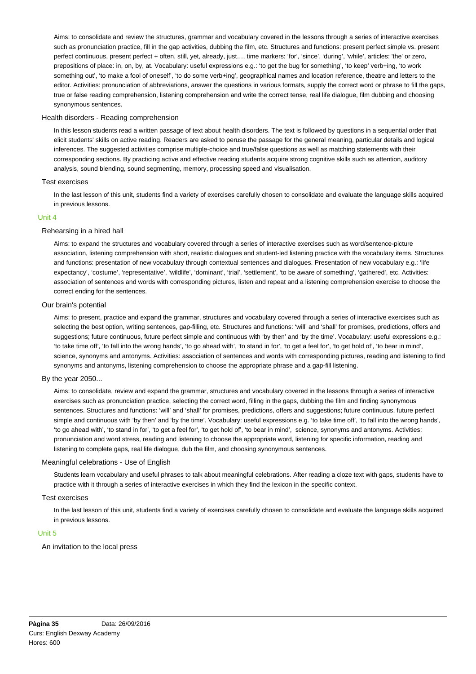Aims: to consolidate and review the structures, grammar and vocabulary covered in the lessons through a series of interactive exercises such as pronunciation practice, fill in the gap activities, dubbing the film, etc. Structures and functions: present perfect simple vs. present perfect continuous, present perfect + often, still, yet, already, just…, time markers: 'for', 'since', 'during', 'while', articles: 'the' or zero, prepositions of place: in, on, by, at. Vocabulary: useful expressions e.g.: 'to get the bug for something', 'to keep' verb+ing, 'to work something out', 'to make a fool of oneself', 'to do some verb+ing', geographical names and location reference, theatre and letters to the editor. Activities: pronunciation of abbreviations, answer the questions in various formats, supply the correct word or phrase to fill the gaps, true or false reading comprehension, listening comprehension and write the correct tense, real life dialogue, film dubbing and choosing synonymous sentences.

## Health disorders - Reading comprehension

In this lesson students read a written passage of text about health disorders. The text is followed by questions in a sequential order that elicit students' skills on active reading. Readers are asked to peruse the passage for the general meaning, particular details and logical inferences. The suggested activities comprise multiple-choice and true/false questions as well as matching statements with their corresponding sections. By practicing active and effective reading students acquire strong cognitive skills such as attention, auditory analysis, sound blending, sound segmenting, memory, processing speed and visualisation.

## Test exercises

In the last lesson of this unit, students find a variety of exercises carefully chosen to consolidate and evaluate the language skills acquired in previous lessons.

## Unit 4

## Rehearsing in a hired hall

Aims: to expand the structures and vocabulary covered through a series of interactive exercises such as word/sentence-picture association, listening comprehension with short, realistic dialogues and student-led listening practice with the vocabulary items. Structures and functions: presentation of new vocabulary through contextual sentences and dialogues. Presentation of new vocabulary e.g.: 'life expectancy', 'costume', 'representative', 'wildlife', 'dominant', 'trial', 'settlement', 'to be aware of something', 'gathered', etc. Activities: association of sentences and words with corresponding pictures, listen and repeat and a listening comprehension exercise to choose the correct ending for the sentences.

## Our brain's potential

Aims: to present, practice and expand the grammar, structures and vocabulary covered through a series of interactive exercises such as selecting the best option, writing sentences, gap-filling, etc. Structures and functions: 'will' and 'shall' for promises, predictions, offers and suggestions; future continuous, future perfect simple and continuous with 'by then' and 'by the time'. Vocabulary: useful expressions e.g.: 'to take time off', 'to fall into the wrong hands', 'to go ahead with', 'to stand in for', 'to get a feel for', 'to get hold of', 'to bear in mind', science, synonyms and antonyms. Activities: association of sentences and words with corresponding pictures, reading and listening to find synonyms and antonyms, listening comprehension to choose the appropriate phrase and a gap-fill listening.

#### By the year 2050...

Aims: to consolidate, review and expand the grammar, structures and vocabulary covered in the lessons through a series of interactive exercises such as pronunciation practice, selecting the correct word, filling in the gaps, dubbing the film and finding synonymous sentences. Structures and functions: 'will' and 'shall' for promises, predictions, offers and suggestions; future continuous, future perfect simple and continuous with 'by then' and 'by the time'. Vocabulary: useful expressions e.g. 'to take time off', 'to fall into the wrong hands', 'to go ahead with', 'to stand in for', 'to get a feel for', 'to get hold of', 'to bear in mind', science, synonyms and antonyms. Activities: pronunciation and word stress, reading and listening to choose the appropriate word, listening for specific information, reading and listening to complete gaps, real life dialogue, dub the film, and choosing synonymous sentences.

## Meaningful celebrations - Use of English

Students learn vocabulary and useful phrases to talk about meaningful celebrations. After reading a cloze text with gaps, students have to practice with it through a series of interactive exercises in which they find the lexicon in the specific context.

## Test exercises

In the last lesson of this unit, students find a variety of exercises carefully chosen to consolidate and evaluate the language skills acquired in previous lessons.

# Unit 5

An invitation to the local press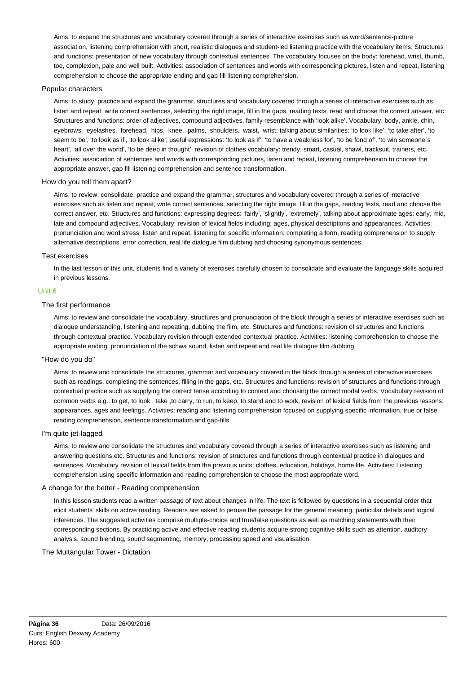Aims: to expand the structures and vocabulary covered through a series of interactive exercises such as word/sentence-picture association, listening comprehension with short, realistic dialogues and student-led listening practice with the vocabulary items. Structures and functions: presentation of new vocabulary through contextual sentences. The vocabulary focuses on the body: forehead, wrist, thumb, toe, complexion, pale and well built. Activities: association of sentences and words with corresponding pictures, listen and repeat, listening comprehension to choose the appropriate ending and gap fill listening comprehension.

## Popular characters

Aims: to study, practice and expand the grammar, structures and vocabulary covered through a series of interactive exercises such as listen and repeat, write correct sentences, selecting the right image, fill in the gaps, reading texts, read and choose the correct answer, etc. Structures and functions: order of adjectives, compound adjectives, family resemblance with 'look alike'. Vocabulary: body, ankle, chin, eyebrows, eyelashes, forehead, hips, knee, palms, shoulders, waist, wrist; talking about similarities: 'to look like', 'to take after', 'to seem to be', 'to look as if', 'to look alike'; useful expressions: 'to look as if', 'to have a weakness for', 'to be fond of', 'to win someone´s heart', 'all over the world', 'to be deep in thought', revision of clothes vocabulary: trendy, smart, casual, shawl, tracksuit, trainers, etc. Activities: association of sentences and words with corresponding pictures, listen and repeat, listening comprehension to choose the appropriate answer, gap fill listening comprehension and sentence transformation.

## How do you tell them apart?

Aims: to review, consolidate, practice and expand the grammar, structures and vocabulary covered through a series of interactive exercises such as listen and repeat, write correct sentences, selecting the right image, fill in the gaps, reading texts, read and choose the correct answer, etc. Structures and functions: expressing degrees: 'fairly', 'slightly', 'extremely', talking about approximate ages: early, mid, late and compound adjectives. Vocabulary: revision of lexical fields including: ages, physical descriptions and appearances. Activities: pronunciation and word stress, listen and repeat, listening for specific information: completing a form, reading comprehension to supply alternative descriptions, error correction, real life dialogue film dubbing and choosing synonymous sentences.

## Test exercises

In the last lesson of this unit, students find a variety of exercises carefully chosen to consolidate and evaluate the language skills acquired in previous lessons.

## Unit 6

## The first performance

Aims: to review and consolidate the vocabulary, structures and pronunciation of the block through a series of interactive exercises such as dialogue understanding, listening and repeating, dubbing the film, etc. Structures and functions: revision of structures and functions through contextual practice. Vocabulary revision through extended contextual practice. Activities: listening comprehension to choose the appropriate ending, pronunciation of the schwa sound, listen and repeat and real life dialogue film dubbing.

#### "How do you do"

Aims: to review and consolidate the structures, grammar and vocabulary covered in the block through a series of interactive exercises such as readings, completing the sentences, filling in the gaps, etc. Structures and functions: revision of structures and functions through contextual practice such as supplying the correct tense according to context and choosing the correct modal verbs. Vocabulary revision of common verbs e.g.: to get, to look , take ,to carry, to run, to keep, to stand and to work, revision of lexical fields from the previous lessons: appearances, ages and feelings. Activities: reading and listening comprehension focused on supplying specific information, true or false reading comprehension, sentence transformation and gap-fills.

## I'm quite jet-lagged

Aims: to review and consolidate the structures and vocabulary covered through a series of interactive exercises such as listening and answering questions etc. Structures and functions: revision of structures and functions through contextual practice in dialogues and sentences. Vocabulary revision of lexical fields from the previous units: clothes, education, holidays, home life. Activities: Listening comprehension using specific information and reading comprehension to choose the most appropriate word.

## A change for the better - Reading comprehension

In this lesson students read a written passage of text about changes in life. The text is followed by questions in a sequential order that elicit students' skills on active reading. Readers are asked to peruse the passage for the general meaning, particular details and logical inferences. The suggested activities comprise multiple-choice and true/false questions as well as matching statements with their corresponding sections. By practicing active and effective reading students acquire strong cognitive skills such as attention, auditory analysis, sound blending, sound segmenting, memory, processing speed and visualisation.

The Multangular Tower - Dictation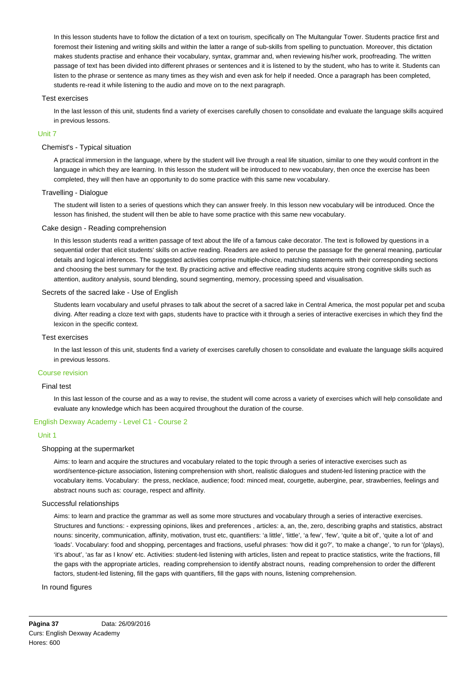In this lesson students have to follow the dictation of a text on tourism, specifically on The Multangular Tower. Students practice first and foremost their listening and writing skills and within the latter a range of sub-skills from spelling to punctuation. Moreover, this dictation makes students practise and enhance their vocabulary, syntax, grammar and, when reviewing his/her work, proofreading. The written passage of text has been divided into different phrases or sentences and it is listened to by the student, who has to write it. Students can listen to the phrase or sentence as many times as they wish and even ask for help if needed. Once a paragraph has been completed, students re-read it while listening to the audio and move on to the next paragraph.

## Test exercises

In the last lesson of this unit, students find a variety of exercises carefully chosen to consolidate and evaluate the language skills acquired in previous lessons.

## Unit 7

## Chemist's - Typical situation

A practical immersion in the language, where by the student will live through a real life situation, similar to one they would confront in the language in which they are learning. In this lesson the student will be introduced to new vocabulary, then once the exercise has been completed, they will then have an opportunity to do some practice with this same new vocabulary.

## Travelling - Dialogue

The student will listen to a series of questions which they can answer freely. In this lesson new vocabulary will be introduced. Once the lesson has finished, the student will then be able to have some practice with this same new vocabulary.

## Cake design - Reading comprehension

In this lesson students read a written passage of text about the life of a famous cake decorator. The text is followed by questions in a sequential order that elicit students' skills on active reading. Readers are asked to peruse the passage for the general meaning, particular details and logical inferences. The suggested activities comprise multiple-choice, matching statements with their corresponding sections and choosing the best summary for the text. By practicing active and effective reading students acquire strong cognitive skills such as attention, auditory analysis, sound blending, sound segmenting, memory, processing speed and visualisation.

## Secrets of the sacred lake - Use of English

Students learn vocabulary and useful phrases to talk about the secret of a sacred lake in Central America, the most popular pet and scuba diving. After reading a cloze text with gaps, students have to practice with it through a series of interactive exercises in which they find the lexicon in the specific context.

#### Test exercises

In the last lesson of this unit, students find a variety of exercises carefully chosen to consolidate and evaluate the language skills acquired in previous lessons.

## Course revision

## Final test

In this last lesson of the course and as a way to revise, the student will come across a variety of exercises which will help consolidate and evaluate any knowledge which has been acquired throughout the duration of the course.

## English Dexway Academy - Level C1 - Course 2

## Unit 1

#### Shopping at the supermarket

Aims: to learn and acquire the structures and vocabulary related to the topic through a series of interactive exercises such as word/sentence-picture association, listening comprehension with short, realistic dialogues and student-led listening practice with the vocabulary items. Vocabulary: the press, necklace, audience; food: minced meat, courgette, aubergine, pear, strawberries, feelings and abstract nouns such as: courage, respect and affinity.

### Successful relationships

Aims: to learn and practice the grammar as well as some more structures and vocabulary through a series of interactive exercises. Structures and functions: - expressing opinions, likes and preferences , articles: a, an, the, zero, describing graphs and statistics, abstract nouns: sincerity, communication, affinity, motivation, trust etc, quantifiers: 'a little', 'little', 'a few', 'few', 'quite a bit of', 'quite a lot of' and 'loads'. Vocabulary: food and shopping, percentages and fractions, useful phrases: 'how did it go?', 'to make a change', 'to run for '(plays), 'it's about', 'as far as I know' etc. Activities: student-led listening with articles, listen and repeat to practice statistics, write the fractions, fill the gaps with the appropriate articles, reading comprehension to identify abstract nouns, reading comprehension to order the different factors, student-led listening, fill the gaps with quantifiers, fill the gaps with nouns, listening comprehension.

#### In round figures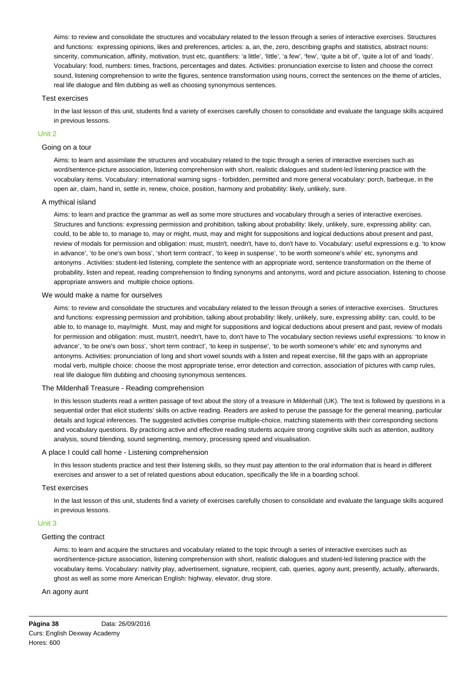Aims: to review and consolidate the structures and vocabulary related to the lesson through a series of interactive exercises. Structures and functions: expressing opinions, likes and preferences, articles: a, an, the, zero, describing graphs and statistics, abstract nouns: sincerity, communication, affinity, motivation, trust etc, quantifiers: 'a little', 'little', 'a few', 'few', 'quite a bit of', 'quite a lot of' and 'loads'. Vocabulary: food, numbers: times, fractions, percentages and dates. Activities: pronunciation exercise to listen and choose the correct sound, listening comprehension to write the figures, sentence transformation using nouns, correct the sentences on the theme of articles, real life dialogue and film dubbing as well as choosing synonymous sentences.

#### Test exercises

In the last lesson of this unit, students find a variety of exercises carefully chosen to consolidate and evaluate the language skills acquired in previous lessons.

#### Unit 2

#### Going on a tour

Aims: to learn and assimilate the structures and vocabulary related to the topic through a series of interactive exercises such as word/sentence-picture association, listening comprehension with short, realistic dialogues and student-led listening practice with the vocabulary items. Vocabulary: international warning signs - forbidden, permitted and more general vocabulary: porch, barbeque, in the open air, claim, hand in, settle in, renew, choice, position, harmony and probability: likely, unlikely, sure.

#### A mythical island

Aims: to learn and practice the grammar as well as some more structures and vocabulary through a series of interactive exercises. Structures and functions: expressing permission and prohibition, talking about probability: likely, unlikely, sure, expressing ability: can, could, to be able to, to manage to, may or might, must, may and might for suppositions and logical deductions about present and past, review of modals for permission and obligation: must, mustn't, needn't, have to, don't have to. Vocabulary: useful expressions e.g. 'to know in advance', 'to be one's own boss', 'short term contract', 'to keep in suspense', 'to be worth someone's while' etc, synonyms and antonyms . Activities: student-led listening, complete the sentence with an appropriate word, sentence transformation on the theme of probability, listen and repeat, reading comprehension to finding synonyms and antonyms, word and picture association, listening to choose appropriate answers and multiple choice options.

#### We would make a name for ourselves

Aims: to review and consolidate the structures and vocabulary related to the lesson through a series of interactive exercises. Structures and functions: expressing permission and prohibition, talking about probability: likely, unlikely, sure, expressing ability: can, could, to be able to, to manage to, may/might. Must, may and might for suppositions and logical deductions about present and past, review of modals for permission and obligation: must, mustn't, needn't, have to, don't have to The vocabulary section reviews useful expressions: 'to know in advance', 'to be one's own boss', 'short term contract', 'to keep in suspense', 'to be worth someone's while' etc and synonyms and antonyms. Activities: pronunciation of long and short vowel sounds with a listen and repeat exercise, fill the gaps with an appropriate modal verb, multiple choice: choose the most appropriate tense, error detection and correction, association of pictures with camp rules, real life dialogue film dubbing and choosing synonymous sentences.

#### The Mildenhall Treasure - Reading comprehension

In this lesson students read a written passage of text about the story of a treasure in Mildenhall (UK). The text is followed by questions in a sequential order that elicit students' skills on active reading. Readers are asked to peruse the passage for the general meaning, particular details and logical inferences. The suggested activities comprise multiple-choice, matching statements with their corresponding sections and vocabulary questions. By practicing active and effective reading students acquire strong cognitive skills such as attention, auditory analysis, sound blending, sound segmenting, memory, processing speed and visualisation.

#### A place I could call home - Listening comprehension

In this lesson students practice and test their listening skills, so they must pay attention to the oral information that is heard in different exercises and answer to a set of related questions about education, specifically the life in a boarding school.

## Test exercises

In the last lesson of this unit, students find a variety of exercises carefully chosen to consolidate and evaluate the language skills acquired in previous lessons.

### Unit 3

### Getting the contract

Aims: to learn and acquire the structures and vocabulary related to the topic through a series of interactive exercises such as word/sentence-picture association, listening comprehension with short, realistic dialogues and student-led listening practice with the vocabulary items. Vocabulary: nativity play, advertisement, signature, recipient, cab, queries, agony aunt, presently, actually, afterwards, ghost as well as some more American English: highway, elevator, drug store.

### An agony aunt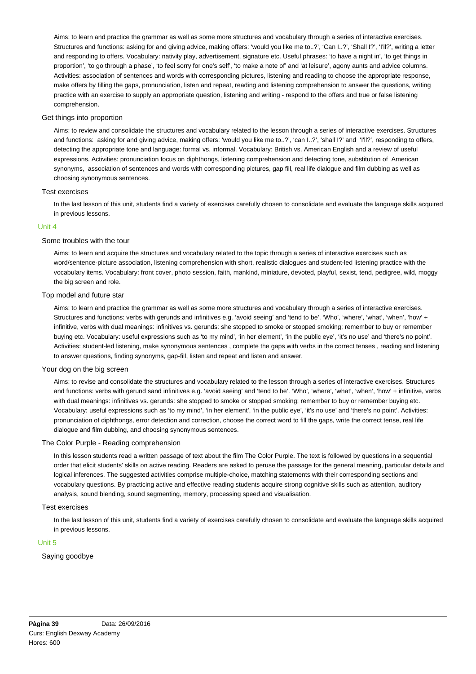Aims: to learn and practice the grammar as well as some more structures and vocabulary through a series of interactive exercises. Structures and functions: asking for and giving advice, making offers: 'would you like me to..?', 'Can I..?', 'Shall I?', 'I'll?', writing a letter and responding to offers. Vocabulary: nativity play, advertisement, signature etc. Useful phrases: 'to have a night in', 'to get things in proportion', 'to go through a phase', 'to feel sorry for one's self', 'to make a note of' and 'at leisure', agony aunts and advice columns. Activities: association of sentences and words with corresponding pictures, listening and reading to choose the appropriate response, make offers by filling the gaps, pronunciation, listen and repeat, reading and listening comprehension to answer the questions, writing practice with an exercise to supply an appropriate question, listening and writing - respond to the offers and true or false listening comprehension.

# Get things into proportion

Aims: to review and consolidate the structures and vocabulary related to the lesson through a series of interactive exercises. Structures and functions: asking for and giving advice, making offers: 'would you like me to..?', 'can I..?', 'shall I?' and 'I'll?', responding to offers, detecting the appropriate tone and language: formal vs. informal. Vocabulary: British vs. American English and a review of useful expressions. Activities: pronunciation focus on diphthongs, listening comprehension and detecting tone, substitution of American synonyms, association of sentences and words with corresponding pictures, gap fill, real life dialogue and film dubbing as well as choosing synonymous sentences.

## Test exercises

In the last lesson of this unit, students find a variety of exercises carefully chosen to consolidate and evaluate the language skills acquired in previous lessons.

## Unit 4

## Some troubles with the tour

Aims: to learn and acquire the structures and vocabulary related to the topic through a series of interactive exercises such as word/sentence-picture association, listening comprehension with short, realistic dialogues and student-led listening practice with the vocabulary items. Vocabulary: front cover, photo session, faith, mankind, miniature, devoted, playful, sexist, tend, pedigree, wild, moggy the big screen and role.

## Top model and future star

Aims: to learn and practice the grammar as well as some more structures and vocabulary through a series of interactive exercises. Structures and functions: verbs with gerunds and infinitives e.g. 'avoid seeing' and 'tend to be'. 'Who', 'where', 'what', 'when', 'how' + infinitive, verbs with dual meanings: infinitives vs. gerunds: she stopped to smoke or stopped smoking; remember to buy or remember buying etc. Vocabulary: useful expressions such as 'to my mind', 'in her element', 'in the public eye', 'it's no use' and 'there's no point'. Activities: student-led listening, make synonymous sentences , complete the gaps with verbs in the correct tenses , reading and listening to answer questions, finding synonyms, gap-fill, listen and repeat and listen and answer.

## Your dog on the big screen

Aims: to revise and consolidate the structures and vocabulary related to the lesson through a series of interactive exercises. Structures and functions: verbs with gerund sand infinitives e.g. 'avoid seeing' and 'tend to be'. 'Who', 'where', 'what', 'when', 'how' + infinitive, verbs with dual meanings: infinitives vs. gerunds: she stopped to smoke or stopped smoking; remember to buy or remember buying etc. Vocabulary: useful expressions such as 'to my mind', 'in her element', 'in the public eye', 'it's no use' and 'there's no point'. Activities: pronunciation of diphthongs, error detection and correction, choose the correct word to fill the gaps, write the correct tense, real life dialogue and film dubbing, and choosing synonymous sentences.

## The Color Purple - Reading comprehension

In this lesson students read a written passage of text about the film The Color Purple. The text is followed by questions in a sequential order that elicit students' skills on active reading. Readers are asked to peruse the passage for the general meaning, particular details and logical inferences. The suggested activities comprise multiple-choice, matching statements with their corresponding sections and vocabulary questions. By practicing active and effective reading students acquire strong cognitive skills such as attention, auditory analysis, sound blending, sound segmenting, memory, processing speed and visualisation.

#### Test exercises

In the last lesson of this unit, students find a variety of exercises carefully chosen to consolidate and evaluate the language skills acquired in previous lessons.

## Unit 5

# Saying goodbye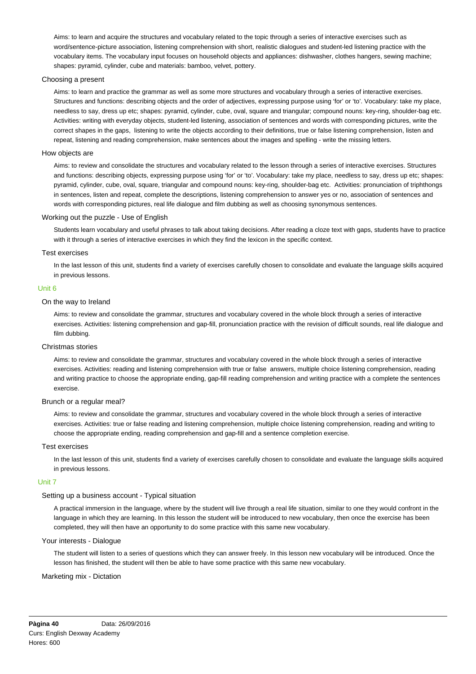Aims: to learn and acquire the structures and vocabulary related to the topic through a series of interactive exercises such as word/sentence-picture association, listening comprehension with short, realistic dialogues and student-led listening practice with the vocabulary items. The vocabulary input focuses on household objects and appliances: dishwasher, clothes hangers, sewing machine; shapes: pyramid, cylinder, cube and materials: bamboo, velvet, pottery.

## Choosing a present

Aims: to learn and practice the grammar as well as some more structures and vocabulary through a series of interactive exercises. Structures and functions: describing objects and the order of adjectives, expressing purpose using 'for' or 'to'. Vocabulary: take my place, needless to say, dress up etc; shapes: pyramid, cylinder, cube, oval, square and triangular; compound nouns: key-ring, shoulder-bag etc. Activities: writing with everyday objects, student-led listening, association of sentences and words with corresponding pictures, write the correct shapes in the gaps, listening to write the objects according to their definitions, true or false listening comprehension, listen and repeat, listening and reading comprehension, make sentences about the images and spelling - write the missing letters.

#### How objects are

Aims: to review and consolidate the structures and vocabulary related to the lesson through a series of interactive exercises. Structures and functions: describing objects, expressing purpose using 'for' or 'to'. Vocabulary: take my place, needless to say, dress up etc; shapes: pyramid, cylinder, cube, oval, square, triangular and compound nouns: key-ring, shoulder-bag etc. Activities: pronunciation of triphthongs in sentences, listen and repeat, complete the descriptions, listening comprehension to answer yes or no, association of sentences and words with corresponding pictures, real life dialogue and film dubbing as well as choosing synonymous sentences.

#### Working out the puzzle - Use of English

Students learn vocabulary and useful phrases to talk about taking decisions. After reading a cloze text with gaps, students have to practice with it through a series of interactive exercises in which they find the lexicon in the specific context.

#### Test exercises

In the last lesson of this unit, students find a variety of exercises carefully chosen to consolidate and evaluate the language skills acquired in previous lessons.

## Unit 6

# On the way to Ireland

Aims: to review and consolidate the grammar, structures and vocabulary covered in the whole block through a series of interactive exercises. Activities: listening comprehension and gap-fill, pronunciation practice with the revision of difficult sounds, real life dialogue and film dubbing.

## Christmas stories

Aims: to review and consolidate the grammar, structures and vocabulary covered in the whole block through a series of interactive exercises. Activities: reading and listening comprehension with true or false answers, multiple choice listening comprehension, reading and writing practice to choose the appropriate ending, gap-fill reading comprehension and writing practice with a complete the sentences exercise.

### Brunch or a regular meal?

Aims: to review and consolidate the grammar, structures and vocabulary covered in the whole block through a series of interactive exercises. Activities: true or false reading and listening comprehension, multiple choice listening comprehension, reading and writing to choose the appropriate ending, reading comprehension and gap-fill and a sentence completion exercise.

#### Test exercises

In the last lesson of this unit, students find a variety of exercises carefully chosen to consolidate and evaluate the language skills acquired in previous lessons.

#### Unit 7

## Setting up a business account - Typical situation

A practical immersion in the language, where by the student will live through a real life situation, similar to one they would confront in the language in which they are learning. In this lesson the student will be introduced to new vocabulary, then once the exercise has been completed, they will then have an opportunity to do some practice with this same new vocabulary.

## Your interests - Dialogue

The student will listen to a series of questions which they can answer freely. In this lesson new vocabulary will be introduced. Once the lesson has finished, the student will then be able to have some practice with this same new vocabulary.

#### Marketing mix - Dictation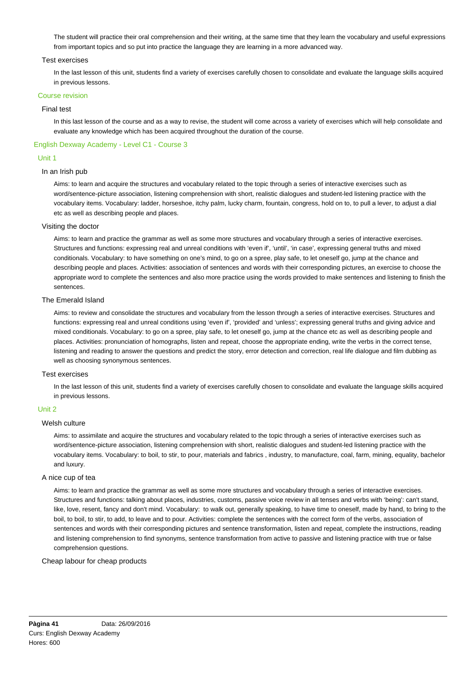The student will practice their oral comprehension and their writing, at the same time that they learn the vocabulary and useful expressions from important topics and so put into practice the language they are learning in a more advanced way.

### Test exercises

In the last lesson of this unit, students find a variety of exercises carefully chosen to consolidate and evaluate the language skills acquired in previous lessons.

## Course revision

#### Final test

In this last lesson of the course and as a way to revise, the student will come across a variety of exercises which will help consolidate and evaluate any knowledge which has been acquired throughout the duration of the course.

## English Dexway Academy - Level C1 - Course 3

## Unit 1

## In an Irish pub

Aims: to learn and acquire the structures and vocabulary related to the topic through a series of interactive exercises such as word/sentence-picture association, listening comprehension with short, realistic dialogues and student-led listening practice with the vocabulary items. Vocabulary: ladder, horseshoe, itchy palm, lucky charm, fountain, congress, hold on to, to pull a lever, to adjust a dial etc as well as describing people and places.

## Visiting the doctor

Aims: to learn and practice the grammar as well as some more structures and vocabulary through a series of interactive exercises. Structures and functions: expressing real and unreal conditions with 'even if', 'until', 'in case', expressing general truths and mixed conditionals. Vocabulary: to have something on one's mind, to go on a spree, play safe, to let oneself go, jump at the chance and describing people and places. Activities: association of sentences and words with their corresponding pictures, an exercise to choose the appropriate word to complete the sentences and also more practice using the words provided to make sentences and listening to finish the sentences.

## The Emerald Island

Aims: to review and consolidate the structures and vocabulary from the lesson through a series of interactive exercises. Structures and functions: expressing real and unreal conditions using 'even if', 'provided' and 'unless'; expressing general truths and giving advice and mixed conditionals. Vocabulary: to go on a spree, play safe, to let oneself go, jump at the chance etc as well as describing people and places. Activities: pronunciation of homographs, listen and repeat, choose the appropriate ending, write the verbs in the correct tense, listening and reading to answer the questions and predict the story, error detection and correction, real life dialogue and film dubbing as well as choosing synonymous sentences.

### Test exercises

In the last lesson of this unit, students find a variety of exercises carefully chosen to consolidate and evaluate the language skills acquired in previous lessons.

#### Unit 2

#### Welsh culture

Aims: to assimilate and acquire the structures and vocabulary related to the topic through a series of interactive exercises such as word/sentence-picture association, listening comprehension with short, realistic dialogues and student-led listening practice with the vocabulary items. Vocabulary: to boil, to stir, to pour, materials and fabrics , industry, to manufacture, coal, farm, mining, equality, bachelor and luxury.

#### A nice cup of tea

Aims: to learn and practice the grammar as well as some more structures and vocabulary through a series of interactive exercises. Structures and functions: talking about places, industries, customs, passive voice review in all tenses and verbs with 'being': can't stand, like, love, resent, fancy and don't mind. Vocabulary: to walk out, generally speaking, to have time to oneself, made by hand, to bring to the boil, to boil, to stir, to add, to leave and to pour. Activities: complete the sentences with the correct form of the verbs, association of sentences and words with their corresponding pictures and sentence transformation, listen and repeat, complete the instructions, reading and listening comprehension to find synonyms, sentence transformation from active to passive and listening practice with true or false comprehension questions.

#### Cheap labour for cheap products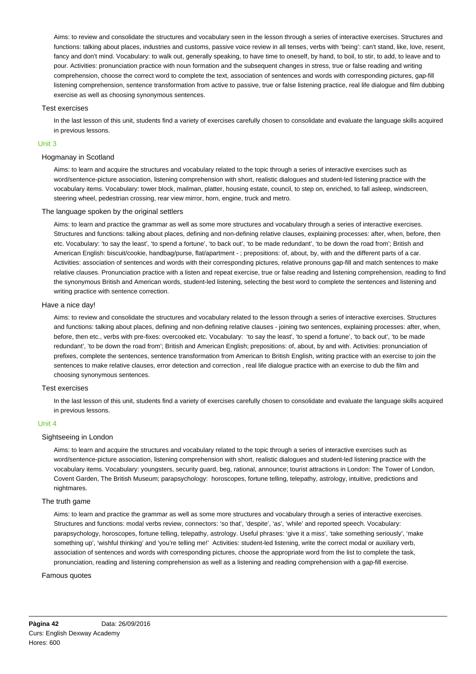Aims: to review and consolidate the structures and vocabulary seen in the lesson through a series of interactive exercises. Structures and functions: talking about places, industries and customs, passive voice review in all tenses, verbs with 'being': can't stand, like, love, resent, fancy and don't mind. Vocabulary: to walk out, generally speaking, to have time to oneself, by hand, to boil, to stir, to add, to leave and to pour. Activities: pronunciation practice with noun formation and the subsequent changes in stress, true or false reading and writing comprehension, choose the correct word to complete the text, association of sentences and words with corresponding pictures, gap-fill listening comprehension, sentence transformation from active to passive, true or false listening practice, real life dialogue and film dubbing exercise as well as choosing synonymous sentences.

## Test exercises

In the last lesson of this unit, students find a variety of exercises carefully chosen to consolidate and evaluate the language skills acquired in previous lessons.

## Unit 3

## Hogmanay in Scotland

Aims: to learn and acquire the structures and vocabulary related to the topic through a series of interactive exercises such as word/sentence-picture association, listening comprehension with short, realistic dialogues and student-led listening practice with the vocabulary items. Vocabulary: tower block, mailman, platter, housing estate, council, to step on, enriched, to fall asleep, windscreen, steering wheel, pedestrian crossing, rear view mirror, horn, engine, truck and metro.

## The language spoken by the original settlers

Aims: to learn and practice the grammar as well as some more structures and vocabulary through a series of interactive exercises. Structures and functions: talking about places, defining and non-defining relative clauses, explaining processes: after, when, before, then etc. Vocabulary: 'to say the least', 'to spend a fortune', 'to back out', 'to be made redundant', 'to be down the road from'; British and American English: biscuit/cookie, handbag/purse, flat/apartment - ; prepositions: of, about, by, with and the different parts of a car. Activities: association of sentences and words with their corresponding pictures, relative pronouns gap-fill and match sentences to make relative clauses. Pronunciation practice with a listen and repeat exercise, true or false reading and listening comprehension, reading to find the synonymous British and American words, student-led listening, selecting the best word to complete the sentences and listening and writing practice with sentence correction.

#### Have a nice day!

Aims: to review and consolidate the structures and vocabulary related to the lesson through a series of interactive exercises. Structures and functions: talking about places, defining and non-defining relative clauses - joining two sentences, explaining processes: after, when, before, then etc., verbs with pre-fixes: overcooked etc. Vocabulary: 'to say the least', 'to spend a fortune', 'to back out', 'to be made redundant', 'to be down the road from'; British and American English; prepositions: of, about, by and with. Activities: pronunciation of prefixes, complete the sentences, sentence transformation from American to British English, writing practice with an exercise to join the sentences to make relative clauses, error detection and correction , real life dialogue practice with an exercise to dub the film and choosing synonymous sentences.

### Test exercises

In the last lesson of this unit, students find a variety of exercises carefully chosen to consolidate and evaluate the language skills acquired in previous lessons.

## Unit 4

#### Sightseeing in London

Aims: to learn and acquire the structures and vocabulary related to the topic through a series of interactive exercises such as word/sentence-picture association, listening comprehension with short, realistic dialogues and student-led listening practice with the vocabulary items. Vocabulary: youngsters, security guard, beg, rational, announce; tourist attractions in London: The Tower of London, Covent Garden, The British Museum; parapsychology: horoscopes, fortune telling, telepathy, astrology, intuitive, predictions and nightmares.

#### The truth game

Aims: to learn and practice the grammar as well as some more structures and vocabulary through a series of interactive exercises. Structures and functions: modal verbs review, connectors: 'so that', 'despite', 'as', 'while' and reported speech. Vocabulary: parapsychology, horoscopes, fortune telling, telepathy, astrology. Useful phrases: 'give it a miss', 'take something seriously', 'make something up', 'wishful thinking' and 'you're telling me!' Activities: student-led listening, write the correct modal or auxiliary verb, association of sentences and words with corresponding pictures, choose the appropriate word from the list to complete the task, pronunciation, reading and listening comprehension as well as a listening and reading comprehension with a gap-fill exercise.

#### Famous quotes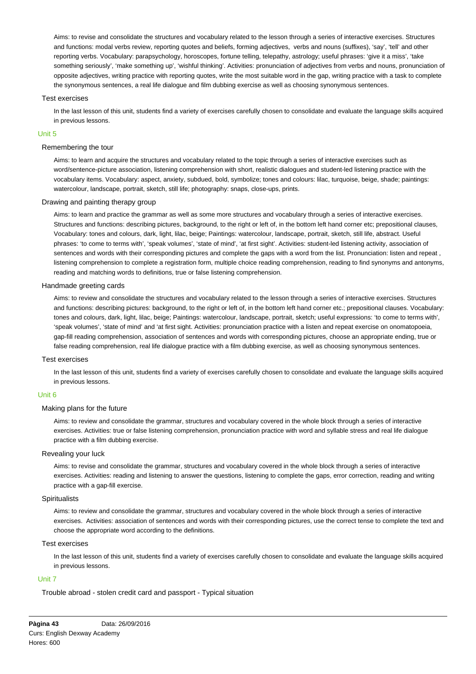Aims: to revise and consolidate the structures and vocabulary related to the lesson through a series of interactive exercises. Structures and functions: modal verbs review, reporting quotes and beliefs, forming adjectives, verbs and nouns (suffixes), 'say', 'tell' and other reporting verbs. Vocabulary: parapsychology, horoscopes, fortune telling, telepathy, astrology; useful phrases: 'give it a miss', 'take something seriously', 'make something up', 'wishful thinking'. Activities: pronunciation of adjectives from verbs and nouns, pronunciation of opposite adjectives, writing practice with reporting quotes, write the most suitable word in the gap, writing practice with a task to complete the synonymous sentences, a real life dialogue and film dubbing exercise as well as choosing synonymous sentences.

#### Test exercises

In the last lesson of this unit, students find a variety of exercises carefully chosen to consolidate and evaluate the language skills acquired in previous lessons.

#### Unit 5

#### Remembering the tour

Aims: to learn and acquire the structures and vocabulary related to the topic through a series of interactive exercises such as word/sentence-picture association, listening comprehension with short, realistic dialogues and student-led listening practice with the vocabulary items. Vocabulary: aspect, anxiety, subdued, bold, symbolize; tones and colours: lilac, turquoise, beige, shade; paintings: watercolour, landscape, portrait, sketch, still life; photography: snaps, close-ups, prints.

## Drawing and painting therapy group

Aims: to learn and practice the grammar as well as some more structures and vocabulary through a series of interactive exercises. Structures and functions: describing pictures, background, to the right or left of, in the bottom left hand corner etc; prepositional clauses, Vocabulary: tones and colours, dark, light, lilac, beige; Paintings: watercolour, landscape, portrait, sketch, still life, abstract. Useful phrases: 'to come to terms with', 'speak volumes', 'state of mind', 'at first sight'. Activities: student-led listening activity, association of sentences and words with their corresponding pictures and complete the gaps with a word from the list. Pronunciation: listen and repeat , listening comprehension to complete a registration form, multiple choice reading comprehension, reading to find synonyms and antonyms, reading and matching words to definitions, true or false listening comprehension.

## Handmade greeting cards

Aims: to review and consolidate the structures and vocabulary related to the lesson through a series of interactive exercises. Structures and functions: describing pictures: background, to the right or left of, in the bottom left hand corner etc.; prepositional clauses. Vocabulary: tones and colours, dark, light, lilac, beige; Paintings: watercolour, landscape, portrait, sketch; useful expressions: 'to come to terms with', 'speak volumes', 'state of mind' and 'at first sight. Activities: pronunciation practice with a listen and repeat exercise on onomatopoeia, gap-fill reading comprehension, association of sentences and words with corresponding pictures, choose an appropriate ending, true or false reading comprehension, real life dialogue practice with a film dubbing exercise, as well as choosing synonymous sentences.

#### Test exercises

In the last lesson of this unit, students find a variety of exercises carefully chosen to consolidate and evaluate the language skills acquired in previous lessons.

#### Unit 6

### Making plans for the future

Aims: to review and consolidate the grammar, structures and vocabulary covered in the whole block through a series of interactive exercises. Activities: true or false listening comprehension, pronunciation practice with word and syllable stress and real life dialogue practice with a film dubbing exercise.

#### Revealing your luck

Aims: to revise and consolidate the grammar, structures and vocabulary covered in the whole block through a series of interactive exercises. Activities: reading and listening to answer the questions, listening to complete the gaps, error correction, reading and writing practice with a gap-fill exercise.

## **Spiritualists**

Aims: to review and consolidate the grammar, structures and vocabulary covered in the whole block through a series of interactive exercises. Activities: association of sentences and words with their corresponding pictures, use the correct tense to complete the text and choose the appropriate word according to the definitions.

#### Test exercises

In the last lesson of this unit, students find a variety of exercises carefully chosen to consolidate and evaluate the language skills acquired in previous lessons.

#### Unit 7

Trouble abroad - stolen credit card and passport - Typical situation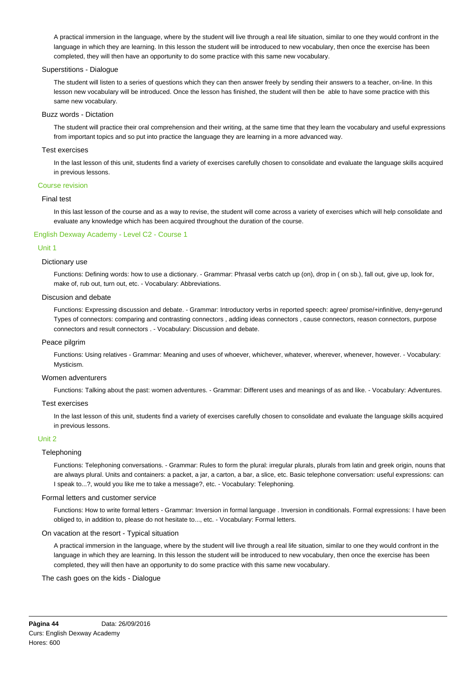A practical immersion in the language, where by the student will live through a real life situation, similar to one they would confront in the language in which they are learning. In this lesson the student will be introduced to new vocabulary, then once the exercise has been completed, they will then have an opportunity to do some practice with this same new vocabulary.

## Superstitions - Dialogue

The student will listen to a series of questions which they can then answer freely by sending their answers to a teacher, on-line. In this lesson new vocabulary will be introduced. Once the lesson has finished, the student will then be able to have some practice with this same new vocabulary.

#### Buzz words - Dictation

The student will practice their oral comprehension and their writing, at the same time that they learn the vocabulary and useful expressions from important topics and so put into practice the language they are learning in a more advanced way.

## Test exercises

In the last lesson of this unit, students find a variety of exercises carefully chosen to consolidate and evaluate the language skills acquired in previous lessons.

#### Course revision

## Final test

In this last lesson of the course and as a way to revise, the student will come across a variety of exercises which will help consolidate and evaluate any knowledge which has been acquired throughout the duration of the course.

## English Dexway Academy - Level C2 - Course 1

## Unit 1

#### Dictionary use

Functions: Defining words: how to use a dictionary. - Grammar: Phrasal verbs catch up (on), drop in ( on sb.), fall out, give up, look for, make of, rub out, turn out, etc. - Vocabulary: Abbreviations.

### Discusion and debate

Functions: Expressing discussion and debate. - Grammar: Introductory verbs in reported speech: agree/ promise/+infinitive, deny+gerund Types of connectors: comparing and contrasting connectors , adding ideas connectors , cause connectors, reason connectors, purpose connectors and result connectors . - Vocabulary: Discussion and debate.

#### Peace pilgrim

Functions: Using relatives - Grammar: Meaning and uses of whoever, whichever, whatever, wherever, whenever, however. - Vocabulary: Mysticism.

#### Women adventurers

Functions: Talking about the past: women adventures. - Grammar: Different uses and meanings of as and like. - Vocabulary: Adventures.

#### Test exercises

In the last lesson of this unit, students find a variety of exercises carefully chosen to consolidate and evaluate the language skills acquired in previous lessons.

#### Unit 2

### **Telephoning**

Functions: Telephoning conversations. - Grammar: Rules to form the plural: irregular plurals, plurals from latin and greek origin, nouns that are always plural. Units and containers: a packet, a jar, a carton, a bar, a slice, etc. Basic telephone conversation: useful expressions: can I speak to...?, would you like me to take a message?, etc. - Vocabulary: Telephoning.

## Formal letters and customer service

Functions: How to write formal letters - Grammar: Inversion in formal language . Inversion in conditionals. Formal expressions: I have been obliged to, in addition to, please do not hesitate to..., etc. - Vocabulary: Formal letters.

## On vacation at the resort - Typical situation

A practical immersion in the language, where by the student will live through a real life situation, similar to one they would confront in the language in which they are learning. In this lesson the student will be introduced to new vocabulary, then once the exercise has been completed, they will then have an opportunity to do some practice with this same new vocabulary.

### The cash goes on the kids - Dialogue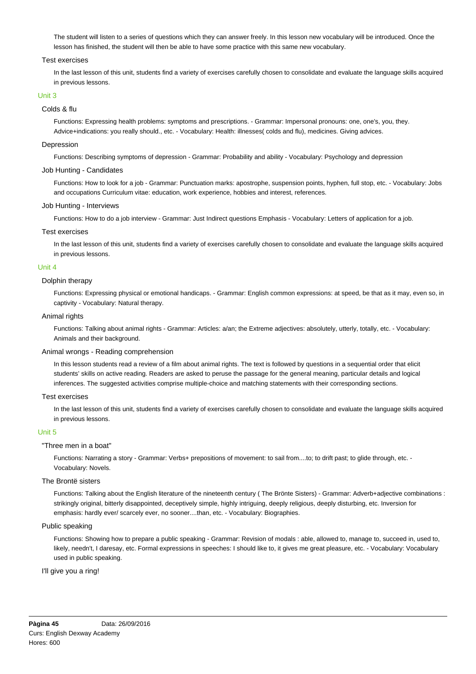The student will listen to a series of questions which they can answer freely. In this lesson new vocabulary will be introduced. Once the lesson has finished, the student will then be able to have some practice with this same new vocabulary.

## Test exercises

In the last lesson of this unit, students find a variety of exercises carefully chosen to consolidate and evaluate the language skills acquired in previous lessons.

## Unit 3

## Colds & flu

Functions: Expressing health problems: symptoms and prescriptions. - Grammar: Impersonal pronouns: one, one's, you, they. Advice+indications: you really should., etc. - Vocabulary: Health: illnesses( colds and flu), medicines. Giving advices.

## Depression

Functions: Describing symptoms of depression - Grammar: Probability and ability - Vocabulary: Psychology and depression

## Job Hunting - Candidates

Functions: How to look for a job - Grammar: Punctuation marks: apostrophe, suspension points, hyphen, full stop, etc. - Vocabulary: Jobs and occupations Curriculum vitae: education, work experience, hobbies and interest, references.

## Job Hunting - Interviews

Functions: How to do a job interview - Grammar: Just Indirect questions Emphasis - Vocabulary: Letters of application for a job.

## Test exercises

In the last lesson of this unit, students find a variety of exercises carefully chosen to consolidate and evaluate the language skills acquired in previous lessons.

## Unit 4

## Dolphin therapy

Functions: Expressing physical or emotional handicaps. - Grammar: English common expressions: at speed, be that as it may, even so, in captivity - Vocabulary: Natural therapy.

## Animal rights

Functions: Talking about animal rights - Grammar: Articles: a/an; the Extreme adjectives: absolutely, utterly, totally, etc. - Vocabulary: Animals and their background.

### Animal wrongs - Reading comprehension

In this lesson students read a review of a film about animal rights. The text is followed by questions in a sequential order that elicit students' skills on active reading. Readers are asked to peruse the passage for the general meaning, particular details and logical inferences. The suggested activities comprise multiple-choice and matching statements with their corresponding sections.

#### Test exercises

In the last lesson of this unit, students find a variety of exercises carefully chosen to consolidate and evaluate the language skills acquired in previous lessons.

#### Unit 5

#### "Three men in a boat"

Functions: Narrating a story - Grammar: Verbs+ prepositions of movement: to sail from....to; to drift past; to glide through, etc. - Vocabulary: Novels.

#### The Brontë sisters

Functions: Talking about the English literature of the nineteenth century ( The Brönte Sisters) - Grammar: Adverb+adjective combinations : strikingly original, bitterly disappointed, deceptively simple, highly intriguing, deeply religious, deeply disturbing, etc. Inversion for emphasis: hardly ever/ scarcely ever, no sooner....than, etc. - Vocabulary: Biographies.

## Public speaking

Functions: Showing how to prepare a public speaking - Grammar: Revision of modals : able, allowed to, manage to, succeed in, used to, likely, needn't, I daresay, etc. Formal expressions in speeches: I should like to, it gives me great pleasure, etc. - Vocabulary: Vocabulary used in public speaking.

### I'll give you a ring!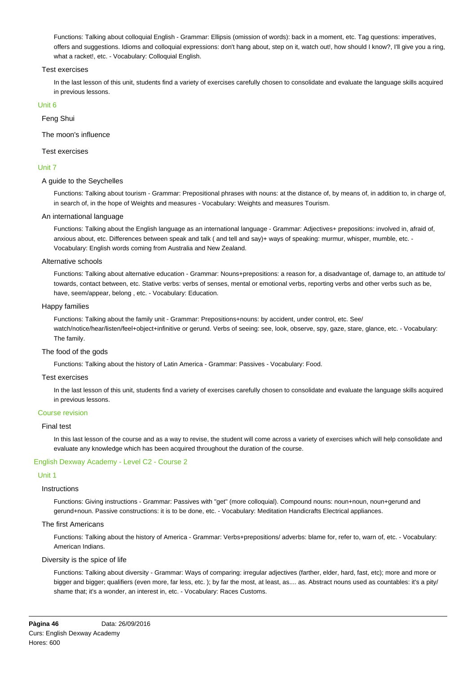Functions: Talking about colloquial English - Grammar: Ellipsis (omission of words): back in a moment, etc. Tag questions: imperatives, offers and suggestions. Idioms and colloquial expressions: don't hang about, step on it, watch out!, how should I know?, I'll give you a ring, what a racket!, etc. - Vocabulary: Colloquial English.

## Test exercises

In the last lesson of this unit, students find a variety of exercises carefully chosen to consolidate and evaluate the language skills acquired in previous lessons.

## Unit 6

Feng Shui

The moon's influence

## Test exercises

## Unit 7

## A guide to the Seychelles

Functions: Talking about tourism - Grammar: Prepositional phrases with nouns: at the distance of, by means of, in addition to, in charge of, in search of, in the hope of Weights and measures - Vocabulary: Weights and measures Tourism.

## An international language

Functions: Talking about the English language as an international language - Grammar: Adjectives+ prepositions: involved in, afraid of, anxious about, etc. Differences between speak and talk ( and tell and say)+ ways of speaking: murmur, whisper, mumble, etc. -Vocabulary: English words coming from Australia and New Zealand.

## Alternative schools

Functions: Talking about alternative education - Grammar: Nouns+prepositions: a reason for, a disadvantage of, damage to, an attitude to/ towards, contact between, etc. Stative verbs: verbs of senses, mental or emotional verbs, reporting verbs and other verbs such as be, have, seem/appear, belong , etc. - Vocabulary: Education.

## Happy families

Functions: Talking about the family unit - Grammar: Prepositions+nouns: by accident, under control, etc. See/ watch/notice/hear/listen/feel+object+infinitive or gerund. Verbs of seeing: see, look, observe, spy, gaze, stare, glance, etc. - Vocabulary: The family.

#### The food of the gods

Functions: Talking about the history of Latin America - Grammar: Passives - Vocabulary: Food.

### Test exercises

In the last lesson of this unit, students find a variety of exercises carefully chosen to consolidate and evaluate the language skills acquired in previous lessons.

## Course revision

## Final test

In this last lesson of the course and as a way to revise, the student will come across a variety of exercises which will help consolidate and evaluate any knowledge which has been acquired throughout the duration of the course.

## English Dexway Academy - Level C2 - Course 2

## Unit 1

#### Instructions

Functions: Giving instructions - Grammar: Passives with "get" (more colloquial). Compound nouns: noun+noun, noun+gerund and gerund+noun. Passive constructions: it is to be done, etc. - Vocabulary: Meditation Handicrafts Electrical appliances.

## The first Americans

Functions: Talking about the history of America - Grammar: Verbs+prepositions/ adverbs: blame for, refer to, warn of, etc. - Vocabulary: American Indians.

#### Diversity is the spice of life

Functions: Talking about diversity - Grammar: Ways of comparing: irregular adjectives (farther, elder, hard, fast, etc); more and more or bigger and bigger; qualifiers (even more, far less, etc. ); by far the most, at least, as.... as. Abstract nouns used as countables: it's a pity/ shame that; it's a wonder, an interest in, etc. - Vocabulary: Races Customs.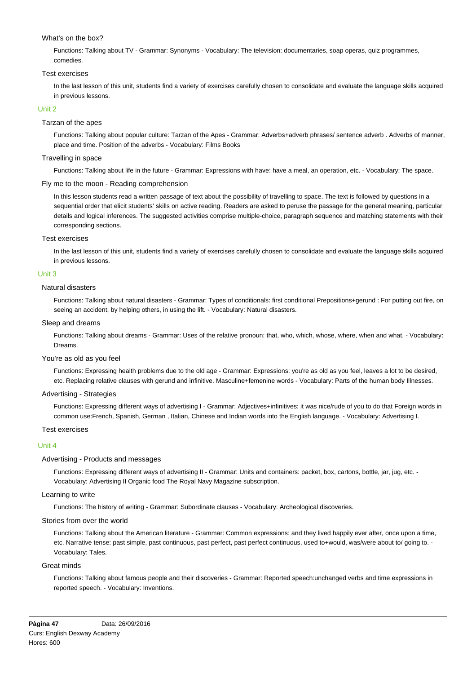# What's on the box?

Functions: Talking about TV - Grammar: Synonyms - Vocabulary: The television: documentaries, soap operas, quiz programmes, comedies.

## Test exercises

In the last lesson of this unit, students find a variety of exercises carefully chosen to consolidate and evaluate the language skills acquired in previous lessons.

## Unit 2

## Tarzan of the apes

Functions: Talking about popular culture: Tarzan of the Apes - Grammar: Adverbs+adverb phrases/ sentence adverb . Adverbs of manner, place and time. Position of the adverbs - Vocabulary: Films Books

## Travelling in space

Functions: Talking about life in the future - Grammar: Expressions with have: have a meal, an operation, etc. - Vocabulary: The space.

## Fly me to the moon - Reading comprehension

In this lesson students read a written passage of text about the possibility of travelling to space. The text is followed by questions in a sequential order that elicit students' skills on active reading. Readers are asked to peruse the passage for the general meaning, particular details and logical inferences. The suggested activities comprise multiple-choice, paragraph sequence and matching statements with their corresponding sections.

## Test exercises

In the last lesson of this unit, students find a variety of exercises carefully chosen to consolidate and evaluate the language skills acquired in previous lessons.

## Unit 3

## Natural disasters

Functions: Talking about natural disasters - Grammar: Types of conditionals: first conditional Prepositions+gerund : For putting out fire, on seeing an accident, by helping others, in using the lift. - Vocabulary: Natural disasters.

## Sleep and dreams

Functions: Talking about dreams - Grammar: Uses of the relative pronoun: that, who, which, whose, where, when and what. - Vocabulary: Dreams.

#### You're as old as you feel

Functions: Expressing health problems due to the old age - Grammar: Expressions: you're as old as you feel, leaves a lot to be desired, etc. Replacing relative clauses with gerund and infinitive. Masculine+femenine words - Vocabulary: Parts of the human body Illnesses.

## Advertising - Strategies

Functions: Expressing different ways of advertising I - Grammar: Adjectives+infinitives: it was nice/rude of you to do that Foreign words in common use:French, Spanish, German , Italian, Chinese and Indian words into the English language. - Vocabulary: Advertising I.

## Test exercises

### Unit 4

## Advertising - Products and messages

Functions: Expressing different ways of advertising II - Grammar: Units and containers: packet, box, cartons, bottle, jar, jug, etc. - Vocabulary: Advertising II Organic food The Royal Navy Magazine subscription.

## Learning to write

Functions: The history of writing - Grammar: Subordinate clauses - Vocabulary: Archeological discoveries.

### Stories from over the world

Functions: Talking about the American literature - Grammar: Common expressions: and they lived happily ever after, once upon a time, etc. Narrative tense: past simple, past continuous, past perfect, past perfect continuous, used to+would, was/were about to/ going to. - Vocabulary: Tales.

#### Great minds

Functions: Talking about famous people and their discoveries - Grammar: Reported speech:unchanged verbs and time expressions in reported speech. - Vocabulary: Inventions.